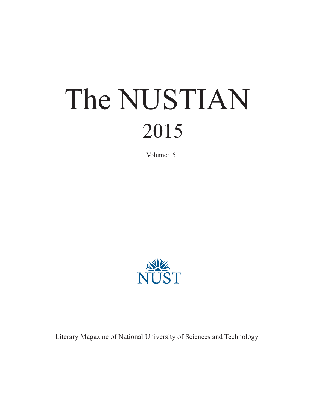# The NUSTIAN 2015

Volume: 5



Literary Magazine of National University of Sciences and Technology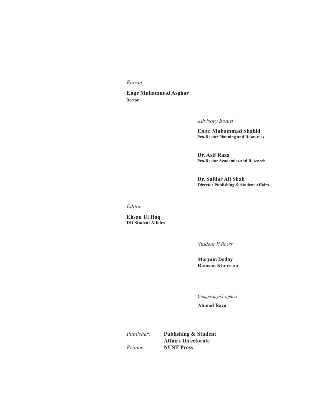*Patron*

 **Engr Muhammad Asghar Rector**

 *Advisory Board*

 **Engr. Muhammad Shahid Pro-Rector Planning and Resources**

 **Dr. Asif Raza Pro-Rector Academics and Research**

 **Dr. Safdar Ali Shah Director Publishing & Student Affairs**

*Editor*

**Ehsan Ul Haq DD Student Affairs**

*Student Editors*

**Maryam Dodhy Ramsha Khurram**

*Composing/Graphics*

**Ahmad Raza**

*Publisher:* **Publishing & Student Affairs Directorate** *Printer:* **NUST Press**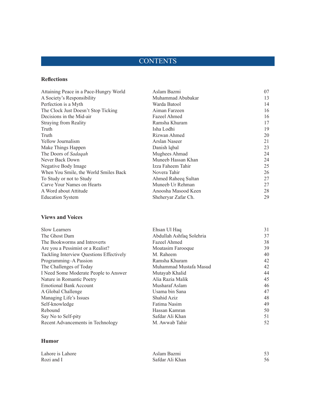# **CONTENTS**

### **Reflections**

| Attaining Peace in a Pace-Hungry World | Aslam Bazmi         | 07 |
|----------------------------------------|---------------------|----|
| A Society's Responsibility             | Muhammad Abubakar   | 13 |
| Perfection is a Myth                   | Warda Batool        | 14 |
| The Clock Just Doesn't Stop Ticking    | Aiman Farzeen       | 16 |
| Decisions in the Mid-air               | Fazeel Ahmed        | 16 |
| Straying from Reality                  | Ramsha Khuram       | 17 |
| Truth                                  | Isha Lodhi          | 19 |
| Truth                                  | Rizwan Ahmed        | 20 |
| Yellow Journalism                      | Arslan Naseer       | 21 |
| Make Things Happen                     | Danish lqbal        | 23 |
| The Doors of Sadaqah                   | Mughees Ahmad       | 24 |
| Never Back Down                        | Muneeb Hassan Khan  | 24 |
| Negative Body Image                    | Izza Faheem Tahir   | 25 |
| When You Smile, the World Smiles Back  | Novera Tahir        | 26 |
| To Study or not to Study               | Ahmed Raheeq Sultan | 27 |
| Carve Your Names on Hearts             | Muneeb Ur Rehman    | 27 |
| A Word about Attitude                  | Anoosha Masood Keen | 28 |
| <b>Education System</b>                | Sheheryar Zafar Ch. | 29 |

### **Views and Voices**

| <b>Slow Learners</b>                     | Ehsan Ul Haq             | 31 |
|------------------------------------------|--------------------------|----|
| The Ghost Dam                            | Abdullah Ashfaq Solehria | 37 |
| The Bookworms and Introverts             | Fazeel Ahmed             | 38 |
| Are you a Pessimist or a Realist?        | Moatasim Farooque        | 39 |
| Tackling Interview Questions Effectively | M. Raheem                | 40 |
| Programming-A Passion                    | Ramsha Khuram            | 42 |
| The Challenges of Today                  | Muhammad Mustafa Masud   | 42 |
| I Need Some Moderate People to Answer    | Mutayab Khalid           | 44 |
| Nature in Romantic Poetry                | Alia Razia Malik         | 45 |
| <b>Emotional Bank Account</b>            | Musharaf Aslam           | 46 |
| A Global Challenge                       | Usama bin Sana           | 47 |
| Managing Life's Issues                   | Shahid Aziz              | 48 |
| Self-knowledge                           | Fatima Nasim             | 49 |
| Rebound                                  | Hassan Kamran            | 50 |
| Say No to Self-pity                      | Safdar Ali Khan          | 51 |
| Recent Advancements in Technology        | M. Awwab Tahir           | 52 |

### **Humor**

| Lahore is Lahore | Aslam Bazmi     |  |
|------------------|-----------------|--|
| Rozi and I       | Safdar Ali Khan |  |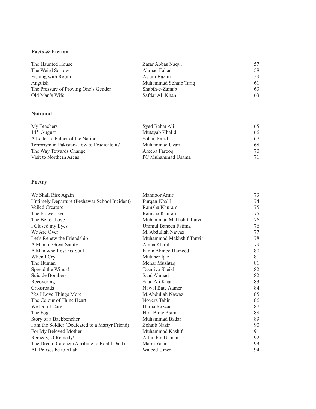### **Facts & Fiction**

| The Haunted House                    | Zafar Abbas Nagvi     | 57  |
|--------------------------------------|-----------------------|-----|
| The Weird Sorrow                     | Ahmad Fahad           | 58. |
| Fishing with Robin                   | Aslam Bazmi           | 59. |
| Anguish                              | Muhammad Sohaib Tariq | 61  |
| The Pressure of Proving One's Gender | Shabih-e-Zainab       | 63  |
| Old Man's Wife                       | Safdar Ali Khan       | 63  |

### **National**

| My Teachers                                | Syed Babar Ali    | 65 |
|--------------------------------------------|-------------------|----|
| $14th$ August                              | Mutayab Khalid    | 66 |
| A Letter to Father of the Nation           | Sohail Farid      | 67 |
| Terrorism in Pakistan-How to Eradicate it? | Muhammad Uzair    | 68 |
| The Way Towards Change                     | Areeba Farooq     | 70 |
| Visit to Northern Areas                    | PC Muhammad Usama | 71 |

### **Poetry**

| We Shall Rise Again                             | Mahnoor Amir             | 73 |
|-------------------------------------------------|--------------------------|----|
| Untimely Departure (Peshawar School Incident)   | Furqan Khalil            | 74 |
| Veiled Creature                                 | Ramsha Khuram            | 75 |
| The Flower Bed                                  | Ramsha Khuram            | 75 |
| The Better Love                                 | Muhammad Makhshif Tanvir | 76 |
| I Closed my Eyes                                | Ummul Baneen Fatima      | 76 |
| We Are Over                                     | M. Abdullah Nawaz        | 77 |
| Let's Renew the Friendship                      | Muhammad Makhshif Tanvir | 78 |
| A Man of Great Sanity                           | Amna Khalil              | 79 |
| A Man who Lost his Soul                         | Faran Ahmed Hameed       | 80 |
| When I Cry                                      | Mutaher Ijaz             | 81 |
| The Human                                       | Mehar Mushtaq            | 81 |
| Spread the Wings!                               | Tasmiya Sheikh           | 82 |
| Suicide Bombers                                 | Saad Ahmad               | 82 |
| Recovering                                      | Saad Ali Khan            | 83 |
| Crossroads                                      | Nawal Bate Aamer         | 84 |
| Yes I Love Things More                          | M.Abdullah Nawaz         | 85 |
| The Colour of Thine Heart                       | Novera Tahir             | 86 |
| We Don't Care                                   | Huma Razzaq              | 87 |
| The Fog                                         | Hira Binte Asim          | 88 |
| Story of a Backbencher                          | Muhammad Badar           | 89 |
| I am the Soldier (Dedicated to a Martyr Friend) | Zohaib Nazir             | 90 |
| For My Beloved Mother                           | Muhammad Kashif          | 91 |
| Remedy, O Remedy!                               | Affan bin Usman          | 92 |
| The Dream Catcher (A tribute to Roald Dahl)     | Maira Yasir              | 93 |
| All Praises be to Allah                         | Waleed Umer              | 94 |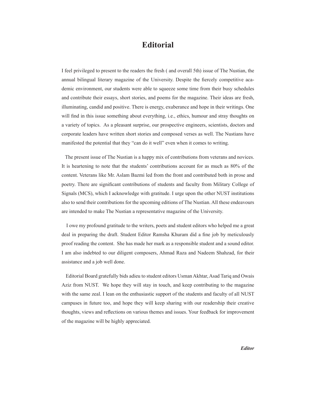# **Editorial**

I feel privileged to present to the readers the fresh ( and overall 5th) issue of The Nustian, the annual bilingual literary magazine of the University. Despite the fiercely competitive academic environment, our students were able to squeeze some time from their busy schedules and contribute their essays, short stories, and poems for the magazine. Their ideas are fresh, illuminating, candid and positive. There is energy, exuberance and hope in their writings. One will find in this issue something about everything, i.e., ethics, humour and stray thoughts on a variety of topics. As a pleasant surprise, our prospective engineers, scientists, doctors and corporate leaders have written short stories and composed verses as well. The Nustians have manifested the potential that they "can do it well" even when it comes to writing.

 The present issue of The Nustian is a happy mix of contributions from veterans and novices. It is heartening to note that the students' contributions account for as much as 80% of the content. Veterans like Mr. Aslam Bazmi led from the front and contributed both in prose and poetry. There are significant contributions of students and faculty from Military College of Signals (MCS), which I acknowledge with gratitude. I urge upon the other NUST institutions also to send their contributions for the upcoming editions of The Nustian. All these endeavours are intended to make The Nustian a representative magazine of the University.

 I owe my profound gratitude to the writers, poets and student editors who helped me a great deal in preparing the draft. Student Editor Ramsha Khuram did a fine job by meticulously proof reading the content. She has made her mark as a responsible student and a sound editor. I am also indebted to our diligent composers, Ahmad Raza and Nadeem Shahzad, for their assistance and a job well done.

 Editorial Board gratefully bids adieu to student editors Usman Akhtar, Asad Tariq and Owais Aziz from NUST. We hope they will stay in touch, and keep contributing to the magazine with the same zeal. I lean on the enthusiastic support of the students and faculty of all NUST campuses in future too, and hope they will keep sharing with our readership their creative thoughts, views and reflections on various themes and issues. Your feedback for improvement of the magazine will be highly appreciated.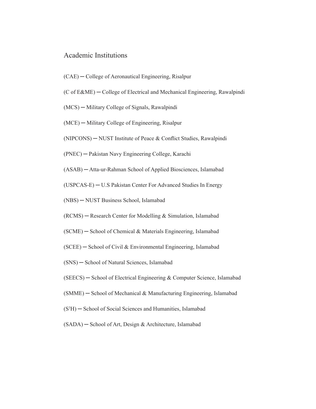### Academic Institutions

- (CAE) ─ College of Aeronautical Engineering, Risalpur
- $(C \text{ of } E\&\text{ME})$  College of Electrical and Mechanical Engineering, Rawalpindi
- (MCS) ─ Military College of Signals, Rawalpindi
- (MCE) ─ Military College of Engineering, Risalpur
- (NIPCONS) ─ NUST Institute of Peace & Conflict Studies, Rawalpindi
- (PNEC) ─ Pakistan Navy Engineering College, Karachi
- (ASAB) ─ Atta-ur-Rahman School of Applied Biosciences, Islamabad

(USPCAS-E) ─ U.S Pakistan Center For Advanced Studies In Energy

- (NBS) ─ NUST Business School, Islamabad
- (RCMS) ─ Research Center for Modelling & Simulation, Islamabad
- $(SCME)$   $-$  School of Chemical & Materials Engineering, Islamabad
- $(SCEE)$   $-$  School of Civil & Environmental Engineering, Islamabad
- (SNS) ─ School of Natural Sciences, Islamabad
- (SEECS) ─ School of Electrical Engineering & Computer Science, Islamabad
- $(SMME)$   $-$  School of Mechanical & Manufacturing Engineering, Islamabad
- (S3 H) ─ School of Social Sciences and Humanities, Islamabad
- (SADA) ─ School of Art, Design & Architecture, Islamabad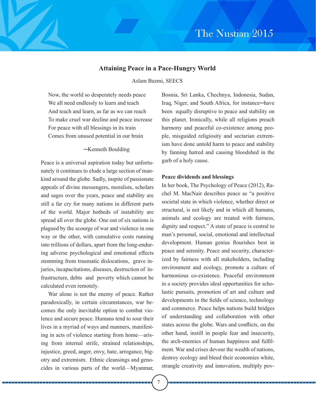### **Attaining Peace in a Pace-Hungry World**

Aslam Bazmi, SEECS

Now, the world so desperately needs peace We all need endlessly to learn and teach And teach and learn, as far as we can reach To make cruel war decline and peace increase For peace with all blessings in its train Comes from unused potential in our brain

### ─Kenneth Boulding

Peace is a universal aspiration today but unfortunately it continues to elude a large section of mankind around the globe. Sadly, inspite of passionate appeals of divine messengers, moralists, scholars and sages over the years, peace and stability are still a far cry for many nations in different parts of the world. Major hotbeds of instability are spread all over the globe. One out of six nations is plagued by the scourge of war and violence in one way or the other, with cumulative costs running into trillions of dollars, apart from the long-enduring adverse psychological and emotional effects stemming from traumatic dislocations, grave injuries, incapacitations, diseases, destruction of infrastructure, debts and poverty which cannot be calculated even remotely.

War alone is not the enemy of peace. Rather paradoxically, in certain circumstances, war becomes the only inevitable option to combat violence and secure peace. Humans tend to sour their lives in a myriad of ways and manners, manifesting in acts of violence starting from home—arising from internal strife, strained relationships, injustice, greed, anger, envy, hate, arrogance, bigotry and extremism. Ethnic cleansings and genocides in various parts of the world—Myanmar,

Bosnia, Sri Lanka, Chechnya, Indonesia, Sudan, Iraq, Niger, and South Africa, for instance─have been equally disruptive to peace and stability on this planet. Ironically, while all religions preach harmony and peaceful co-existence among people, misguided religiosity and sectarian extremism have done untold harm to peace and stability by fanning hatred and causing bloodshed in the garb of a holy cause.

### **Peace dividends and blessings**

In her book, The Psychology of Peace (2012), Rachel M. MacNair describes peace as "a positive societal state in which violence, whether direct or structural, is not likely and in which all humans, animals and ecology are treated with fairness, dignity and respect." A state of peace is central to man's personal, social, emotional and intellectual development. Human genius flourishes best in peace and serenity. Peace and security, characterized by fairness with all stakeholders, including environment and ecology, promote a culture of harmonious co-existence. Peaceful environment in a society provides ideal opportunities for scholastic pursuits, promotion of art and culture and developments in the fields of science, technology and commerce. Peace helps nations build bridges of understanding and collaboration with other states across the globe. Wars and conflicts, on the other hand, instill in people fear and insecurity, the arch-enemies of human happiness and fulfilment. War and crises devour the wealth of nations, destroy ecology and bleed their economies white, strangle creativity and innovation, multiply pov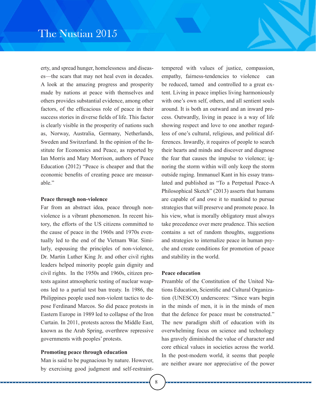erty, and spread hunger, homelessness and diseases—the scars that may not heal even in decades. A look at the amazing progress and prosperity made by nations at peace with themselves and others provides substantial evidence, among other factors, of the efficacious role of peace in their success stories in diverse fields of life. This factor is clearly visible in the prosperity of nations such as, Norway, Australia, Germany, Netherlands, Sweden and Switzerland. In the opinion of the Institute for Economics and Peace, as reported by Ian Morris and Mary Morrison, authors of Peace Education (2012) "Peace is cheaper and that the economic benefits of creating peace are measurable"

### **Peace through non-violence**

Far from an abstract idea, peace through nonviolence is a vibrant phenomenon. In recent history, the efforts of the US citizens committed to the cause of peace in the 1960s and 1970s eventually led to the end of the Vietnam War. Similarly, espousing the principles of non-violence, Dr. Martin Luther King Jr. and other civil rights leaders helped minority people gain dignity and civil rights. In the 1950s and 1960s, citizen protests against atmospheric testing of nuclear weapons led to a partial test ban treaty. In 1986, the Philippines people used non-violent tactics to depose Ferdinand Marcos. So did peace protests in Eastern Europe in 1989 led to collapse of the Iron Curtain. In 2011, protests across the Middle East, known as the Arab Spring, overthrew repressive governments with peoples' protests.

### **Promoting peace through education**

Man is said to be pugnacious by nature. However, by exercising good judgment and self-restrainttempered with values of justice, compassion, empathy, fairness-tendencies to violence can be reduced, tamed and controlled to a great extent. Living in peace implies living harmoniously with one's own self, others, and all sentient souls around. It is both an outward and an inward process. Outwardly, living in peace is a way of life showing respect and love to one another regardless of one's cultural, religious, and political differences. Inwardly, it requires of people to search their hearts and minds and discover and diagnose the fear that causes the impulse to violence; ignoring the storm within will only keep the storm outside raging. Immanuel Kant in his essay translated and published as "To a Perpetual Peace-A Philosophical Sketch" (2013) asserts that humans are capable of and owe it to mankind to pursue strategies that will preserve and promote peace. In his view, what is morally obligatory must always take precedence over mere prudence. This section contains a set of random thoughts, suggestions and strategies to internalize peace in human psyche and create conditions for promotion of peace and stability in the world.

### **Peace education**

Preamble of the Constitution of the United Nations Education, Scientific and Cultural Organization (UNESCO) underscores: "Since wars begin in the minds of men, it is in the minds of men that the defence for peace must be constructed." The new paradigm shift of education with its overwhelming focus on science and technology has gravely diminished the value of character and core ethical values in societies across the world. In the post-modern world, it seems that people are neither aware nor appreciative of the power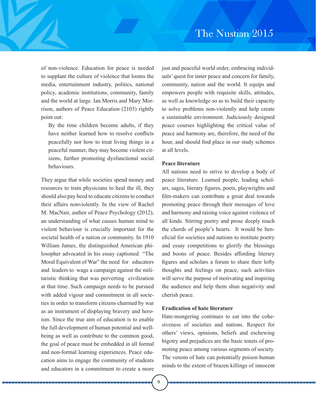of non-violence. Education for peace is needed to supplant the culture of violence that looms the media, entertainment industry, politics, national policy, academic institutions, community, family and the world at large. Ian Morris and Mary Morrison, authors of Peace Education (2103) rightly point out:

By the time children become adults, if they have neither learned how to resolve conflicts peacefully nor how to treat living things in a peaceful manner, they may become violent citizens, further promoting dysfunctional social behaviours.

They argue that while societies spend money and resources to train physicians to heal the ill, they should also pay heed to educate citizens to conduct their affairs nonviolently. In the view of Rachel M. MacNair, author of Peace Psychology (2012), an understanding of what causes human mind to violent behaviour is crucially important for the societal health of a nation or community. In 1910 William James, the distinguished American philosopher advocated in his essay captioned "The Moral Equivalent of War" the need for educators and leaders to wage a campaign against the militaristic thinking that was perverting civilization at that time. Such campaign needs to be pursued with added vigour and commitment in all societies in order to transform citizens charmed by war as an instrument of displaying bravery and heroism. Since the true aim of education is to enable the full development of human potential and wellbeing as well as contribute to the common good, the goal of peace must be embedded in all formal and non-formal learning experiences. Peace education aims to engage the community of students and educators in a commitment to create a more just and peaceful world order, embracing individuals' quest for inner peace and concern for family, community, nation and the world. It equips and empowers people with requisite skills, attitudes, as well as knowledge so as to build their capacity to solve problems non-violently and help create a sustainable environment. Judiciously designed peace courses highlighting the critical value of peace and harmony are, therefore, the need of the hour, and should find place in our study schemes at all levels.

### **Peace literature**

All nations need to strive to develop a body of peace literature. Learned people, leading scholars, sages, literary figures, poets, playwrights and film-makers can contribute a great deal towards promoting peace through their messages of love and harmony and raising voice against violence of all kinds. Stirring poetry and prose deeply touch the chords of people's hearts. It would be beneficial for societies and nations to institute poetry and essay competitions to glorify the blessings and boons of peace. Besides affording literary figures and scholars a forum to share their lofty thoughts and feelings on peace, such activities will serve the purpose of motivating and inspiring the audience and help them shun negativity and cherish peace.

### **Eradication of hate literature**

Hate-mongering continues to eat into the cohesiveness of societies and nations. Respect for others' views, opinions, beliefs and eschewing bigotry and prejudices are the basic tenets of promoting peace among various segments of society. The venom of hate can potentially poison human minds to the extent of brazen killings of innocent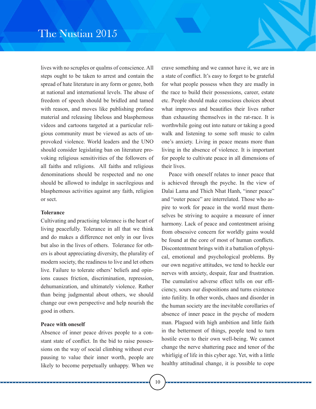lives with no scruples or qualms of conscience. All steps ought to be taken to arrest and contain the spread of hate literature in any form or genre, both at national and international levels. The abuse of freedom of speech should be bridled and tamed with reason, and moves like publishing profane material and releasing libelous and blasphemous videos and cartoons targeted at a particular religious community must be viewed as acts of unprovoked violence. World leaders and the UNO should consider legislating ban on literature provoking religious sensitivities of the followers of all faiths and religions. All faiths and religious denominations should be respected and no one should be allowed to indulge in sacrilegious and blasphemous activities against any faith, religion or sect.

### **Tolerance**

Cultivating and practising tolerance is the heart of living peacefully. Tolerance in all that we think and do makes a difference not only in our lives but also in the lives of others. Tolerance for others is about appreciating diversity, the plurality of modern society, the readiness to live and let others live. Failure to tolerate others' beliefs and opinions causes friction, discrimination, repression, dehumanization, and ultimately violence. Rather than being judgmental about others, we should change our own perspective and help nourish the good in others.

### **Peace with oneself**

Absence of inner peace drives people to a constant state of conflict. In the bid to raise possessions on the way of social climbing without ever pausing to value their inner worth, people are likely to become perpetually unhappy. When we crave something and we cannot have it, we are in a state of conflict. It's easy to forget to be grateful for what people possess when they are madly in the race to build their possessions, career, estate etc. People should make conscious choices about what improves and beautifies their lives rather than exhausting themselves in the rat-race. It is worthwhile going out into nature or taking a good walk and listening to some soft music to calm one's anxiety. Living in peace means more than living in the absence of violence. It is important for people to cultivate peace in all dimensions of their lives.

Peace with oneself relates to inner peace that is achieved through the psyche. In the view of Dalai Lama and Thich Nhat Hanh, "inner peace" and "outer peace" are interrelated. Those who aspire to work for peace in the world must themselves be striving to acquire a measure of inner harmony. Lack of peace and contentment arising from obsessive concern for worldly gains would be found at the core of most of human conflicts. Discontentment brings with it a battalion of physical, emotional and psychological problems. By our own negative attitudes, we tend to heckle our nerves with anxiety, despair, fear and frustration. The cumulative adverse effect tells on our efficiency, sours our dispositions and turns existence into futility. In other words, chaos and disorder in the human society are the inevitable corollaries of absence of inner peace in the psyche of modern man. Plagued with high ambition and little faith in the betterment of things, people tend to turn hostile even to their own well-being. We cannot change the nerve shattering pace and tenor of the whirligig of life in this cyber age. Yet, with a little healthy attitudinal change, it is possible to cope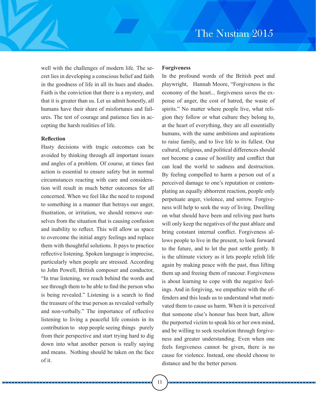well with the challenges of modern life. The secret lies in developing a conscious belief and faith in the goodness of life in all its hues and shades. Faith is the conviction that there is a mystery, and that it is greater than us. Let us admit honestly, all humans have their share of misfortunes and failures. The test of courage and patience lies in accepting the harsh realities of life.

### **Reflection**

Hasty decisions with tragic outcomes can be avoided by thinking through all important issues and angles of a problem. Of course, at times fast action is essential to ensure safety but in normal circumstances reacting with care and consideration will result in much better outcomes for all concerned. When we feel like the need to respond to something in a manner that betrays our anger, frustration, or irritation, we should remove ourselves from the situation that is causing confusion and inability to reflect. This will allow us space to overcome the initial angry feelings and replace them with thoughtful solutions. It pays to practice reflective listening. Spoken language is imprecise, particularly when people are stressed. According to John Powell, British composer and conductor, "In true listening, we reach behind the words and see through them to be able to find the person who is being revealed." Listening is a search to find the treasure of the true person as revealed verbally and non-verbally." The importance of reflective listening to living a peaceful life consists in its contribution to stop people seeing things purely from their perspective and start trying hard to dig down into what another person is really saying and means. Nothing should be taken on the face of it.

### **Forgiveness**

In the profound words of the British poet and playwright, Hannah Moore, "Forgiveness is the economy of the heart... forgiveness saves the expense of anger, the cost of hatred, the waste of spirits." No matter where people live, what religion they follow or what culture they belong to, at the heart of everything, they are all essentially humans, with the same ambitions and aspirations to raise family, and to live life to its fullest. Our cultural, religious, and political differences should not become a cause of hostility and conflict that can lead the world to sadness and destruction. By feeling compelled to harm a person out of a perceived damage to one's reputation or contemplating an equally abhorrent reaction, people only perpetuate anger, violence, and sorrow. Forgiveness will help to seek the way of living. Dwelling on what should have been and reliving past hurts will only keep the negatives of the past ablaze and bring constant internal conflict. Forgiveness allows people to live in the present, to look forward to the future, and to let the past settle gently. It is the ultimate victory as it lets people relish life again by making peace with the past, thus lifting them up and freeing them of rancour. Forgiveness is about learning to cope with the negative feelings. And in forgiving, we empathize with the offenders and this leads us to understand what motivated them to cause us harm. When it is perceived that someone else's honour has been hurt, allow the purported victim to speak his or her own mind, and be willing to seek resolution through forgiveness and greater understanding. Even when one feels forgiveness cannot be given, there is no cause for violence. Instead, one should choose to distance and be the better person.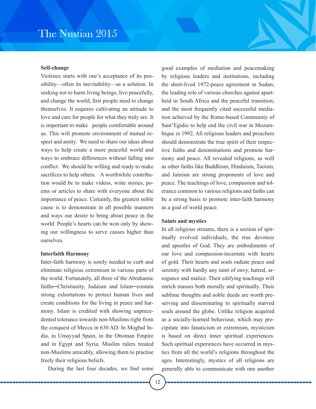# The Nustian 2015

### **Self-change**

Violence starts with one's acceptance of its possibility—often its inevitability—as a solution. In seeking not to harm living beings, live peacefully, and change the world, first people need to change themselves. It requires cultivating an attitude to love and care for people for what they truly are. It is important to make people comfortable around us. This will promote environment of mutual respect and amity. We need to share our ideas about ways to help create a more peaceful world and ways to embrace differences without falling into conflict. We should be willing and ready to make sacrifices to help others. A worthwhile contribution would be to make videos, write stories, poems or articles to share with everyone about the importance of peace. Certainly, the greatest noble cause is to demonstrate in all possible manners and ways our desire to bring about peace in the world. People's hearts can be won only by showing our willingness to serve causes higher than ourselves.

### **Interfaith Harmony**

Inter-faith harmony is sorely needed to curb and eliminate religious extremism in various parts of the world. Fortunately, all three of the Abrahamic faiths─Christianity, Judaism and Islam─contain strong exhortations to protect human lives and create conditions for the living in peace and harmony. Islam is credited with showing unprecedented tolerance towards non-Muslims right from the conquest of Mecca in 630 AD. In Moghul India, in Umayyad Spain, in the Ottoman Empire and in Egypt and Syria, Muslim rulers treated non-Muslims amicably, allowing them to practise freely their religious beliefs.

During the last four decades, we find some

good examples of mediation and peacemaking by religious leaders and institutions, including the short-lived 1972-peace agreement in Sudan; the leading role of various churches against apartheid in South Africa and the peaceful transition; and the most frequently cited successful mediation achieved by the Rome-based Community of Sant'Egidio to help end the civil war in Mozambique in 1992. All religious leaders and preachers should demonstrate the true spirit of their respective faiths and denominations and promote harmony and peace. All revealed religions, as well as other faiths like Buddhism, Hinduism, Taoism, and Jainism are strong proponents of love and peace. The teachings of love, compassion and tolerance common to various religions and faiths can be a strong basis to promote inter-faith harmony as a goal of world peace.

### **Saints and mystics**

In all religious streams, there is a section of spiritually evolved individuals, the true devotees and apostles of God. They are embodiments of our love and compassion-incarnate with hearts of gold. Their hearts and souls radiate peace and serenity with hardly any taint of envy, hatred, arrogance and malice. Their edifying teachings will enrich masses both morally and spiritually. Their sublime thoughts and noble deeds are worth preserving and disseminating to spiritually starved souls around the globe. Unlike religion acquired as a socially-learned behaviour, which may precipitate into fanaticism or extremism, mysticism is based on direct inner spiritual experiences. Such spiritual experiences have occurred in mystics from all the world's religions throughout the ages. Interestingly, mystics of all religions are generally able to communicate with one another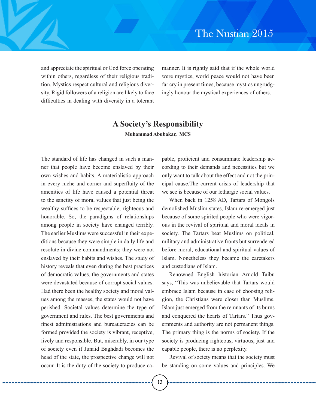and appreciate the spiritual or God force operating within others, regardless of their religious tradition. Mystics respect cultural and religious diversity. Rigid followers of a religion are likely to face difficulties in dealing with diversity in a tolerant manner. It is rightly said that if the whole world were mystics, world peace would not have been far cry in present times, because mystics ungrudgingly honour the mystical experiences of others.

# **A Society's Responsibility**

**Muhammad Abubakar, MCS**

The standard of life has changed in such a manner that people have become enslaved by their own wishes and habits. A materialistic approach in every niche and corner and superfluity of the amenities of life have caused a potential threat to the sanctity of moral values that just being the wealthy suffices to be respectable, righteous and honorable. So, the paradigms of relationships among people in society have changed terribly. The earlier Muslims were successful in their expeditions because they were simple in daily life and resolute in divine commandments; they were not enslaved by their habits and wishes. The study of history reveals that even during the best practices of democratic values, the governments and states were devastated because of corrupt social values. Had there been the healthy society and moral values among the masses, the states would not have perished. Societal values determine the type of government and rules. The best governments and finest administrations and bureaucracies can be formed provided the society is vibrant, receptive, lively and responsible. But, miserably, in our type of society even if Junaid Baghdadi becomes the head of the state, the prospective change will not occur. It is the duty of the society to produce capable, proficient and consummate leadership according to their demands and necessities but we only want to talk about the effect and not the principal cause.The current crisis of leadership that we see is because of our lethargic social values.

When back in 1258 AD, Tartars of Mongols demolished Muslim states, Islam re-emerged just because of some spirited people who were vigorous in the revival of spiritual and moral ideals in society. The Tartars beat Muslims on political, military and administrative fronts but surrendered before moral, educational and spiritual values of Islam. Nonetheless they became the caretakers and custodians of Islam.

Renowned English historian Arnold Taibu says, "This was unbelievable that Tartars would embrace Islam because in case of choosing religion, the Christians were closer than Muslims. Islam just emerged from the remnants of its burns and conquered the hearts of Tartars." Thus governments and authority are not permanent things. The primary thing is the norms of society. If the society is producing righteous, virtuous, just and capable people, there is no perplexity.

Revival of society means that the society must be standing on some values and principles. We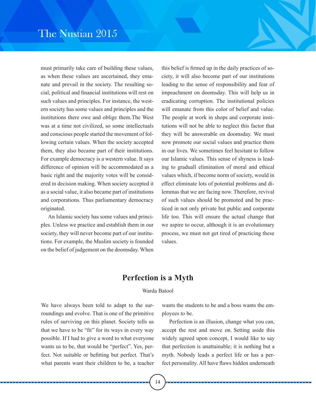must primarily take care of building these values, as when these values are ascertained, they emanate and prevail in the society. The resulting social, political and financial institutions will rest on such values and principles. For instance, the western society has some values and principles and the institutions there owe and oblige them.The West was at a time not civilized, so some intellectuals and conscious people started the movement of following certain values. When the society accepted them, they also became part of their institutions. For example democracy is a western value. It says difference of opinion will be accommodated as a basic right and the majority votes will be considered in decision making. When society accepted it as a social value, it also became part of institutions and corporations. Thus parliamentary democracy originated.

An Islamic society has some values and principles. Unless we practice and establish them in our society, they will never become part of our institutions. For example, the Muslim society is founded on the belief of judgement on the doomsday. When

this belief is firmed up in the daily practices of society, it will also become part of our institutions leading to the sense of responsibility and fear of impeachment on doomsday. This will help us in eradicating corruption. The institutional policies will emanate from this color of belief and value. The people at work in shops and corporate institutions will not be able to neglect this factor that they will be answerable on doomsday. We must now promote our social values and practice them in our lives. We sometimes feel hesitant to follow our Islamic values. This sense of shyness is leading to graduall elimination of moral and ethical values which, if become norm of society, would in effect eliminate lots of potential problems and dilemmas that we are facing now. Therefore, revival of such values should be promoted and be practiced in not only private but public and corporate life too. This will ensure the actual change that we aspire to occur, although it is an evolutionary process, we must not get tired of practicing these values.

# **Perfection is a Myth**

### Warda Batool

We have always been told to adapt to the surroundings and evolve. That is one of the primitive rules of surviving on this planet. Society tells us that we have to be "fit" for its ways in every way possible. If I had to give a word to what everyone wants us to be, that would be "perfect". Yes, perfect. Not suitable or befitting but perfect. That's what parents want their children to be, a teacher

wants the students to be and a boss wants the employees to be.

Perfection is an illusion, change what you can, accept the rest and move on. Setting aside this widely agreed upon concept, I would like to say that perfection is unattainable; it is nothing but a myth. Nobody leads a perfect life or has a perfect personality. All have flaws hidden underneath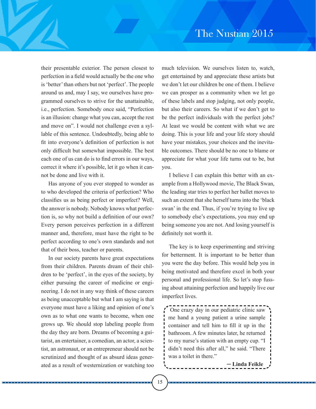their presentable exterior. The person closest to perfection in a field would actually be the one who is 'better' than others but not 'perfect'. The people around us and, may I say, we ourselves have programmed ourselves to strive for the unattainable, i.e., perfection. Somebody once said, "Perfection is an illusion: change what you can, accept the rest and move on". I would not challenge even a syllable of this sentence. Undoubtedly, being able to fit into everyone's definition of perfection is not only difficult but somewhat impossible. The best each one of us can do is to find errors in our ways, correct it where it's possible, let it go when it cannot be done and live with it.

Has anyone of you ever stopped to wonder as to who developed the criteria of perfection? Who classifies us as being perfect or imperfect? Well, the answer is nobody. Nobody knows what perfection is, so why not build a definition of our own? Every person perceives perfection in a different manner and, therefore, must have the right to be perfect according to one's own standards and not that of their boss, teacher or parents.

In our society parents have great expectations from their children. Parents dream of their children to be 'perfect', in the eyes of the society, by either pursuing the career of medicine or engineering. I do not in any way think of these careers as being unacceptable but what I am saying is that everyone must have a liking and opinion of one's own as to what one wants to become, when one grows up. We should stop labeling people from the day they are born. Dreams of becoming a guitarist, an entertainer, a comedian, an actor, a scientist, an astronaut, or an entrepreneur should not be scrutinized and thought of as absurd ideas generated as a result of westernization or watching too

much television. We ourselves listen to, watch, get entertained by and appreciate these artists but we don't let our children be one of them. I believe we can prosper as a community when we let go of these labels and stop judging, not only people, but also their careers. So what if we don't get to be the perfect individuals with the perfect jobs? At least we would be content with what we are doing. This is your life and your life story should have your mistakes, your choices and the inevitable outcomes. There should be no one to blame or appreciate for what your life turns out to be, but you.

I believe I can explain this better with an example from a Hollywood movie, The Black Swan, the leading star tries to perfect her ballet moves to such an extent that she herself turns into the 'black swan' in the end. Thus, if you're trying to live up to somebody else's expectations, you may end up being someone you are not. And losing yourself is definitely not worth it.

The key is to keep experimenting and striving for betterment. It is important to be better than you were the day before. This would help you in being motivated and therefore excel in both your personal and professional life. So let's stop fussing about attaining perfection and happily live our imperfect lives.

` One crazy day in our pediatric clinic saw me hand a young patient a urine sample container and tell him to fill it up in the bathroom. A few minutes later, he returned to my nurse's station with an empty cup. "I didn't need this after all," he said. "There was a toilet in there."

─ **Linda Feikle**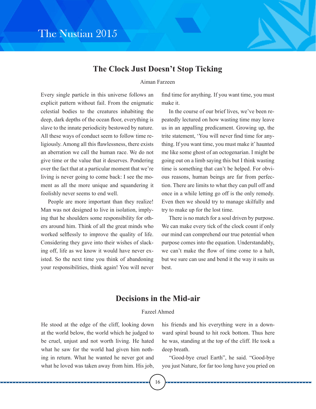

# **The Clock Just Doesn't Stop Ticking**

### Aiman Farzeen

Every single particle in this universe follows an explicit pattern without fail. From the enigmatic celestial bodies to the creatures inhabiting the deep, dark depths of the ocean floor, everything is slave to the innate periodicity bestowed by nature. All these ways of conduct seem to follow time religiously. Among all this flawlessness, there exists an aberration we call the human race. We do not give time or the value that it deserves. Pondering over the fact that at a particular moment that we're living is never going to come back: I see the moment as all the more unique and squandering it foolishly never seems to end well.

People are more important than they realize! Man was not designed to live in isolation, implying that he shoulders some responsibility for others around him. Think of all the great minds who worked selflessly to improve the quality of life. Considering they gave into their wishes of slacking off, life as we know it would have never existed. So the next time you think of abandoning your responsibilities, think again! You will never find time for anything. If you want time, you must make it.

In the course of our brief lives, we've been repeatedly lectured on how wasting time may leave us in an appalling predicament. Growing up, the trite statement, 'You will never find time for anything. If you want time, you must make it' haunted me like some ghost of an octogenarian. I might be going out on a limb saying this but I think wasting time is something that can't be helped. For obvious reasons, human beings are far from perfection. There are limits to what they can pull off and once in a while letting go off is the only remedy. Even then we should try to manage skilfully and try to make up for the lost time.

There is no match for a soul driven by purpose. We can make every tick of the clock count if only our mind can comprehend our true potential when purpose comes into the equation. Understandably, we can't make the flow of time come to a halt, but we sure can use and bend it the way it suits us best.

# **Decisions in the Mid-air**

### Fazeel Ahmed

He stood at the edge of the cliff, looking down at the world below, the world which he judged to be cruel, unjust and not worth living. He hated what he saw for the world had given him nothing in return. What he wanted he never got and what he loved was taken away from him. His job, his friends and his everything were in a downward spiral bound to hit rock bottom. Thus here he was, standing at the top of the cliff. He took a deep breath.

"Good-bye cruel Earth", he said. "Good-bye you just Nature, for far too long have you pried on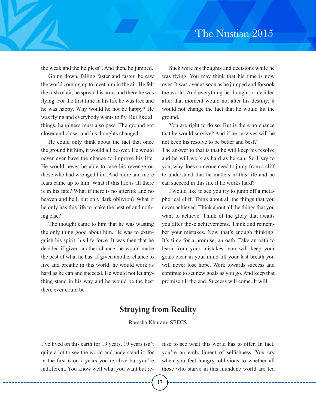the weak and the helpless". And then, he jumped.

Going down, falling faster and faster, he saw the world coming up to meet him in the air. He felt the rush of air, he spread his arms and there he was flying. For the first time in his life he was free and he was happy. Why would he not be happy? He was flying and everybody wants to fly. But like all things, happiness must also pass. The ground got closer and closer and his thoughts changed.

He could only think about the fact that once the ground hit him, it would all be over. He would never ever have the chance to improve his life. He would never be able to take his revenge on those who had wronged him. And more and more fears came up to him. What if this life is all there is in his fate? What if there is no afterlife and no heaven and hell, but only dark oblivion? What if he only has this life to make the best of and nothing else?

The thought came to him that he was wasting the only thing good about him. He was to extinguish his spirit, his life force. It was then that he decided if given another chance, he would make the best of what he has. If given another chance to live and breathe in this world, he would work as hard as he can and succeed. He would not let anything stand in his way and he would be the best there ever could be.

Such were his thoughts and decisions while he was flying. You may think that his time is now over. It was over as soon as he jumped and forsook the world. And everything he thought or decided after that moment would not alter his destiny; it would not change the fact that he would hit the ground.

You are right to do so. But is there no chance that he would survive? And if he survives will he not keep his resolve to be better and best? The answer to that is that he will keep his resolve and he will work as hard as he can. So I say to you, why does someone need to jump from a cliff to understand that he matters in this life and he can succeed in this life if he works hard?

I would like to see you try to jump off a metaphorical cliff. Think about all the things that you never achieved. Think about all the things that you want to achieve. Think of the glory that awaits you after those achievements. Think and remember your mistakes. Now that's enough thinking. It's time for a promise, an oath. Take an oath to learn from your mistakes, you will keep your goals clear in your mind till your last breath you will never lose hope. Work towards success and continue to set new goals as you go. And keep that promise till the end. Success will come. It will.

# **Straying from Reality**

Ramsha Khuram, SEECS

I've lived on this earth for 19 years. 19 years isn't quite a lot to see the world and understand it; for in the first 6 or 7 years you're alive but you're indifferent. You know well what you want but re-

fuse to see what this world has to offer. In fact, you're an embodiment of selfishness. You cry when you feel hungry, oblivious to whether all those who starve in this mundane world are fed

17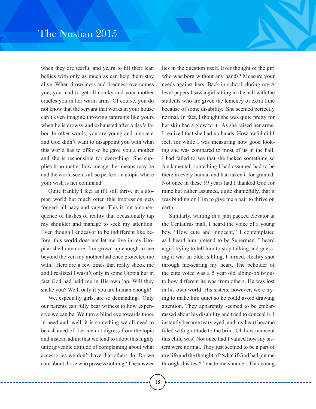when they are tearful and yearn to fill their lean bellies with only as much as can help them stay alive. When drowsiness and tiredness overcomes you, you tend to get all cranky and your mother cradles you in her warm arms. Of course, you do not know that the servant that works in your house can't even imagine throwing tantrums like yours when he is drowsy and exhausted after a day's labor. In other words, you are young and innocent and God didn't want to disappoint you with what this world has to offer so he gave you a mother and she is responsible for everything! She supplies it no matter how meager her means may be and the world seems all so perfect - a utopia where your wish is her command.

Quite frankly I feel as if I still thrive in a utopian world but much often this impression gets fogged- all hazy and vague. This is but a consequence of flashes of reality that occasionally tap my shoulder and manage to seek my attention. Even though I endeavor to be indifferent like before; this world does not let me live in my Utopian shell anymore. I'm grown up enough to see beyond the veil my mother had once protected me with. Here are a few times that really shook me and I realized I wasn't only in some Utopia but in fact God had held me in His own lap. Will they shake you? Well, only if you are human enough!

We, especially girls, are so demanding. Only our parents can fully bear witness to how expensive we can be. We turn a blind eye towards those in need and, well, it is something we all need to be ashamed of. Let me not digress from the topic and instead admit that we tend to adopt this highly unforgiveable attitude of complaining about what accessories we don't have that others do. Do we care about those who possess nothing? The answer

lies in the question itself. Ever thought of the girl who was born without any hands? Measure your needs against hers. Back in school, during my A level papers I saw a girl sitting in the hall with the students who are given the leniency of extra time because of some disability. She seemed perfectly normal. In fact, I thought she was quite pretty for her skin had a glow to it. As she raised her arms, I realized that she had no hands. How awful did I feel, for while I was measuring how good looking she was compared to most of us in the hall, I had failed to see that she lacked something so fundamental, something I had assumed had to be there in every human and had taken it for granted. Not once in these 19 years had I thanked God for mine but rather assumed, quite shamefully, that it was binding on Him to give me a pair to thrive on earth.

Similarly, waiting in a jam packed elevator at the Centaurus mall, I heard the voice of a young boy. "How cute and innocent," I contemplated as I heard him pretend to be Superman. I heard a girl trying to tell him to stop talking and guessing it was an older sibling, I turned. Reality shot through me-searing my heart. The beholder of the cute voice was a 5 year old albino-oblivious to how different he was from others. He was lost in his own world. His sisters, however, were trying to make him quiet so he could avoid drawing attention. They apparently seemed to be embarrassed about his disability and tried to conceal it. I instantly became teary eyed, and my heart became filled with gratitude to the brim. Oh how innocent this child was! Not once had I valued how my sisters were normal. They just seemed to be a part of my life and the thought of "what if God had put me through this test?" made me shudder. This young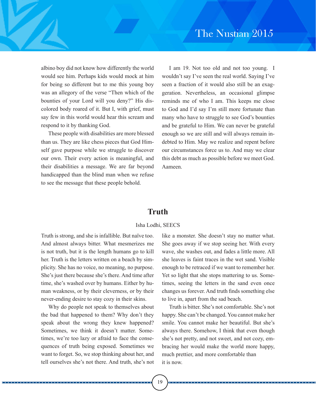albino boy did not know how differently the world would see him. Perhaps kids would mock at him for being so different but to me this young boy was an allegory of the verse "Then which of the bounties of your Lord will you deny?" His discolored body roared of it. But I, with grief, must say few in this world would hear this scream and respond to it by thanking God.

These people with disabilities are more blessed than us. They are like chess pieces that God Himself gave purpose while we struggle to discover our own. Their every action is meaningful, and their disabilities a message. We are far beyond handicapped than the blind man when we refuse to see the message that these people behold.

I am 19. Not too old and not too young. I wouldn't say I've seen the real world. Saying I've seen a fraction of it would also still be an exaggeration. Nevertheless, an occasional glimpse reminds me of who I am. This keeps me close to God and I'd say I'm still more fortunate than many who have to struggle to see God's bounties and be grateful to Him. We can never be grateful enough so we are still and will always remain indebted to Him. May we realize and repent before our circumstances force us to. And may we clear this debt as much as possible before we meet God. Aameen.

# **Truth**

### Isha Lodhi, SEECS

Truth is strong, and she is infallible. But naïve too. And almost always bitter. What mesmerizes me is not truth, but it is the length humans go to kill her. Truth is the letters written on a beach by simplicity. She has no voice, no meaning, no purpose. She's just there because she's there. And time after time, she's washed over by humans. Either by human weakness, or by their cleverness, or by their never-ending desire to stay cozy in their skins.

Why do people not speak to themselves about the bad that happened to them? Why don't they speak about the wrong they knew happened? Sometimes, we think it doesn't matter. Sometimes, we're too lazy or afraid to face the consequences of truth being exposed. Sometimes we want to forget. So, we stop thinking about her, and tell ourselves she's not there. And truth, she's not like a monster. She doesn't stay no matter what. She goes away if we stop seeing her. With every wave, she washes out, and fades a little more. All she leaves is faint traces in the wet sand. Visible enough to be retraced if we want to remember her. Yet so light that she stops mattering to us. Sometimes, seeing the letters in the sand even once changes us forever. And truth finds something else to live in, apart from the sad beach.

Truth is bitter. She's not comfortable. She's not happy. She can't be changed. You cannot make her smile. You cannot make her beautiful. But she's always there. Somehow, I think that even though she's not pretty, and not sweet, and not cozy, embracing her would make the world more happy, much prettier, and more comfortable than it is now.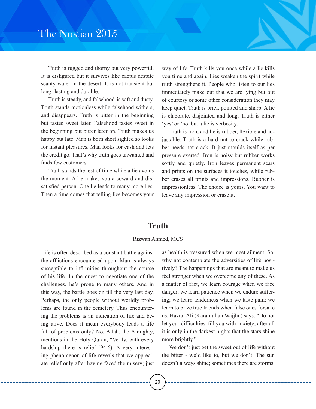Truth is rugged and thorny but very powerful. It is disfigured but it survives like cactus despite scanty water in the desert. It is not transient but long- lasting and durable.

Truth is steady, and falsehood is soft and dusty. Truth stands motionless while falsehood withers, and disappears. Truth is bitter in the beginning but tastes sweet later. Falsehood tastes sweet in the beginning but bitter later on. Truth makes us happy but late. Man is born short sighted so looks for instant pleasures. Man looks for cash and lets the credit go. That's why truth goes unwanted and finds few customers.

Truth stands the test of time while a lie avoids the moment. A lie makes you a coward and dissatisfied person. One lie leads to many more lies. Then a time comes that telling lies becomes your way of life. Truth kills you once while a lie kills you time and again. Lies weaken the spirit while truth strengthens it. People who listen to our lies immediately make out that we are lying but out of courtesy or some other consideration they may keep quiet. Truth is brief, pointed and sharp. A lie is elaborate, disjointed and long. Truth is either 'yes' or 'no' but a lie is verbosity.

Truth is iron, and lie is rubber, flexible and adjustable. Truth is a hard nut to crack while rubber needs not crack. It just moulds itself as per pressure exerted. Iron is noisy but rubber works softly and quietly. Iron leaves permanent scars and prints on the surfaces it touches, while rubber erases all prints and impressions. Rubber is impressionless. The choice is yours. You want to leave any impression or erase it.

# **Truth**

### Rizwan Ahmed, MCS

Life is often described as a constant battle against the afflictions encountered upon. Man is always susceptible to infirmities throughout the course of his life. In the quest to negotiate one of the challenges, he's prone to many others. And in this way, the battle goes on till the very last day. Perhaps, the only people without worldly problems are found in the cemetery. Thus encountering the problems is an indication of life and being alive. Does it mean everybody leads a life full of problems only? No. Allah, the Almighty, mentions in the Holy Quran, "Verily, with every hardship there is relief (94:6). A very interesting phenomenon of life reveals that we appreciate relief only after having faced the misery; just

as health is treasured when we meet ailment. So, why not contemplate the adversities of life positively? The happenings that are meant to make us feel stronger when we overcome any of these. As a matter of fact, we learn courage when we face danger; we learn patience when we endure suffering; we learn tenderness when we taste pain; we learn to prize true friends when false ones forsake us. Hazrat Ali (Karamullah Wajjhu) says: "Do not let your difficulties fill you with anxiety; after all it is only in the darkest nights that the stars shine more brightly."

We don't just get the sweet out of life without the bitter - we'd like to, but we don't. The sun doesn't always shine; sometimes there are storms,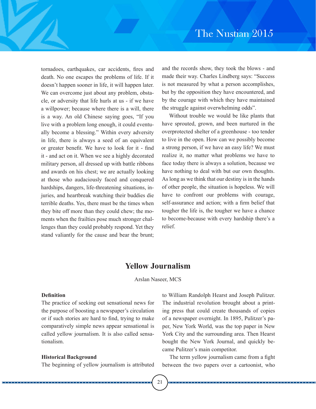tornadoes, earthquakes, car accidents, fires and death. No one escapes the problems of life. If it doesn't happen sooner in life, it will happen later. We can overcome just about any problem, obstacle, or adversity that life hurls at us - if we have a willpower; because where there is a will, there is a way. An old Chinese saying goes, "If you live with a problem long enough, it could eventually become a blessing." Within every adversity in life, there is always a seed of an equivalent or greater benefit. We have to look for it - find it - and act on it. When we see a highly decorated military person, all dressed up with battle ribbons and awards on his chest; we are actually looking at those who audaciously faced and conquered hardships, dangers, life-threatening situations, injuries, and heartbreak watching their buddies die terrible deaths. Yes, there must be the times when they bite off more than they could chew; the moments when the frailties pose much stronger challenges than they could probably respond. Yet they stand valiantly for the cause and bear the brunt;

and the records show, they took the blows - and made their way. Charles Lindberg says: "Success is not measured by what a person accomplishes, but by the opposition they have encountered, and by the courage with which they have maintained the struggle against overwhelming odds".

Without trouble we would be like plants that have sprouted, grown, and been nurtured in the overprotected shelter of a greenhouse - too tender to live in the open. How can we possibly become a strong person, if we have an easy life? We must realize it, no matter what problems we have to face today there is always a solution, because we have nothing to deal with but our own thoughts. As long as we think that our destiny is in the hands of other people, the situation is hopeless. We will have to confront our problems with courage, self-assurance and action; with a firm belief that tougher the life is, the tougher we have a chance to become-because with every hardship there's a relief.

# **Yellow Journalism**

Arslan Naseer, MCS

### **Definition**

The practice of seeking out sensational news for the purpose of boosting a newspaper's circulation or if such stories are hard to find, trying to make comparatively simple news appear sensational is called yellow journalism. It is also called sensationalism.

### **Historical Background**

The beginning of yellow journalism is attributed

to William Randolph Hearst and Joseph Pulitzer. The industrial revolution brought about a printing press that could create thousands of copies of a newspaper overnight. In 1895, Pulitzer's paper, New York World, was the top paper in New York City and the surrounding area. Then Hearst bought the New York Journal, and quickly became Pulitzer's main competitor.

The term yellow journalism came from a fight between the two papers over a cartoonist, who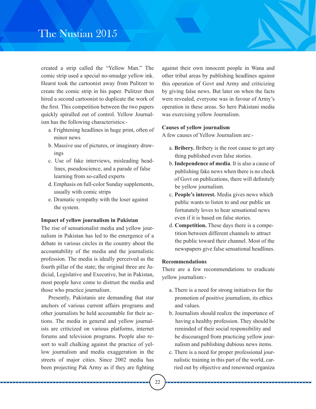# The Nustian 2015

created a strip called the "Yellow Man." The comic strip used a special no-smudge yellow ink. Hearst took the cartoonist away from Pulitzer to create the comic strip in his paper. Pulitzer then hired a second cartoonist to duplicate the work of the first. This competition between the two papers quickly spiralled out of control. Yellow Journalism has the following characteristics:-

- a. Frightening headlines in huge print, often of minor news
- b. Massive use of pictures, or imaginary draw ings
- c. Use of fake interviews, misleading headlines, pseudoscience, and a parade of false learning from so-called experts
- d. Emphasis on full-color Sunday supplements, usually with comic strips
- e. Dramatic sympathy with the loser against the system.

### **Impact of yellow journalism in Pakistan**

The rise of sensationalist media and yellow journalism in Pakistan has led to the emergence of a debate in various circles in the country about the accountability of the media and the journalistic profession. The media is ideally perceived as the fourth pillar of the state; the original three are Judicial, Legislative and Executive, but in Pakistan, most people have come to distrust the media and those who practice journalism.

Presently, Pakistanis are demanding that star anchors of various current affairs programs and other journalists be held accountable for their actions. The media in general and yellow journalists are criticized on various platforms, internet forums and television programs. People also resort to wall chalking against the practice of yellow journalism and media exaggeration in the streets of major cities. Since 2002 media has been projecting Pak Army as if they are fighting

against their own innocent people in Wana and other tribal areas by publishing headlines against this operation of Govt and Army and criticizing by giving false news. But later on when the facts were revealed, everyone was in favour of Army's operation in these areas. So here Pakistani media was exercising yellow Journalism.

### **Causes of yellow journalism**

A few causes of Yellow Journalism are:-

- a. **Bribery.** Bribery is the root cause to get any thing published even false stories.
- b. **Independence of media**. It is also a cause of publishing fake news when there is no check of Govt on publications, there will definitely be yellow journalism.
- c. **People's interest.** Media gives news which public wants to listen to and our public un fortunately loves to hear sensational news even if it is based on false stories.
- d. **Competition.** These days there is a compe tition between different channels to attract the public toward their channel. Most of the newspapers give false sensational headlines.

### **Recommendations**

There are a few recommendations to eradicate yellow journalism:-

- a. There is a need for strong initiatives for the promotion of positive journalism, its ethics and values.
- b. Journalists should realize the importance of having a healthy profession. They should be reminded of their social responsibility and be discouraged from practicing yellow jour nalism and publishing dubious news items.
- c. There is a need for proper professional jour nalistic training in this part of the world, car ried out by objective and renowned organiza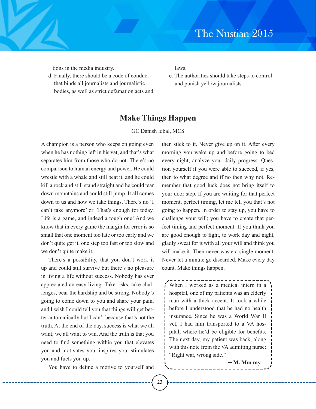tions in the media industry.

d. Finally, there should be a code of conduct that binds all journalists and journalistic bodies, as well as strict defamation acts and laws.

e. The authorities should take steps to control and punish yellow journalists.

# **Make Things Happen**

### GC Danish lqbal, MCS

A champion is a person who keeps on going even when he has nothing left in his vat, and that's what separates him from those who do not. There's no comparison to human energy and power. He could wrestle with a whale and still beat it, and he could kill a rock and still stand straight and he could tear down mountains and could still jump. It all comes down to us and how we take things. There's no 'I can't take anymore' or 'That's enough for today. Life is a game, and indeed a tough one! And we know that in every game the margin for error is so small that one moment too late or too early and we don't quite get it, one step too fast or too slow and we don't quite make it.

There's a possibility, that you don't work it up and could still survive but there's no pleasure in living a life without success. Nobody has ever appreciated an easy living. Take risks, take challenges, bear the hardship and be strong. Nobody's going to come down to you and share your pain, and I wish I could tell you that things will get better automatically but I can't because that's not the truth. At the end of the day, success is what we all want; we all want to win. And the truth is that you need to find something within you that elevates you and motivates you, inspires you, stimulates you and fuels you up.

You have to define a motive to yourself and

then stick to it. Never give up on it. After every morning you wake up and before going to bed every night, analyze your daily progress. Question yourself if you were able to succeed, if yes, then to what degree and if no then why not. Remember that good luck does not bring itself to your door step. If you are waiting for that perfect moment, perfect timing, let me tell you that's not going to happen. In order to stay up, you have to challenge your will; you have to create that perfect timing and perfect moment. If you think you are good enough to fight, to work day and night, gladly sweat for it with all your will and think you will make it. Then never waste a single moment. Never let a minute go discarded. Make every day count. Make things happen.

` When I worked as a medical intern in a hospital, one of my patients was an elderly man with a thick accent. It took a while before I understood that he had no health insurance. Since he was a World War II vet, I had him transported to a VA hospital, where he'd be eligible for benefits. The next day, my patient was back, along with this note from the VA admitting nurse: "Right war, wrong side."

─ **M. Murray**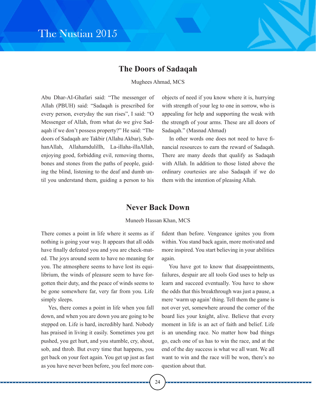# **The Doors of Sadaqah**

### Mughees Ahmad, MCS

Abu Dhar-AI-Ghafari said: "The messenger of Allah (PBUH) said: "Sadaqah is prescribed for every person, everyday the sun rises", I said: "O Messenger of Allah, from what do we give Sadaqah if we don't possess property?" He said: "The doors of Sadaqah are Takbir (Allahu Akbar), SubhanAllah, Allahamdulillh, La-illaha-illaAllah, enjoying good, forbidding evil, removing thorns, bones and stones from the paths of people, guiding the blind, listening to the deaf and dumb until you understand them, guiding a person to his objects of need if you know where it is, hurrying with strength of your leg to one in sorrow, who is appealing for help and supporting the weak with the strength of your arms. These are all doors of Sadaqah." (Masnad Ahmad)

In other words one does not need to have financial resources to earn the reward of Sadaqah. There are many deeds that qualify as Sadaqah with Allah. In addition to those listed above the ordinary courtesies are also Sadaqah if we do them with the intention of pleasing Allah.

# **Never Back Down**

Muneeb Hassan Khan, MCS

There comes a point in life where it seems as if nothing is going your way. It appears that all odds have finally defeated you and you are check-mated. The joys around seem to have no meaning for you. The atmosphere seems to have lost its equilibrium, the winds of pleasure seem to have forgotten their duty, and the peace of winds seems to be gone somewhere far, very far from you. Life simply sleeps.

Yes, there comes a point in life when you fall down, and when you are down you are going to be stepped on. Life is hard, incredibly hard. Nobody has praised in living it easily. Sometimes you get pushed, you get hurt, and you stumble, cry, shout, sob, and throb. But every time that happens, you get back on your feet again. You get up just as fast as you have never been before, you feel more confident than before. Vengeance ignites you from within. You stand back again, more motivated and more inspired. You start believing in your abilities again.

You have got to know that disappointments, failures, despair are all tools God uses to help us learn and succeed eventually. You have to show the odds that this breakthrough was just a pause, a mere 'warm up again' thing. Tell them the game is not over yet, somewhere around the corner of the board lies your knight, alive. Believe that every moment in life is an act of faith and belief. Life is an unending race. No matter how bad things go, each one of us has to win the race, and at the end of the day success is what we all want. We all want to win and the race will be won, there's no question about that.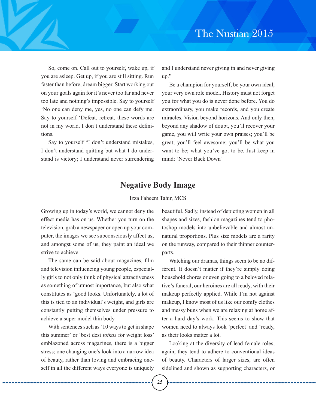So, come on. Call out to yourself, wake up, if you are asleep. Get up, if you are still sitting. Run faster than before, dream bigger. Start working out on your goals again for it's never too far and never too late and nothing's impossible. Say to yourself 'No one can deny me, yes, no one can defy me. Say to yourself 'Defeat, retreat, these words are not in my world, I don't understand these definitions.

Say to yourself "I don't understand mistakes, I don't understand quitting but what I do understand is victory; I understand never surrendering

and I understand never giving in and never giving up."

Be a champion for yourself, be your own ideal, your very own role model. History must not forget you for what you do is never done before. You do extraordinary, you make records, and you create miracles. Vision beyond horizons. And only then, beyond any shadow of doubt, you'll recover your game, you will write your own praises; you'll be great; you'll feel awesome; you'll be what you want to be; what you've got to be. Just keep in mind: 'Never Back Down'

# **Negative Body Image**

### Izza Faheem Tahir, MCS

Growing up in today's world, we cannot deny the effect media has on us. Whether you turn on the television, grab a newspaper or open up your computer, the images we see subconsciously affect us, and amongst some of us, they paint an ideal we strive to achieve.

The same can be said about magazines, film and television influencing young people, especially girls to not only think of physical attractiveness as something of utmost importance, but also what constitutes as 'good looks. Unfortunately, a lot of this is tied to an individual's weight, and girls are constantly putting themselves under pressure to achieve a super model thin body.

With sentences such as '10 ways to get in shape this summer' or 'best desi *totkas* for weight loss' emblazoned across magazines, there is a bigger stress; one changing one's look into a narrow idea of beauty, rather than loving and embracing oneself in all the different ways everyone is uniquely

beautiful. Sadly, instead of depicting women in all shapes and sizes, fashion magazines tend to photoshop models into unbelievable and almost unnatural proportions. Plus size models are a rarity on the runway, compared to their thinner counterparts.

Watching our dramas, things seem to be no different. It doesn't matter if they're simply doing household chores or even going to a beloved relative's funeral, our heroines are all ready, with their makeup perfectly applied. While I'm not against makeup, I know most of us like our comfy clothes and messy buns when we are relaxing at home after a hard day's work. This seems to show that women need to always look 'perfect' and 'ready, as their looks matter a lot.

Looking at the diversity of lead female roles, again, they tend to adhere to conventional ideas of beauty. Characters of larger sizes, are often sidelined and shown as supporting characters, or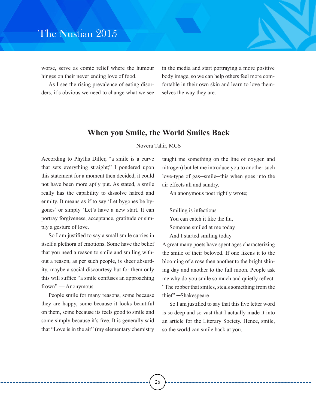worse, serve as comic relief where the humour hinges on their never ending love of food.

As I see the rising prevalence of eating disorders, it's obvious we need to change what we see

in the media and start portraying a more positive body image, so we can help others feel more comfortable in their own skin and learn to love themselves the way they are.

## **When you Smile, the World Smiles Back**

### Novera Tahir, MCS

26

According to Phyllis Diller, "a smile is a curve that sets everything straight;" I pondered upon this statement for a moment then decided, it could not have been more aptly put. As stated, a smile really has the capability to dissolve hatred and enmity. It means as if to say 'Let bygones be bygones' or simply 'Let's have a new start. It can portray forgiveness, acceptance, gratitude or simply a gesture of love.

So I am justified to say a small smile carries in itself a plethora of emotions. Some have the belief that you need a reason to smile and smiling without a reason, as per such people, is sheer absurdity, maybe a social discourtesy but for them only this will suffice "a smile confuses an approaching frown" — Anonymous

People smile for many reasons, some because they are happy, some because it looks beautiful on them, some because its feels good to smile and some simply because it's free. It is generally said that "Love is in the air" (my elementary chemistry taught me something on the line of oxygen and nitrogen) but let me introduce you to another such love-type of gas─smile─this when goes into the air effects all and sundry.

An anonymous poet rightly wrote;

Smiling is infectious You can catch it like the flu, Someone smiled at me today And I started smiling today

A great many poets have spent ages characterizing the smile of their beloved. If one likens it to the blooming of a rose then another to the bright shining day and another to the full moon. People ask me why do you smile so much and quietly reflect: "The robber that smiles, steals something from the thief" ─Shakespeare

So I am justified to say that this five letter word is so deep and so vast that I actually made it into an article for the Literary Society. Hence, smile, so the world can smile back at you.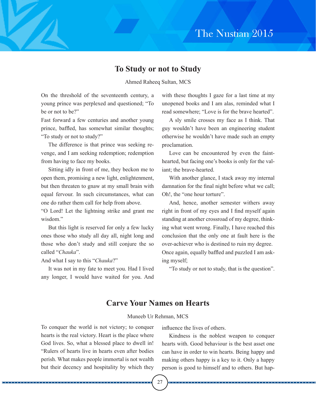# **To Study or not to Study**

Ahmed Raheeq Sultan, MCS

On the threshold of the seventeenth century, a young prince was perplexed and questioned; "To be or not to be?"

Fast forward a few centuries and another young prince, baffled, has somewhat similar thoughts; "To study or not to study?"

The difference is that prince was seeking revenge, and I am seeking redemption; redemption from having to face my books.

Sitting idly in front of me, they beckon me to open them, promising a new light, enlightenment, but then threaten to gnaw at my small brain with equal fervour. In such circumstances, what can one do rather them call for help from above.

"O Lord! Let the lightning strike and grant me wisdom."

But this light is reserved for only a few lucky ones those who study all day all, night long and those who don't study and still conjure the so called "*Chauka*".

And what I say to this "*Chauka*?"

It was not in my fate to meet you. Had I lived any longer, I would have waited for you. And

with these thoughts I gaze for a last time at my unopened books and I am alas, reminded what I read somewhere; "Love is for the brave hearted".

A sly smile crosses my face as I think. That guy wouldn't have been an engineering student otherwise he wouldn't have made such an empty proclamation.

Love can be encountered by even the fainthearted, but facing one's books is only for the valiant; the brave-hearted.

With another glance, I stack away my internal damnation for the final night before what we call; Oh!, the "one hour torture".

And, hence, another semester withers away right in front of my eyes and I find myself again standing at another crossroad of my degree, thinking what went wrong. Finally, I have reached this conclusion that the only one at fault here is the over-achiever who is destined to ruin my degree. Once again, equally baffled and puzzled I am asking myself;

"To study or not to study, that is the question".

# **Carve Your Names on Hearts**

### Muneeb Ur Rehman, MCS

To conquer the world is not victory; to conquer hearts is the real victory. Heart is the place where God lives. So, what a blessed place to dwell in! "Rulers of hearts live in hearts even after bodies perish. What makes people immortal is not wealth but their decency and hospitality by which they

influence the lives of others.

Kindness is the noblest weapon to conquer hearts with. Good behaviour is the best asset one can have in order to win hearts. Being happy and making others happy is a key to it. Only a happy person is good to himself and to others. But hap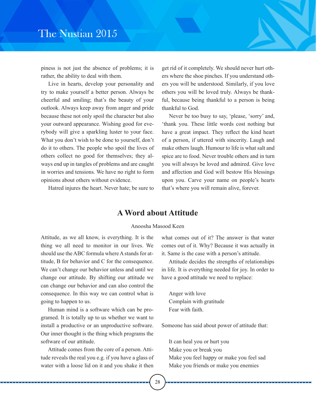piness is not just the absence of problems; it is rather, the ability to deal with them.

Live in hearts, develop your personality and try to make yourself a better person. Always be cheerful and smiling; that's the beauty of your outlook. Always keep away from anger and pride because these not only spoil the character but also your outward appearance. Wishing good for everybody will give a sparkling luster to your face. What you don't wish to be done to yourself, don't do it to others. The people who spoil the lives of others collect no good for themselves; they always end up in tangles of problems and are caught in worries and tensions. We have no right to form opinions about others without evidence.

Hatred injures the heart. Never hate; be sure to

get rid of it completely. We should never hurt others where the shoe pinches. If you understand others you will be understood. Similarly, if you love others you will be loved truly. Always be thankful, because being thankful to a person is being thankful to God.

Never be too busy to say, 'please, 'sorry' and, 'thank you. These little words cost nothing but have a great impact. They reflect the kind heart of a person, if uttered with sincerity. Laugh and make others laugh. Humour to life is what salt and spice are to food. Never trouble others and in turn you will always be loved and admired. Give love and affection and God will bestow His blessings upon you. Carve your name on people's hearts that's where you will remain alive, forever.

# **A Word about Attitude**

### Anoosha Masood Keen

Attitude, as we all know, is everything. It is the thing we all need to monitor in our lives. We should use the ABC formula where A stands for attitude, B for behavior and C for the consequence. We can't change our behavior unless and until we change our attitude. By shifting our attitude we can change our behavior and can also control the consequence. In this way we can control what is going to happen to us.

Human mind is a software which can be programed. It is totally up to us whether we want to install a productive or an unproductive software. Our inner thought is the thing which programs the software of our attitude.

Attitude comes from the core of a person. Attitude reveals the real you e.g. if you have a glass of water with a loose lid on it and you shake it then

what comes out of it? The answer is that water comes out of it. Why? Because it was actually in it. Same is the case with a person's attitude.

Attitude decides the strengths of relationships in life. It is everything needed for joy. In order to have a good attitude we need to replace:

Anger with love Complain with gratitude Fear with faith.

Someone has said about power of attitude that:

It can heal you or hurt you Make you or break you Make you feel happy or make you feel sad Make you friends or make you enemies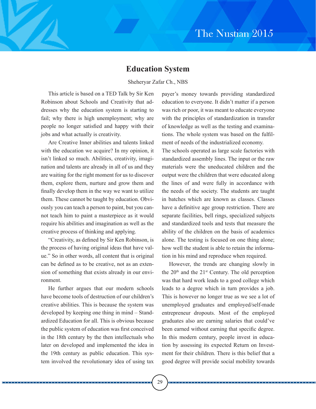# **Education System**

### Sheheryar Zafar Ch., NBS

This article is based on a TED Talk by Sir Ken Robinson about Schools and Creativity that addresses why the education system is starting to fail; why there is high unemployment; why are people no longer satisfied and happy with their jobs and what actually is creativity.

Are Creative Inner abilities and talents linked with the education we acquire? In my opinion, it isn't linked so much. Abilities, creativity, imagination and talents are already in all of us and they are waiting for the right moment for us to discover them, explore them, nurture and grow them and finally develop them in the way we want to utilize them. These cannot be taught by education. Obviously you can teach a person to paint, but you cannot teach him to paint a masterpiece as it would require his abilities and imagination as well as the creative process of thinking and applying.

"Creativity, as defined by Sir Ken Robinson, is the process of having original ideas that have value." So in other words, all content that is original can be defined as to be creative, not as an extension of something that exists already in our environment.

He further argues that our modern schools have become tools of destruction of our children's creative abilities. This is because the system was developed by keeping one thing in mind – Standardized Education for all. This is obvious because the public system of education was first conceived in the 18th century by the then intellectuals who later on developed and implemented the idea in the 19th century as public education. This system involved the revolutionary idea of using tax

payer's money towards providing standardized education to everyone. It didn't matter if a person was rich or poor, it was meant to educate everyone with the principles of standardization in transfer of knowledge as well as the testing and examinations. The whole system was based on the fulfilment of needs of the industrialized economy.

The schools operated as large scale factories with standardized assembly lines. The input or the raw materials were the uneducated children and the output were the children that were educated along the lines of and were fully in accordance with the needs of the society. The students are taught in batches which are known as classes. Classes have a definitive age group restriction. There are separate facilities, bell rings, specialized subjects and standardized tools and tests that measure the ability of the children on the basis of academics alone. The testing is focused on one thing alone; how well the student is able to retain the information in his mind and reproduce when required.

However, the trends are changing slowly in the  $20<sup>th</sup>$  and the  $21<sup>st</sup>$  Century. The old perception was that hard work leads to a good college which leads to a degree which in turn provides a job. This is however no longer true as we see a lot of unemployed graduates and employed/self-made entrepreneur dropouts. Most of the employed graduates also are earning salaries that could've been earned without earning that specific degree. In this modern century, people invest in education by assessing its expected Return on Investment for their children. There is this belief that a good degree will provide social mobility towards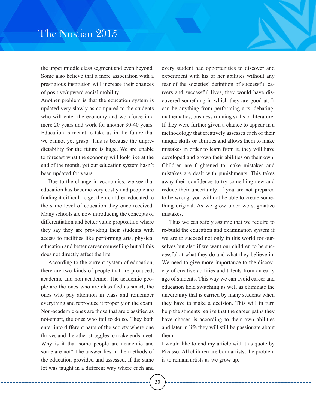the upper middle class segment and even beyond. Some also believe that a mere association with a prestigious institution will increase their chances of positive/upward social mobility.

Another problem is that the education system is updated very slowly as compared to the students who will enter the economy and workforce in a mere 20 years and work for another 30-40 years. Education is meant to take us in the future that we cannot yet grasp. This is because the unpredictability for the future is huge. We are unable to forecast what the economy will look like at the end of the month, yet our education system hasn't been updated for years.

Due to the change in economics, we see that education has become very costly and people are finding it difficult to get their children educated to the same level of education they once received. Many schools are now introducing the concepts of differentiation and better value proposition where they say they are providing their students with access to facilities like performing arts, physical education and better career counselling but all this does not directly affect the life

According to the current system of education, there are two kinds of people that are produced, academic and non academic. The academic people are the ones who are classified as smart, the ones who pay attention in class and remember everything and reproduce it properly on the exam. Non-academic ones are those that are classified as not-smart, the ones who fail to do so. They both enter into different parts of the society where one thrives and the other struggles to make ends meet. Why is it that some people are academic and some are not? The answer lies in the methods of the education provided and assessed. If the same lot was taught in a different way where each and

every student had opportunities to discover and experiment with his or her abilities without any fear of the societies' definition of successful careers and successful lives, they would have discovered something in which they are good at. It can be anything from performing arts, debating, mathematics, business running skills or literature. If they were further given a chance to appear in a methodology that creatively assesses each of their unique skills or abilities and allows them to make mistakes in order to learn from it, they will have developed and grown their abilities on their own. Children are frightened to make mistakes and mistakes are dealt with punishments. This takes away their confidence to try something new and reduce their uncertainty. If you are not prepared to be wrong, you will not be able to create something original. As we grow older we stigmatize mistakes.

Thus we can safely assume that we require to re-build the education and examination system if we are to succeed not only in this world for ourselves but also if we want our children to be successful at what they do and what they believe in. We need to give more importance to the discovery of creative abilities and talents from an early age of students. This way we can avoid career and education field switching as well as eliminate the uncertainty that is carried by many students when they have to make a decision. This will in turn help the students realize that the career paths they have chosen is according to their own abilities and later in life they will still be passionate about them.

I would like to end my article with this quote by Picasso: All children are born artists, the problem is to remain artists as we grow up.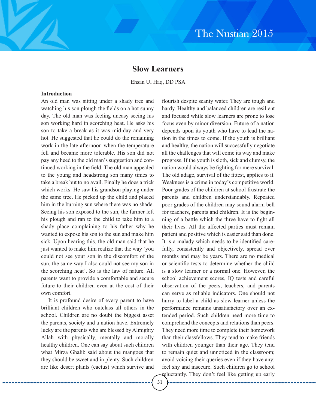# **Slow Learners**

Ehsan Ul Haq, DD PSA

### **Introduction**

An old man was sitting under a shady tree and watching his son plough the fields on a hot sunny day. The old man was feeling uneasy seeing his son working hard in scorching heat. He asks his son to take a break as it was mid-day and very hot. He suggested that he could do the remaining work in the late afternoon when the temperature fell and became more tolerable. His son did not pay any heed to the old man's suggestion and continued working in the field. The old man appealed to the young and headstrong son many times to take a break but to no avail. Finally he does a trick which works. He saw his grandson playing under the same tree. He picked up the child and placed him in the burning sun where there was no shade. Seeing his son exposed to the sun, the farmer left his plough and ran to the child to take him to a shady place complaining to his father why he wanted to expose his son to the sun and make him sick. Upon hearing this, the old man said that he just wanted to make him realize that the way 'you could not see your son in the discomfort of the sun, the same way I also could not see my son in the scorching heat'. So is the law of nature. All parents want to provide a comfortable and secure future to their children even at the cost of their own comfort.

It is profound desire of every parent to have brilliant children who outclass all others in the school. Children are no doubt the biggest asset the parents, society and a nation have. Extremely lucky are the parents who are blessed by Almighty Allah with physically, mentally and morally healthy children. One can say about such children what Mirza Ghalib said about the mangoes that they should be sweet and in plenty. Such children are like desert plants (cactus) which survive and

. . . . . . . . . . .

flourish despite scanty water. They are tough and hardy. Healthy and balanced children are resilient and focused while slow learners are prone to lose focus even by minor diversion. Future of a nation depends upon its youth who have to lead the nation in the times to come. If the youth is brilliant and healthy, the nation will successfully negotiate all the challenges that will come its way and make progress. If the youth is sloth, sick and clumsy, the nation would always be fighting for mere survival. The old adage, survival of the fittest, applies to it. Weakness is a crime in today's competitive world. Poor grades of the children at school frustrate the parents and children understandably. Repeated poor grades of the children may sound alarm bell for teachers, parents and children. It is the beginning of a battle which the three have to fight all their lives. All the affected parties must remain patient and positive which is easier said than done. It is a malady which needs to be identified carefully, consistently and objectively, spread over months and may be years. There are no medical or scientific tests to determine whether the child is a slow learner or a normal one. However, the school achievement scores, IQ tests and careful observation of the peers, teachers, and parents can serve as reliable indicators. One should not hurry to label a child as slow learner unless the performance remains unsatisfactory over an extended period. Such children need more time to comprehend the concepts and relations than peers. They need more time to complete their homework than their classfellows. They tend to make friends with children younger than their age. They tend to remain quiet and unnoticed in the classroom; avoid voicing their queries even if they have any; feel shy and insecure. Such children go to school

reluctantly. They don't feel like getting up early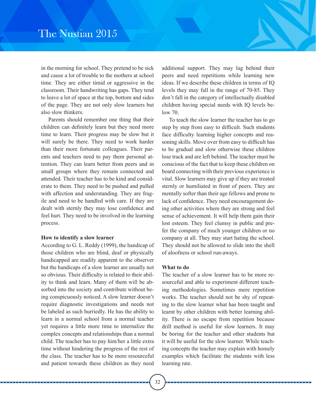in the morning for school. They pretend to be sick and cause a lot of trouble to the mothers at school time. They are either timid or aggressive in the classroom. Their handwriting has gaps. They tend to leave a lot of space at the top, bottom and sides of the page. They are not only slow learners but also slow thinkers.

Parents should remember one thing that their children can definitely learn but they need more time to learn. Their progress may be slow but it will surely be there. They need to work harder than their more fortunate colleagues. Their parents and teachers need to pay them personal attention. They can learn better from peers and in small groups where they remain connected and attended. Their teacher has to be kind and considerate to them. They need to be pushed and pulled with affection and understanding. They are fragile and need to be handled with care. If they are dealt with sternly they may lose confidence and feel hurt. They need to be involved in the learning process.

### **How to identify a slow learner**

According to G. L. Reddy (1999), the handicap of those children who are blind, deaf or physically handicapped are readily apparent to the observer but the handicaps of a slow learner are usually not so obvious. Their difficulty is related to their ability to think and learn. Many of them will be absorbed into the society and contribute without being conspicuously noticed. A slow learner doesn't require diagnostic investigations and needs not be labeled as such hurriedly. He has the ability to learn in a normal school from a normal teacher yet requires a little more time to internalize the complex concepts and relationships than a normal child. The teacher has to pay him/her a little extra time without hindering the progress of the rest of the class. The teacher has to be more resourceful and patient towards these children as they need

additional support. They may lag behind their peers and need repetitions while learning new ideas. If we describe these children in terms of IQ levels they may fall in the range of 70-85. They don't fall in the category of intellectually disabled children having special needs with IQ levels below 70.

To teach the slow learner the teacher has to go step by step from easy to difficult. Such students face difficulty learning higher concepts and reasoning skills. Move over from easy to difficult has to be gradual and slow otherwise these children lose track and are left behind. The teacher must be conscious of the fact that to keep these children on board connecting with their previous experience is vital. Slow learners may give up if they are treated sternly or humiliated in front of peers. They are mentally softer than their age fellows and prone to lack of confidence. They need encouragement doing other activities where they are strong and feel sense of achievement. It will help them gain their lost esteem. They feel clumsy in public and prefer the company of much younger children or no company at all. They may start hating the school. They should not be allowed to slide into the shell of aloofness or school run-aways.

### **What to do**

The teacher of a slow learner has to be more resourceful and able to experiment different teaching methodologies. Sometimes mere repetition works. The teacher should not be shy of repeating to the slow learner what has been taught and learnt by other children with better learning ability. There is no escape from repetition because drill method is useful for slow learners. It may be boring for the teacher and other students but it will be useful for the slow learner. While teaching concepts the teacher may explain with homely examples which facilitate the students with less learning rate.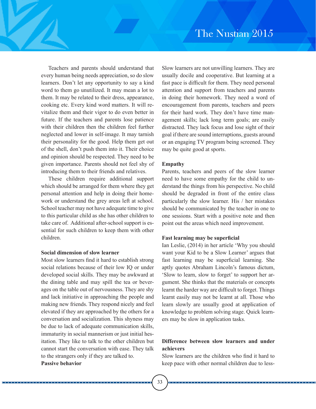Teachers and parents should understand that every human being needs appreciation, so do slow learners. Don't let any opportunity to say a kind word to them go unutilized. It may mean a lot to them. It may be related to their dress, appearance, cooking etc. Every kind word matters. It will revitalize them and their vigor to do even better in future. If the teachers and parents lose patience with their children then the children feel further neglected and lower in self-image. It may tarnish their personality for the good. Help them get out of the shell, don't push them into it. Their choice and opinion should be respected. They need to be given importance. Parents should not feel shy of introducing them to their friends and relatives.

These children require additional support which should be arranged for them where they get personal attention and help in doing their homework or understand the grey areas left at school. School teacher may not have adequate time to give to this particular child as she has other children to take care of. Additional after-school support is essential for such children to keep them with other children.

### **Social dimension of slow learner**

. . . . . . . . . . .

Most slow learners find it hard to establish strong social relations because of their low IQ or under developed social skills. They may be awkward at the dining table and may spill the tea or beverages on the table out of nervousness. They are shy and lack initiative in approaching the people and making new friends. They respond nicely and feel elevated if they are approached by the others for a conversation and socialization. This shyness may be due to lack of adequate communication skills, immaturity in social mannerism or just initial hesitation. They like to talk to the other children but cannot start the conversation with ease. They talk to the strangers only if they are talked to. **Passive behavior**

Slow learners are not unwilling learners. They are usually docile and cooperative. But learning at a fast pace is difficult for them. They need personal attention and support from teachers and parents in doing their homework. They need a word of encouragement from parents, teachers and peers for their hard work. They don't have time management skills; lack long term goals; are easily distracted. They lack focus and lose sight of their goal if there are sound interruptions, guests around or an engaging TV program being screened. They may be quite good at sports.

### **Empathy**

Parents, teachers and peers of the slow learner need to have some empathy for the child to understand the things from his perspective. No child should be degraded in front of the entire class particularly the slow learner. His / her mistakes should be communicated by the teacher in one to one sessions. Start with a positive note and then point out the areas which need improvement.

### **Fast learning may be superficial**

Ian Leslie, (2014) in her article 'Why you should want your Kid to be a Slow Learner' argues that fast learning may be superficial learning. She aptly quotes Abraham Lincoln's famous dictum, 'Slow to learn, slow to forget' to support her argument. She thinks that the materials or concepts learnt the harder way are difficult to forget. Things learnt easily may not be learnt at all. Those who learn slowly are usually good at application of knowledge to problem solving stage. Quick learners may be slow in application tasks.

### **Difference between slow learners and under achievers**

Slow learners are the children who find it hard to keep pace with other normal children due to less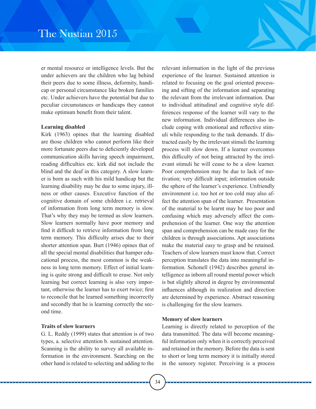er mental resource or intelligence levels. But the under achievers are the children who lag behind their peers due to some illness, deformity, handicap or personal circumstance like broken families etc. Under achievers have the potential but due to peculiar circumstances or handicaps they cannot make optimum benefit from their talent.

### **Learning disabled**

Kirk (1963) opines that the learning disabled are those children who cannot perform like their more fortunate peers due to deficiently developed communication skills having speech impairment, reading difficulties etc. kirk did not include the blind and the deaf in this category. A slow learner is born as such with his mild handicap but the learning disability may be due to some injury, illness or other causes. Executive function of the cognitive domain of some children i.e. retrieval of information from long term memory is slow. That's why they may be termed as slow learners. Slow learners normally have poor memory and find it difficult to retrieve information from long term memory. This difficulty arises due to their shorter attention span. Burt (1946) opines that of all the special mental disabilities that hamper educational process, the most common is the weakness in long term memory. Effect of initial learning is quite strong and difficult to erase. Not only learning but correct learning is also very important, otherwise the learner has to exert twice; first to reconcile that he learned something incorrectly and secondly that he is learning correctly the second time.

### **Traits of slow learners**

G. L. Reddy (1999) states that attention is of two types, a. selective attention b. sustained attention. Scanning is the ability to survey all available information in the environment. Searching on the other hand is related to selecting and adding to the

relevant information in the light of the previous experience of the learner. Sustained attention is related to focusing on the goal oriented processing and sifting of the information and separating the relevant from the irrelevant information. Due to individual attitudinal and cognitive style differences response of the learner will vary to the new information. Individual differences also include coping with emotional and reflective stimuli while responding to the task demands. If distracted easily by the irrelevant stimuli the learning process will slow down. If a learner overcomes this difficulty of not being attracted by the irrelevant stimuli he will cease to be a slow learner. Poor comprehension may be due to lack of motivation; very difficult input; information outside the sphere of the learner's experience. Unfriendly environment i.e. too hot or too cold may also affect the attention span of the learner. Presentation of the material to be learnt may be too poor and confusing which may adversely affect the comprehension of the learner. One way the attention span and comprehension can be made easy for the children is through associations. Apt associations make the material easy to grasp and be retained. Teachers of slow learners must know that. Correct perception translates the data into meaningful information. Schonell (1942) describes general intelligence as inborn all round mental power which is but slightly altered in degree by environmental influences although its realization and direction are determined by experience. Abstract reasoning is challenging for the slow learners.

### **Memory of slow learners**

Learning is directly related to perception of the data transmitted. The data will become meaningful information only when it is correctly perceived and retained in the memory. Before the data is sent to short or long term memory it is initially stored in the sensory register. Perceiving is a process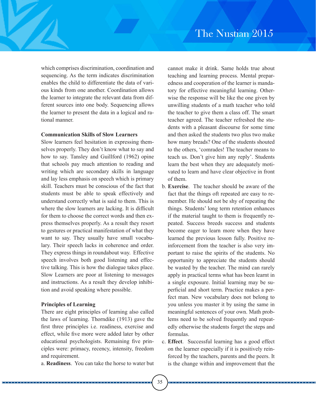which comprises discrimination, coordination and sequencing. As the term indicates discrimination enables the child to differentiate the data of various kinds from one another. Coordination allows the learner to integrate the relevant data from different sources into one body. Sequencing allows the learner to present the data in a logical and rational manner.

### **Communication Skills of Slow Learners**

Slow learners feel hesitation in expressing themselves properly. They don't know what to say and how to say. Tansley and Guillford (1962) opine that schools pay much attention to reading and writing which are secondary skills in language and lay less emphasis on speech which is primary skill. Teachers must be conscious of the fact that students must be able to speak effectively and understand correctly what is said to them. This is where the slow learners are lacking. It is difficult for them to choose the correct words and then express themselves properly. As a result they resort to gestures or practical manifestation of what they want to say. They usually have small vocabulary. Their speech lacks in coherence and order. They express things in roundabout way. Effective speech involves both good listening and effective talking. This is how the dialogue takes place. Slow Learners are poor at listening to messages and instructions. As a result they develop inhibition and avoid speaking where possible.

### **Principles of Learning**

. . . . . . . . . . .

There are eight principles of learning also called the laws of learning. Thorndike (1913) gave the first three principles i.e. readiness, exercise and effect, while five more were added later by other educational psychologists. Remaining five principles were: primacy, recency, intensity, freedom and requirement.

a. **Readiness**. You can take the horse to water but

cannot make it drink. Same holds true about teaching and learning process. Mental preparedness and cooperation of the learner is mandatory for effective meaningful learning. Otherwise the response will be like the one given by unwilling students of a math teacher who told the teacher to give them a class off. The smart teacher agreed. The teacher refreshed the students with a pleasant discourse for some time and then asked the students two plus two make how many breads? One of the students shouted to the others, 'comrades! The teacher means to teach us. Don't give him any reply'. Students learn the best when they are adequately motivated to learn and have clear objective in front of them.

- b. **Exercise**. The teacher should be aware of the fact that the things oft repeated are easy to remember. He should not be shy of repeating the things. Students' long term retention enhances if the material taught to them is frequently repeated. Success breeds success and students become eager to learn more when they have learned the previous lesson fully. Positive reinforcement from the teacher is also very important to raise the spirits of the students. No opportunity to appreciate the students should be wasted by the teacher. The mind can rarely apply in practical terms what has been learnt in a single exposure. Initial learning may be superficial and short term. Practice makes a perfect man. New vocabulary does not belong to you unless you master it by using the same in meaningful sentences of your own. Math problems need to be solved frequently and repeatedly otherwise the students forget the steps and formulas.
- c. **Effect**. Successful learning has a good effect on the learner especially if it is positively reinforced by the teachers, parents and the peers. It is the change within and improvement that the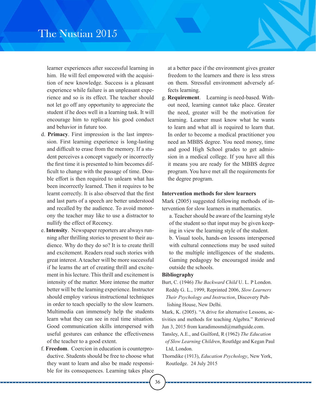learner experiences after successful learning in him. He will feel empowered with the acquisition of new knowledge. Success is a pleasant experience while failure is an unpleasant experience and so is its effect. The teacher should not let go off any opportunity to appreciate the student if he does well in a learning task. It will encourage him to replicate his good conduct and behavior in future too.

- d. **Primacy**. First impression is the last impression. First learning experience is long-lasting and difficult to erase from the memory. If a student perceives a concept vaguely or incorrectly the first time it is presented to him becomes difficult to change with the passage of time. Double effort is then required to unlearn what has been incorrectly learned. Then it requires to be learnt correctly. It is also observed that the first and last parts of a speech are better understood and recalled by the audience. To avoid monotony the teacher may like to use a distractor to nullify the effect of Recency.
- e. **Intensity**. Newspaper reporters are always running after thrilling stories to present to their audience. Why do they do so? It is to create thrill and excitement. Readers read such stories with great interest. A teacher will be more successful if he learns the art of creating thrill and excitement in his lecture. This thrill and excitement is intensity of the matter. More intense the matter better will be the learning experience. Instructor should employ various instructional techniques in order to teach specially to the slow learners. Multimedia can immensely help the students learn what they can see in real time situation. Good communication skills interspersed with useful gestures can enhance the effectiveness of the teacher to a good extent.
- f. **Freedom**. Coercion in education is counterproductive. Students should be free to choose what they want to learn and also be made responsible for its consequences. Learning takes place

at a better pace if the environment gives greater freedom to the learners and there is less stress on them. Stressful environment adversely affects learning.

g. **Requirement**. Learning is need-based. Without need, learning cannot take place. Greater the need, greater will be the motivation for learning. Learner must know what he wants to learn and what all is required to learn that. In order to become a medical practitioner you need an MBBS degree. You need money, time and good High School grades to get admission in a medical college. If you have all this it means you are ready for the MBBS degree program. You have met all the requirements for the degree program.

### **Intervention methods for slow learners**

Mark (2005) suggested following methods of intervention for slow learners in mathematics.

a. Teacher should be aware of the learning style of the student so that input may be given keeping in view the learning style of the student. b. Visual tools, hands-on lessons interspersed with cultural connections may be used suited to the multiple intelligences of the students. Gaming pedagogy be encouraged inside and outside the schools.

### **Bibliography**

Burt, C. (1946) *The Backward Child* U. L. P London. Reddy G. L., 1999, Reprinted 2006, *Slow Learners Their Psychology and Instruction*, Discovery Pub lishing House, New Delhi.

Mark, K. (2005). "A drive for alternative Lessons, activities and methods for teaching Algebra." Retrieved Jun 3, 2015 from karadimosmd@mathguide.com.

- Tansley, A.E., and Guilford, R (1962) *The Education of Slow Learning Children*, Routldge and Kegan Paul Ltd, London.
- Thorndike (1913), *Education Psychology*, New York, Routledge. 24 July 2015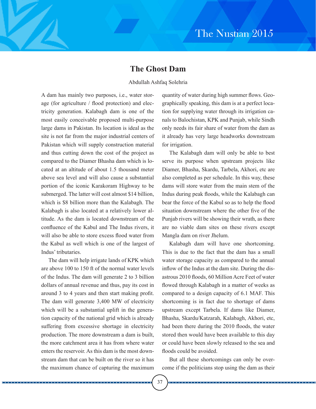# **The Ghost Dam**

### Abdullah Ashfaq Solehria

A dam has mainly two purposes, i.e., water storage (for agriculture / flood protection) and electricity generation. Kalabagh dam is one of the most easily conceivable proposed multi-purpose large dams in Pakistan. Its location is ideal as the site is not far from the major industrial centers of Pakistan which will supply construction material and thus cutting down the cost of the project as compared to the Diamer Bhasha dam which is located at an altitude of about 1.5 thousand meter above sea level and will also cause a substantial portion of the iconic Karakoram Highway to be submerged. The latter will cost almost \$14 billion, which is \$8 billion more than the Kalabagh. The Kalabagh is also located at a relatively lower altitude. As the dam is located downstream of the confluence of the Kabul and The Indus rivers, it will also be able to store excess flood water from the Kabul as well which is one of the largest of Indus' tributaries.

The dam will help irrigate lands of KPK which are above 100 to 150 ft of the normal water levels of the Indus. The dam will generate 2 to 3 billion dollars of annual revenue and thus, pay its cost in around 3 to 4 years and then start making profit. The dam will generate 3,400 MW of electricity which will be a substantial uplift in the generation capacity of the national grid which is already suffering from excessive shortage in electricity production. The more downstream a dam is built, the more catchment area it has from where water enters the reservoir. As this dam is the most downstream dam that can be built on the river so it has the maximum chance of capturing the maximum quantity of water during high summer flows. Geographically speaking, this dam is at a perfect location for supplying water through its irrigation canals to Balochistan, KPK and Punjab, while Sindh only needs its fair share of water from the dam as it already has very large headworks downstream for irrigation.

The Kalabagh dam will only be able to best serve its purpose when upstream projects like Diamer, Bhasha, Skardu, Tarbela, Akhori, etc are also completed as per schedule. In this way, these dams will store water from the main stem of the Indus during peak floods, while the Kalabagh can bear the force of the Kabul so as to help the flood situation downstream where the other five of the Punjab rivers will be showing their wrath, as there are no viable dam sites on these rivers except Mangla dam on river Jhelum.

Kalabagh dam will have one shortcoming. This is due to the fact that the dam has a small water storage capacity as compared to the annual inflow of the Indus at the dam site. During the disastrous 2010 floods, 60 Million Acre Feet of water flowed through Kalabagh in a matter of weeks as compared to a design capacity of 6.1 MAF. This shortcoming is in fact due to shortage of dams upstream except Tarbela. If dams like Diamer, Bhasha, Skardu/Katzarah, Kalabagh, Akhori, etc, had been there during the 2010 floods, the water stored then would have been available to this day or could have been slowly released to the sea and floods could be avoided.

But all these shortcomings can only be overcome if the politicians stop using the dam as their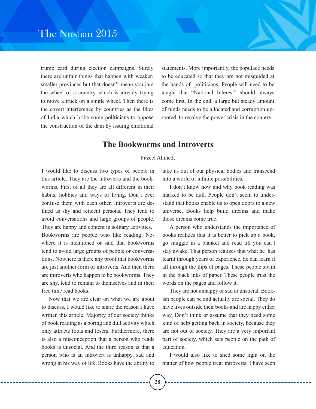trump card during election campaigns. Surely there are unfair things that happen with weaker/ smaller provinces but that doesn't mean you jam the wheel of a country which is already trying to move a truck on a single wheel. Then there is the covert interference by countries as the likes of India which bribe some politicians to oppose the construction of the dam by issuing emotional

statements. More importantly, the populace needs to be educated so that they are not misguided at the hands of politicians. People will need to be taught that "National Interest" should always come first. In the end, a large but steady amount of funds needs to be allocated and corruption uprooted, to resolve the power crisis in the country.

# **The Bookworms and Introverts**

Fazeel Ahmed,

I would like to discuss two types of people in this article. They are the introverts and the bookworms. First of all they are all different in their habits, hobbies and ways of living. Don't ever confuse them with each other. Introverts are defined as shy and reticent persons. They tend to avoid conversations and large groups of people. They are happy and content in solitary activities. Bookworms are people who like reading. Nowhere it is mentioned or said that bookworms tend to avoid large groups of people or conversations. Nowhere is there any proof that bookworms are just another form of introverts. And then there are introverts who happen to be bookworms. They are shy, tend to remain to themselves and in their free time read books.

Now that we are clear on what we are about to discuss, I would like to share the reason I have written this article. Majority of our society thinks of book reading as a boring and dull activity which only attracts fools and losers. Furthermore, there is also a misconception that a person who reads books is unsocial. And the third reason is that a person who is an introvert is unhappy, sad and wrong in his way of life. Books have the ability to take us out of our physical bodies and transcend into a world of infinite possibilities.

I don't know how and why book reading was marked to be dull. People don't seem to understand that books enable us to open doors to a new universe. Books help build dreams and make those dreams come true.

A person who understands the importance of books realizes that it is better to pick up a book, go snuggle in a blanket and read till you can't stay awake. That person realizes that what he has learnt through years of experience, he can learn it all through the flips of pages. These people swim in the black inks of paper. These people trust the words on the pages and follow it.

They are not unhappy or sad or unsocial. Bookish people can be and actually are social. They do have lives outside their books and are happy either way. Don't think or assume that they need some kind of help getting back in society, because they are not out of society. They are a very important part of society, which sets people on the path of education.

I would also like to shed some light on the matter of how people treat introverts. I have seen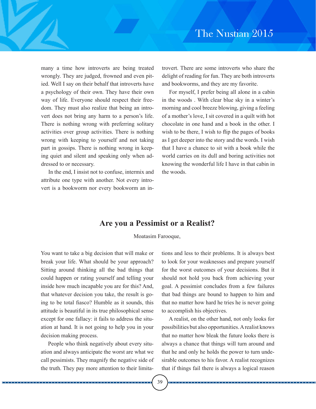many a time how introverts are being treated wrongly. They are judged, frowned and even pitied. Well I say on their behalf that introverts have a psychology of their own. They have their own way of life. Everyone should respect their freedom. They must also realize that being an introvert does not bring any harm to a person's life. There is nothing wrong with preferring solitary activities over group activities. There is nothing wrong with keeping to yourself and not taking part in gossips. There is nothing wrong in keeping quiet and silent and speaking only when addressed to or necessary.

In the end, I insist not to confuse, intermix and attribute one type with another. Not every introvert is a bookworm nor every bookworm an in-

trovert. There are some introverts who share the delight of reading for fun. They are both introverts and bookworms, and they are my favorite.

For myself, I prefer being all alone in a cabin in the woods . With clear blue sky in a winter's morning and cool breeze blowing, giving a feeling of a mother's love, I sit covered in a quilt with hot chocolate in one hand and a book in the other. I wish to be there, I wish to flip the pages of books as I get deeper into the story and the words. I wish that I have a chance to sit with a book while the world carries on its dull and boring activities not knowing the wonderful life I have in that cabin in the woods.

# **Are you a Pessimist or a Realist?**

Moatasim Farooque,

You want to take a big decision that will make or break your life. What should be your approach? Sitting around thinking all the bad things that could happen or rating yourself and telling your inside how much incapable you are for this? And, that whatever decision you take, the result is going to be total fiasco? Humble as it sounds, this attitude is beautiful in its true philosophical sense except for one fallacy: it fails to address the situation at hand. It is not going to help you in your decision making process.

People who think negatively about every situation and always anticipate the worst are what we call pessimists. They magnify the negative side of the truth. They pay more attention to their limitations and less to their problems. It is always best to look for your weaknesses and prepare yourself for the worst outcomes of your decisions. But it should not hold you back from achieving your goal. A pessimist concludes from a few failures that bad things are bound to happen to him and that no matter how hard he tries he is never going to accomplish his objectives.

A realist, on the other hand, not only looks for possibilities but also opportunities. A realist knows that no matter how bleak the future looks there is always a chance that things will turn around and that he and only he holds the power to turn undesirable outcomes to his favor. A realist recognizes that if things fail there is always a logical reason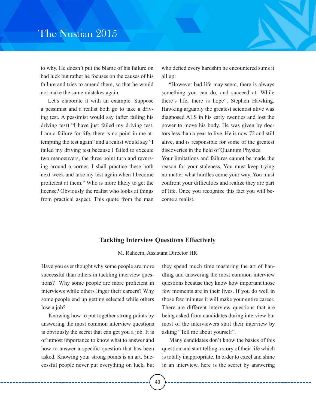to why. He doesn't put the blame of his failure on bad luck but rather he focuses on the causes of his failure and tries to amend them, so that he would not make the same mistakes again.

Let's elaborate it with an example. Suppose a pessimist and a realist both go to take a driving test. A pessimist would say (after failing his driving test) "I have just failed my driving test. I am a failure for life, there is no point in me attempting the test again" and a realist would say "I failed my driving test because I failed to execute two manoeuvers, the three point turn and reversing around a corner. I shall practice these both next week and take my test again when I become proficient at them." Who is more likely to get the license? Obviously the realist who looks at things from practical aspect. This quote from the man

who defied every hardship he encountered sums it all up:

"However bad life may seem, there is always something you can do, and succeed at. While there's life, there is hope", Stephen Hawking. Hawking arguably the greatest scientist alive was diagnosed ALS in his early twenties and lost the power to move his body. He was given by doctors less than a year to live. He is now 72 and still alive, and is responsible for some of the greatest discoveries in the field of Quantum Physics.

Your limitations and failures cannot be made the reason for your staleness. You must keep trying no matter what hurdles come your way. You must confront your difficulties and realize they are part of life. Once you recognize this fact you will become a realist.

### **Tackling Interview Questions Effectively**

M. Raheem, Assistant Director HR

Have you ever thought why some people are more successful than others in tackling interview questions? Why some people are more proficient in interviews while others linger their careers? Why some people end up getting selected while others lose a job?

Knowing how to put together strong points by answering the most common interview questions is obviously the secret that can get you a job. It is of utmost importance to know what to answer and how to answer a specific question that has been asked. Knowing your strong points is an art. Successful people never put everything on luck, but

they spend much time mastering the art of handling and answering the most common interview questions because they know how important those few moments are in their lives. If you do well in those few minutes it will make your entire career. There are different interview questions that are being asked from candidates during interview but most of the interviewers start their interview by asking "Tell me about yourself".

Many candidates don't know the basics of this question and start telling a story of their life which is totally inappropriate. In order to excel and shine in an interview, here is the secret by answering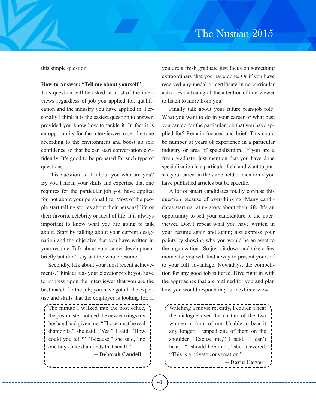this simple question.

#### **How to Answer: "Tell me about yourself"**

This question will be asked in most of the interviews regardless of job you applied for, qualification and the industry you have applied in. Personally I think it is the easiest question to answer, provided you know how to tackle it. In fact it is an opportunity for the interviewee to set the tone according to the environment and boost up self confidence so that he can start conversation confidently. It's good to be prepared for such type of questions.

This question is all about you-who are you? By you I mean your skills and expertise that one requires for the particular job you have applied for, not about your personal life. Most of the people start telling stories about their personal life or their favorite celebrity or ideal of life. It is always important to know what you are going to talk about. Start by talking about your current designation and the objective that you have written in your resume. Talk about your career development briefly but don't say out the whole resume.

Secondly, talk about your most recent achievements. Think at it as your elevator pitch; you have to impress upon the interviewer that you are the best match for the job; you have got all the expertise and skills that the employer is looking for. If

The minute I walked into the post office, the postmaster noticed the new earrings my husband had given me. "Those must be real diamonds," she said. "Yes," I said. "How could you tell?" "Because," she said, "no one buys fake diamonds that small."

. . . . . . . . . . . . . .

─ **Deborah Caudell**

you are a fresh graduate just focus on something extraordinary that you have done. Or if you have received any medal or certificate in co-curricular activities that can grab the attention of interviewer to listen to more from you.

Finally talk about your future plan/job role: What you want to do in your career or what best you can do for the particular job that you have applied for? Remain focused and brief. This could be number of years of experience in a particular industry or area of specialization. If you are a fresh graduate, just mention that you have done specialization in a particular field and want to pursue your career in the same field or mention if you have published articles but be specific.

A lot of smart candidates totally confuse this question because of over-thinking. Many candidates start narrating story about their life. It's an opportunity to sell your candidature to the interviewer. Don't repeat what you have written in your resume again and again; just express your points by showing why you would be an asset to the organization. So just sit down and take a few moments; you will find a way to present yourself to your full advantage. Nowadays, the competition for any good job is fierce. Dive right in with the approaches that are outlined for you and plan how you would respond in your next interview.

Watching a movie recently, I couldn't hear the dialogue over the chatter of the two women in front of me. Unable to bear it any longer, I tapped one of them on the shoulder. "Excuse me," I said. "I can't hear." "I should hope not," she answered. "This is a private conversation."

─ **David Carver**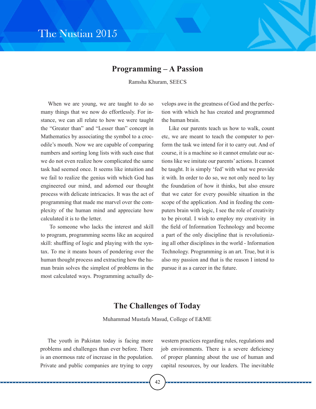# The Nustian 2015

# **Programming – A Passion**

Ramsha Khuram, SEECS

When we are young, we are taught to do so many things that we now do effortlessly. For instance, we can all relate to how we were taught the "Greater than" and "Lesser than" concept in Mathematics by associating the symbol to a crocodile's mouth. Now we are capable of comparing numbers and sorting long lists with such ease that we do not even realize how complicated the same task had seemed once. It seems like intuition and we fail to realize the genius with which God has engineered our mind, and adorned our thought process with delicate intricacies. It was the act of programming that made me marvel over the complexity of the human mind and appreciate how calculated it is to the letter.

To someone who lacks the interest and skill to program, programming seems like an acquired skill: shuffling of logic and playing with the syntax. To me it means hours of pondering over the human thought process and extracting how the human brain solves the simplest of problems in the most calculated ways. Programming actually develops awe in the greatness of God and the perfection with which he has created and programmed the human brain.

Like our parents teach us how to walk, count etc, we are meant to teach the computer to perform the task we intend for it to carry out. And of course, it is a machine so it cannot emulate our actions like we imitate our parents' actions. It cannot be taught. It is simply 'fed' with what we provide it with. In order to do so, we not only need to lay the foundation of how it thinks, but also ensure that we cater for every possible situation in the scope of the application. And in feeding the computers brain with logic, I see the role of creativity to be pivotal. I wish to employ my creativity in the field of Information Technology and become a part of the only discipline that is revolutionizing all other disciplines in the world - Information Technology. Programming is an art. True, but it is also my passion and that is the reason I intend to pursue it as a career in the future.

# **The Challenges of Today**

Muhammad Mustafa Masud, College of E&ME

The youth in Pakistan today is facing more problems and challenges than ever before. There is an enormous rate of increase in the population. Private and public companies are trying to copy

western practices regarding rules, regulations and job environments. There is a severe deficiency of proper planning about the use of human and capital resources, by our leaders. The inevitable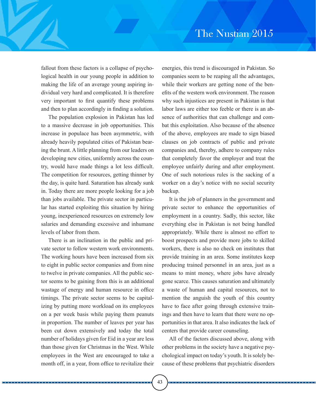fallout from these factors is a collapse of psychological health in our young people in addition to making the life of an average young aspiring individual very hard and complicated. It is therefore very important to first quantify these problems and then to plan accordingly in finding a solution.

The population explosion in Pakistan has led to a massive decrease in job opportunities. This increase in populace has been asymmetric, with already heavily populated cities of Pakistan bearing the brunt. A little planning from our leaders on developing new cities, uniformly across the country, would have made things a lot less difficult. The competition for resources, getting thinner by the day, is quite hard. Saturation has already sunk in. Today there are more people looking for a job than jobs available. The private sector in particular has started exploiting this situation by hiring young, inexperienced resources on extremely low salaries and demanding excessive and inhumane levels of labor from them.

There is an inclination in the public and private sector to follow western work environments. The working hours have been increased from six to eight in public sector companies and from nine to twelve in private companies. All the public sector seems to be gaining from this is an additional wastage of energy and human resource in office timings. The private sector seems to be capitalizing by putting more workload on its employees on a per week basis while paying them peanuts in proportion. The number of leaves per year has been cut down extensively and today the total number of holidays given for Eid in a year are less than those given for Christmas in the West. While employees in the West are encouraged to take a month off, in a year, from office to revitalize their

energies, this trend is discouraged in Pakistan. So companies seem to be reaping all the advantages, while their workers are getting none of the benefits of the western work environment. The reason why such injustices are present in Pakistan is that labor laws are either too feeble or there is an absence of authorities that can challenge and combat this exploitation. Also because of the absence of the above, employees are made to sign biased clauses on job contracts of public and private companies and, thereby, adhere to company rules that completely favor the employer and treat the employee unfairly during and after employment. One of such notorious rules is the sacking of a worker on a day's notice with no social security backup.

It is the job of planners in the government and private sector to enhance the opportunities of employment in a country. Sadly, this sector, like everything else in Pakistan is not being handled appropriately. While there is almost no effort to boost prospects and provide more jobs to skilled workers, there is also no check on institutes that provide training in an area. Some institutes keep producing trained personnel in an area, just as a means to mint money, where jobs have already gone scarce. This causes saturation and ultimately a waste of human and capital resources, not to mention the anguish the youth of this country have to face after going through extensive trainings and then have to learn that there were no opportunities in that area. It also indicates the lack of centers that provide career counseling.

All of the factors discussed above, along with other problems in the society have a negative psychological impact on today's youth. It is solely because of these problems that psychiatric disorders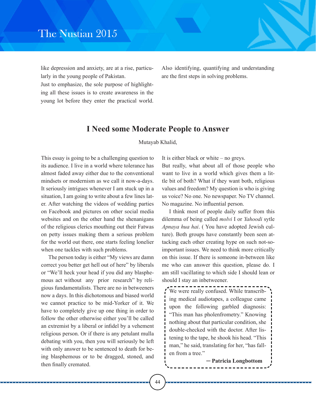like depression and anxiety, are at a rise, particularly in the young people of Pakistan.

Also identifying, quantifying and understanding are the first steps in solving problems.

Just to emphasize, the sole purpose of highlighting all these issues is to create awareness in the young lot before they enter the practical world.

# **I Need some Moderate People to Answer**

Mutayab Khalid,

This essay is going to be a challenging question to its audience. I live in a world where tolerance has almost faded away either due to the conventional mindsets or modernism as we call it now-a-days. It seriously intrigues whenever I am stuck up in a situation, I am going to write about a few lines later. After watching the videos of wedding parties on Facebook and pictures on other social media websites and on the other hand the shenanigans of the religious clerics mouthing out their Fatwas on petty issues making them a serious problem for the world out there, one starts feeling lonelier when one tackles with such problems.

The person today is either "My views are damn correct you better get hell out of here" by liberals or "We'll heck your head if you did any blasphemous act without any prior research" by religious fundamentalists. There are no in betweeners now a days. In this dichotomous and biased world we cannot practice to be mid-Yorker of it. We have to completely give up one thing in order to follow the other otherwise either you'll be called an extremist by a liberal or infidel by a vehement religious person. Or if there is any petulant mulla debating with you, then you will seriously be left with only answer to be sentenced to death for being blasphemous or to be dragged, stoned, and then finally cremated.

It is either black or white – no greys.

But really, what about all of those people who want to live in a world which gives them a little bit of both? What if they want both, religious values and freedom? My question is who is giving us voice? No one. No newspaper. No TV channel. No magazine. No influential person.

I think most of people daily suffer from this dilemma of being called *molvi* I or *Yahoodi* sytle *Apnaya hua hai*. ( You have adopted Jewish culture). Both groups have constantly been seen attacking each other creating hype on such not-soimportant issues. We need to think more critically on this issue. If there is someone in-between like me who can answer this question, please do. I am still vacillating to which side I should lean or should I stay an inbetweener.

`We were really confused. While transcribing medical audiotapes, a colleague came upon the following garbled diagnosis: "This man has pholenfrometry." Knowing nothing about that particular condition, she double-checked with the doctor. After listening to the tape, he shook his head. "This man," he said, translating for her, "has fallen from a tree."

─ **Patricia Longbottom**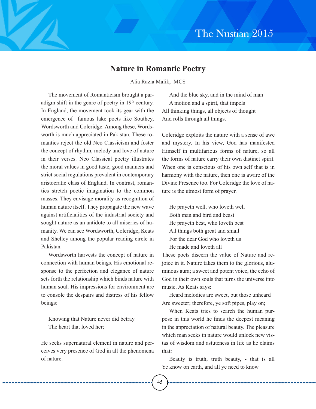### **Nature in Romantic Poetry**

Alia Razia Malik, MCS

The movement of Romanticism brought a paradigm shift in the genre of poetry in  $19<sup>th</sup>$  century. In England, the movement took its gear with the emergence of famous lake poets like Southey, Wordsworth and Coleridge. Among these, Wordsworth is much appreciated in Pakistan. These romantics reject the old Neo Classicism and foster the concept of rhythm, melody and love of nature in their verses. Neo Classical poetry illustrates the moral values in good taste, good manners and strict social regulations prevalent in contemporary aristocratic class of England. In contrast, romantics stretch poetic imagination to the common masses. They envisage morality as recognition of human nature itself. They propagate the new wave against artificialities of the industrial society and sought nature as an antidote to all miseries of humanity. We can see Wordsworth, Coleridge, Keats and Shelley among the popular reading circle in Pakistan.

Wordsworth harvests the concept of nature in connection with human beings. His emotional response to the perfection and elegance of nature sets forth the relationship which binds nature with human soul. His impressions for environment are to console the despairs and distress of his fellow beings:

Knowing that Nature never did betray The heart that loved her;

He seeks supernatural element in nature and perceives very presence of God in all the phenomena of nature.

And the blue sky, and in the mind of man A motion and a spirit, that impels All thinking things, all objects of thought And rolls through all things.

Coleridge exploits the nature with a sense of awe and mystery. In his view, God has manifested Himself in multifarious forms of nature, so all the forms of nature carry their own distinct spirit. When one is conscious of his own self that is in harmony with the nature, then one is aware of the Divine Presence too. For Coleridge the love of nature is the utmost form of prayer.

He prayeth well, who loveth well Both man and bird and beast He prayeth best, who loveth best All things both great and small For the dear God who loveth us He made and loveth all

These poets discern the value of Nature and rejoice in it. Nature takes them to the glorious, aluminous aura; a sweet and potent voice, the echo of God in their own souls that turns the universe into music. As Keats says:

Heard melodies are sweet, but those unheard Are sweeter; therefore, ye soft pipes, play on;

When Keats tries to search the human purpose in this world he finds the deepest meaning in the appreciation of natural beauty. The pleasure which man seeks in nature would unlock new vistas of wisdom and astuteness in life as he claims that:

Beauty is truth, truth beauty, - that is all Ye know on earth, and all ye need to know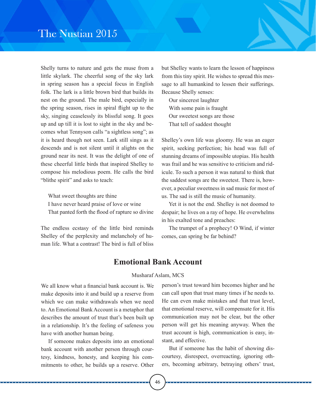Shelly turns to nature and gets the muse from a little skylark. The cheerful song of the sky lark in spring season has a special focus in English folk. The lark is a little brown bird that builds its nest on the ground. The male bird, especially in the spring season, rises in spiral flight up to the sky, singing ceaselessly its blissful song. It goes up and up till it is lost to sight in the sky and becomes what Tennyson calls "a sightless song"; as it is heard though not seen. Lark still sings as it descends and is not silent until it alights on the ground near its nest. It was the delight of one of these cheerful little birds that inspired Shelley to compose his melodious poem. He calls the bird "blithe spirit" and asks to teach:

What sweet thoughts are thine I have never heard praise of love or wine That panted forth the flood of rapture so divine

The endless ecstasy of the little bird reminds Shelley of the perplexity and melancholy of human life. What a contrast! The bird is full of bliss but Shelley wants to learn the lesson of happiness from this tiny spirit. He wishes to spread this message to all humankind to lessen their sufferings. Because Shelly senses:

Our sincerest laughter With some pain is fraught Our sweetest songs are those That tell of saddest thought

Shelley's own life was gloomy. He was an eager spirit, seeking perfection; his head was full of stunning dreams of impossible utopias. His health was frail and he was sensitive to criticism and ridicule. To such a person it was natural to think that the saddest songs are the sweetest. There is, however, a peculiar sweetness in sad music for most of us. The sad is still the music of humanity.

Yet it is not the end. Shelley is not doomed to despair; he lives on a ray of hope. He overwhelms in his exalted tone and preaches:

The trumpet of a prophecy! O Wind, if winter comes, can spring be far behind?

# **Emotional Bank Account**

#### Musharaf Aslam, MCS

We all know what a financial bank account is. We make deposits into it and build up a reserve from which we can make withdrawals when we need to. An Emotional Bank Account is a metaphor that describes the amount of trust that's been built up in a relationship. It's the feeling of safeness you have with another human being.

If someone makes deposits into an emotional bank account with another person through courtesy, kindness, honesty, and keeping his commitments to other, he builds up a reserve. Other

person's trust toward him becomes higher and he can call upon that trust many times if he needs to. He can even make mistakes and that trust level, that emotional reserve, will compensate for it. His communication may not be clear, but the other person will get his meaning anyway. When the trust account is high, communication is easy, instant, and effective.

But if someone has the habit of showing discourtesy, disrespect, overreacting, ignoring others, becoming arbitrary, betraying others' trust,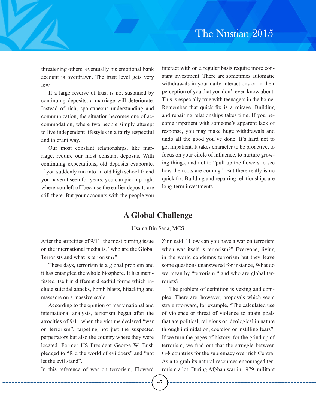threatening others, eventually his emotional bank account is overdrawn. The trust level gets very low.

If a large reserve of trust is not sustained by continuing deposits, a marriage will deteriorate. Instead of rich, spontaneous understanding and communication, the situation becomes one of accommodation, where two people simply attempt to live independent lifestyles in a fairly respectful and tolerant way.

Our most constant relationships, like marriage, require our most constant deposits. With continuing expectations, old deposits evaporate. If you suddenly run into an old high school friend you haven't seen for years, you can pick up right where you left off because the earlier deposits are still there. But your accounts with the people you

interact with on a regular basis require more constant investment. There are sometimes automatic withdrawals in your daily interactions or in their perception of you that you don't even know about. This is especially true with teenagers in the home. Remember that quick fix is a mirage. Building and repairing relationships takes time. If you become impatient with someone's apparent lack of response, you may make huge withdrawals and undo all the good you've done. It's hard not to get impatient. It takes character to be proactive, to focus on your circle of influence, to nurture growing things, and not to "pull up the flowers to see how the roots are coming." But there really is no quick fix. Building and repairing relationships are long-term investments.

### **A Global Challenge**

#### Usama Bin Sana, MCS

After the atrocities of 9/11, the most burning issue on the international media is, "who are the Global Terrorists and what is terrorism?"

These days, terrorism is a global problem and it has entangled the whole biosphere. It has manifested itself in different dreadful forms which include suicidal attacks, bomb blasts, hijacking and massacre on a massive scale.

According to the opinion of many national and international analysts, terrorism began after the atrocities of 9/11 when the victims declared "war on terrorism", targeting not just the suspected perpetrators but also the country where they were located. Former US President George W. Bush pledged to "Rid the world of evildoers" and "not let the evil stand".

In this reference of war on terrorism, Floward

Zinn said: "How can you have a war on terrorism when war itself is terrorism?" Everyone, living in the world condemns terrorism but they leave some questions unanswered for instance, What do we mean by "terrorism " and who are global terrorists?

The problem of definition is vexing and complex. There are, however, proposals which seem straightforward, for example, "The calculated use of violence or threat of violence to attain goals that are political, religious or ideological in nature through intimidation, coercion or instilling fears". If we turn the pages of history, for the grind up of terrorism, we find out that the struggle between G-8 countries for the supremacy over rich Central Asia to grab its natural resources encouraged terrorism a lot. During Afghan war in 1979, militant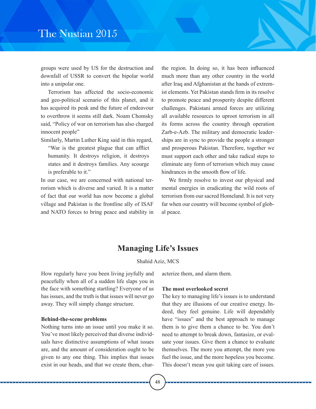# The Nustian 2015

groups were used by US for the destruction and downfall of USSR to convert the bipolar world into a unipolar one.

Terrorism has affected the socio-economic and geo-political scenario of this planet, and it has acquired its peak and the future of endeavour to overthrow it seems still dark. Noam Chomsky said, "Policy of war on terrorism has also charged innocent people"

Similarly, Martin Luther King said in this regard,

"War is the greatest plague that can afflict humanity. It destroys religion, it destroys states and it destroys families. Any scourge is preferable to it."

In our case, we are concerned with national terrorism which is diverse and varied. It is a matter of fact that our world has now become a global village and Pakistan is the frontline ally of ISAF and NATO forces to bring peace and stability in the region. In doing so, it has been influenced much more than any other country in the world after Iraq and Afghanistan at the hands of extremist elements. Yet Pakistan stands firm in its resolve to promote peace and prosperity despite different challenges. Pakistani armed forces are utilizing all available resources to uproot terrorism in all its forms across the country through operation Zarb-e-Azb. The military and democratic leaderships are in sync to provide the people a stronger and prosperous Pakistan. Therefore, together we must support each other and take radical steps to eliminate any form of terrorism which may cause hindrances in the smooth flow of life.

We firmly resolve to invest our physical and mental energies in eradicating the wild roots of terrorism from our sacred Homeland. It is not very far when our country will become symbol of global peace.

# **Managing Life's Issues**

### Shahid Aziz, MCS

How regularly have you been living joyfully and peacefully when all of a sudden life slaps you in the face with something startling? Everyone of us has issues, and the truth is that issues will never go away. They will simply change structure.

#### **Behind-the-scene problems**

Nothing turns into an issue until you make it so. You've most likely perceived that diverse individuals have distinctive assumptions of what issues are, and the amount of consideration ought to be given to any one thing. This implies that issues exist in our heads, and that we create them, characterize them, and alarm them.

#### **The most overlooked secret**

The key to managing life's issues is to understand that they are illusions of our creative energy. Indeed, they feel genuine. Life will dependably have "issues" and the best approach to manage them is to give them a chance to be. You don't need to attempt to break down, fantasize, or evaluate your issues. Give them a chance to evaluate themselves. The more you attempt, the more you fuel the issue, and the more hopeless you become. This doesn't mean you quit taking care of issues.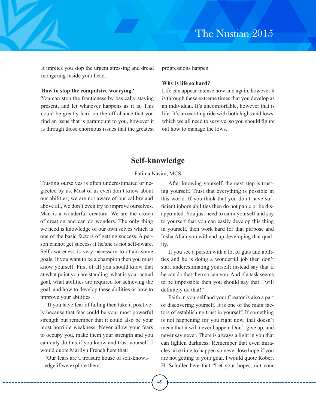It implies you stop the urgent stressing and dread mongering inside your head.

#### **How to stop the compulsive worrying?**

You can stop the franticness by basically staying present, and let whatever happens as it is. This could be greatly hard on the off chance that you find an issue that is paramount to you, however it is through those enormous issues that the greatest progressions happen.

#### **Why is life so hard?**

Life can appear intense now and again, however it is through these extreme times that you develop as an individual. It's uncomfortable, however that is life. It's an exciting ride with both highs and lows, which we all need to survive, so you should figure out how to manage the lows.

# **Self-knowledge**

### Fatima Nasim, MCS

Trusting ourselves is often underestimated or neglected by us. Most of us even don't know about our abilities; we are not aware of our calibre and above all, we don't even try to improve ourselves. Man is a wonderful creature. We are the crown of creation and can do wonders. The only thing we need is knowledge of our own selves which is one of the basic factors of getting success. A person cannot get success if he/she is not self-aware. Self-awareness is very necessary to attain some goals. If you want to be a champion then you must know yourself. First of all you should know that at what point you are standing, what is your actual goal, what abilities are required for achieving the goal, and how to develop these abilities or how to improve your abilities.

If you have fear of failing then take it positively because that fear could be your most powerful strength but remember that it could also be your most horrible weakness. Never allow your fears to occupy you, make them your strength and you can only do this if you know and trust yourself. I would quote Marilyn French here that:

"Our fears are a treasure house of self-knowledge if we explore them:'

After knowing yourself, the next step is trusting yourself. Trust that everything is possible in this world. If you think that you don't have sufficient inborn abilities then do not panic or be disappointed. You just need to calm yourself and say to yourself that you can easily develop this thing in yourself, then work hard for that purpose and Insha Allah you will end up developing that quality.

If you see a person with a lot of guts and abilities and he is doing a wonderful job then don't start underestimating yourself; instead say that if he can do that then so can you. And if a task seems to be impossible then you should say that I will definitely do that!"

Faith in yourself and your Creator is also a part of discovering yourself. It is one of the main factors of establishing trust in yourself. If something is not happening for you right now, that doesn't mean that it will never happen. Don't give up, and never say never. There is always a light in you that can lighten darkness. Remember that even miracles take time to happen so never lose hope if you are not getting to your goal. I would quote Robert H. Schuller here that "Let your hopes, not your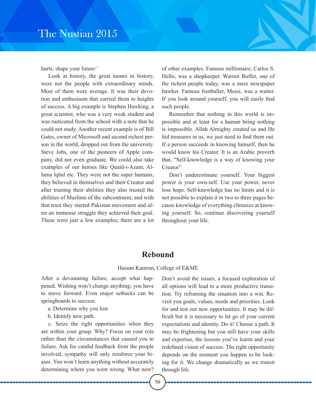hurts, shape your future:'

Look at history, the great names in history, were not the people with extraordinary minds. Most of them were average. It was their devotion and enthusiasm that carried them to heights of success. A big example is Stephen Hawking, a great scientist, who was a very weak student and was rusticated from the school with a note that he could not study. Another recent example is of Bill Gates, owner of Microsoft and second richest person in the world, dropped out from the university. Steve Jobs, one of the pioneers of Apple company, did not even graduate. We could also take examples of our heroes like Quaid-i-Azam, Allama lqbal etc. They were not the super humans, they believed in themselves and their Creator and after trusting their abilities they also trusted the abilities of Muslims of the subcontinent, and with that trust they started Pakistan movement and after an immense struggle they achieved their goal. These were just a few examples; there are a lot of other examples. Famous millionaire, Carlos S. Hello, was a shopkeeper. Warren Buffet, one of the richest people today, was a mere newspaper hawker. Famous footballer, Messi, was a waiter. If you look around yourself, you will easily find such people.

Remember that nothing in this world is impossible and at least for a human being nothing is impossible. Allah Almighty created us and He hid treasures in us, we just need to find them out. If a person succeeds in knowing himself, then he would know his Creator. It is an Arabic proverb that, "Self-knowledge is a way of knowing your Creator"

Don't underestimate yourself. Your biggest power is your own-self. Use your power, never lose hope. Self-knowledge has no limits and it is not possible to explain it in two to three pages because knowledge of everything climaxes at knowing yourself. So, continue discovering yourself throughout your life.

# **Rebound**

#### Hassan Kamran, College of E&ME

After a devastating failure, accept what happened. Wishing won't change anything; you have to move forward. Even major setbacks can be springboards to success.

- a. Determine why you lost
- b. Identify new path.

c. Seize the right opportunities when they are within your grasp. Why? Focus on your role rather than the circumstances that caused you to failure. Ask for candid feedback from the people involved, sympathy will only reinforce your biases. You won't learn anything without accurately determining where you went wrong. What now?

Don't avoid the issues, a focused exploration of all options will lead to a more productive transition. Try reframing the situation into a win. Revisit you goals, values, needs and priorities. Look for and test out new opportunities. It may be difficult but it is necessary to let go of your current expectations and identity. Do it! Choose a path. It may be frightening but you still have your skills and expertise, the lessons you've learnt and your redefined vision of success. The right opportunity depends on the moment you happen to be looking for it. We change dramatically as we transit through life.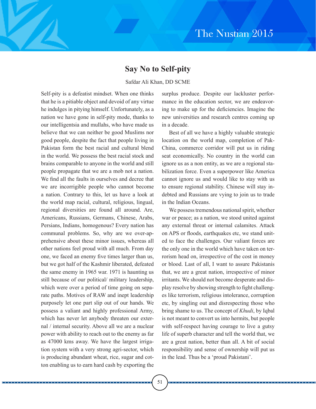# **Say No to Self-pity**

### Safdar Ali Khan, DD SCME

Self-pity is a defeatist mindset. When one thinks that he is a pitiable object and devoid of any virtue he indulges in pitying himself. Unfortunately, as a nation we have gone in self-pity mode, thanks to our intelligentsia and mullahs, who have made us believe that we can neither be good Muslims nor good people, despite the fact that people living in Pakistan form the best racial and cultural blend in the world. We possess the best racial stock and brains comparable to anyone in the world and still people propagate that we are a mob not a nation. We find all the faults in ourselves and decree that we are incorrigible people who cannot become a nation. Contrary to this, let us have a look at the world map racial, cultural, religious, lingual, regional diversities are found all around. Are, Americans, Russians, Germans, Chinese, Arabs, Persians, Indians, homogenous? Every nation has communal problems. So, why are we over-apprehensive about these minor issues, whereas all other nations feel proud with all much. From day one, we faced an enemy five times larger than us, but we got half of the Kashmir liberated, defeated the same enemy in 1965 war. 1971 is haunting us still because of our political/ military leadership, which were over a period of time going on separate paths. Motives of RAW and inept leadership purposely let one part slip out of our hands. We possess a valiant and highly professional Army, which has never let anybody threaten our external / internal security. Above all we are a nuclear power with ability to reach out to the enemy as far as 47000 kms away. We have the largest irrigation system with a very strong agri-sector, which is producing abundant wheat, rice, sugar and cotton enabling us to earn hard cash by exporting the

surplus produce. Despite our lackluster performance in the education sector, we are endeavoring to make up for the deficiencies. Imagine the new universities and research centres coming up in a decade.

Best of all we have a highly valuable strategic location on the world map, completion of Pak-China, commerce corridor will put us in riding seat economically. No country in the world can ignore us as a non entity, as we are a regional stabilization force. Even a superpower like America cannot ignore us and would like to stay with us to ensure regional stability. Chinese will stay indebted and Russians are vying to join us to trade in the Indian Oceans.

We possess tremendous national spirit, whether war or peace; as a nation, we stood united against any external threat or internal calamites. Attack on APS or floods, earthquakes etc, we stand united to face the challenges. Our valiant forces are the only one in the world which have taken on terrorism head on, irrespective of the cost in money or blood. Last of all, I want to assure Pakistanis that, we are a great nation, irrespective of minor irritants. We should not become desperate and display resolve by showing strength to fight challenges like terrorism, religious intolerance, corruption etc, by singling out and disrespecting those who bring shame to us. The concept of *Khudi*, by Iqbal is not meant to convert us into hermits, but people with self-respect having courage to live a gutsy life of superb character and tell the world that, we are a great nation, better than all. A bit of social responsibility and sense of ownership will put us in the lead. Thus be a 'proud Pakistani'.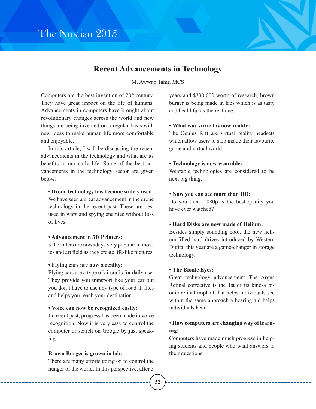

# **Recent Advancements in Technology**

M. Awwab Tahir, MCS

Computers are the best invention of  $20<sup>th</sup>$  century. They have great impact on the life of humans. Advancements in computers have brought about revolutionary changes across the world and new things are being invented on a regular basis with new ideas to make human life more comfortable and enjoyable.

In this article, I will be discussing the recent advancements in the technology and what are its benefits in our daily life. Some of the best advancements in the technology sector are given below:-

**• Drone technology has become widely used:**

We have seen a great advancement in the drone technology in the recent past. These are best used in wars and spying enemies without loss of lives.

### **• Advancement in 3D Printers:**

3D Printers are nowadays very popular in movies and art field as they create life-like pictures.

### **• Flying cars are now a reality:**

Flying cars are a type of aircrafts for daily use. They provide you transport like your car but you don't have to use any type of road. It flies and helps you reach your destination.

#### **• Voice can now be recognized easily:**

In recent past, progress has been made in voice recognition. Now it is very easy to control the computer or search on Google by just speaking.

### **Brown Burger is grown in lab:**

There are many efforts going on to control the hunger of the world. In this perspective, after 5 years and \$330,000 worth of research, brown burger is being made in labs which is as tasty and healthful as the real one.

### • **What was virtual is now reality:**

The Oculus Rift are virtual reality headsets which allow users to step inside their favourite game and virtual world.

#### • **Technology is now wearable:**

Wearable technologies are considered to be next big thing.

### • **Now you can see more than HD:**

Do you think 1080p is the best quality you have ever watched?

### • **Hard Disks are now made of Helium:**

Besides simply sounding cool, the new helium-filled hard drives introduced by Western Digital this year are a game-changer in storage technology.

### • **The Bionic Eyes:**

Great technology advancement: The Argus Retinal corrective is the 1st of its kind-a bionic retinal implant that helps individuals see within the same approach a hearing aid helps individuals hear.

### • **How computers are changing way of learning:**

Computers have made much progress in helping students and people who want answers to their questions.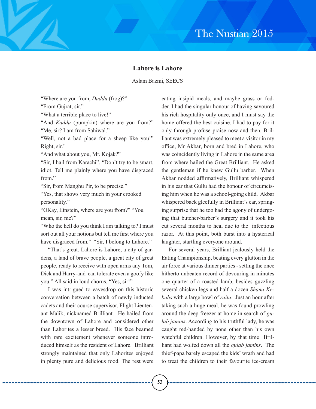### **Lahore is Lahore**

Aslam Bazmi, SEECS

"Where are you from, *Daddu* (frog)?"

"From Gujrat, sir."

"What a terrible place to live!"

"And *Kaddu* (pumpkin) where are you from?" "Me, sir? I am from Sahiwal."

"Well, not a bad place for a sheep like you!" Right, sir.'

"And what about you, Mr. Kojak?"

"Sir, I hail from Karachi". "Don't try to be smart, idiot. Tell me plainly where you have disgraced from."

"Sir, from Manghu Pir, to be precise."

"Yes, that shows very much in your crooked personality."

"OKay, Einstein, where are you from?" "You mean, sir, me?"

"Who the hell do you think I am talking to? I must sort out all your notions but tell me first where you have disgraced from." "Sir, I belong to Lahore."

"That's great. Lahore is Lahore, a city of gardens, a land of brave people, a great city of great people, ready to receive with open arms any Tom, Dick and Harry-and can tolerate even a goofy like you." All said in loud chorus, "Yes, sir!"

I was intrigued to eavesdrop on this historic conversation between a batch of newly inducted cadets and their course supervisor, Flight Lieutenant Malik, nicknamed Brilliant. He hailed from the downtown of Lahore and considered other than Lahorites a lesser breed. His face beamed with rare excitement whenever someone introduced himself as the resident of Lahore. Brilliant strongly maintained that only Lahorites enjoyed in plenty pure and delicious food. The rest were

eating insipid meals, and maybe grass or fodder. I had the singular honour of having savoured his rich hospitality only once, and I must say the home offered the best cuisine. I had to pay for it only through profuse praise now and then. Brilliant was extremely pleased to meet a visitor in my office, Mr Akbar, born and bred in Lahore, who was coincidently living in Lahore in the same area from where hailed the Great Brilliant. He asked the gentleman if he knew Gullu barber. When Akbar nodded affirmatively, Brilliant whispered in his ear that Gullu had the honour of circumcising him when he was a school-going child. Akbar whispered back gleefully in Brilliant's ear, springing surprise that he too had the agony of undergoing that butcher-barber's surgery and it took his cut several months to heal due to the infectious razor. At this point, both burst into a hysterical laughter, startling everyone around.

For several years, Brilliant jealously held the Eating Championship, beating every glutton in the air force at various dinner parties - setting the once hitherto unbeaten record of devouring in minutes one quarter of a roasted lamb, besides guzzling several chicken legs and half a dozen *Shami Kebabs* with a large bowl of *raita*. Just an hour after taking such a huge meal, he was found prowling around the deep freezer at home in search of *gulab jamins*. According to his truthful lady, he was caught red-handed by none other than his own watchful children. However, by that time Brilliant had wolfed down all the *gulab jamins*. The thief-papa barely escaped the kids' wrath and had to treat the children to their favourite ice-cream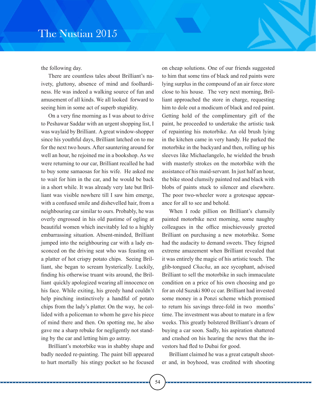the following day.

There are countless tales about Brilliant's naivety, gluttony, absence of mind and foolhardiness. He was indeed a walking source of fun and amusement of all kinds. We all looked forward to seeing him in some act of superb stupidity.

On a very fine morning as I was about to drive to Peshawar Saddar with an urgent shopping list, I was waylaid by Brilliant. A great window-shopper since his youthful days, Brilliant latched on to me for the next two hours. After sauntering around for well an hour, he rejoined me in a bookshop. As we were returning to our car, Brilliant recalled he had to buy some samaosas for his wife. He asked me to wait for him in the car, and he would be back in a short while. It was already very late but Brilliant was visible nowhere till I saw him emerge, with a confused smile and dishevelled hair, from a neighbouring car similar to ours. Probably, he was overly engrossed in his old pastime of ogling at beautiful women which inevitably led to a highly embarrassing situation. Absent-minded, Brilliant jumped into the neighbouring car with a lady ensconced on the driving seat who was feasting on a platter of hot crispy potato chips. Seeing Brilliant, she began to scream hysterically. Luckily, finding his otherwise truant wits around, the Brilliant quickly apologized wearing all innocence on his face. While exiting, his greedy hand couldn't help pinching instinctively a handful of potato chips from the lady's platter. On the way, he collided with a policeman to whom he gave his piece of mind there and then. On spotting me, he also gave me a sharp rebuke for negligently not standing by the car and letting him go astray.

Brilliant's motorbike was in shabby shape and badly needed re-painting. The paint bill appeared to hurt mortally his stingy pocket so he focused

on cheap solutions. One of our friends suggested to him that some tins of black and red paints were lying surplus in the compound of an air force store close to his house. The very next morning, Brilliant approached the store in charge, requesting him to dole out a modicum of black and red paint. Getting hold of the complimentary gift of the paint, he proceeded to undertake the artistic task of repainting his motorbike. An old brush lying in the kitchen came in very handy. He parked the motorbike in the backyard and then, rolling up his sleeves like Michaelangelo, he wielded the brush with masterly strokes on the motorbike with the assistance of his maid-servant. In just half an hour, the bike stood clumsily painted red and black with blobs of paints stuck to silencer and elsewhere. The poor two-wheeler wore a grotesque appearance for all to see and behold.

When I rode pillion on Brilliant's clumsily painted motorbike next morning, some naughty colleagues in the office mischievously greeted Brilliant on purchasing a new motorbike. Some had the audacity to demand sweets. They feigned extreme amazement when Brilliant revealed that it was entirely the magic of his artistic touch. The glib-tongued *Chacha*, an ace sycophant, advised Brilliant to sell the motorbike in such immaculate condition on a price of his own choosing and go for an old Suzuki 800 cc car. Brilliant had invested some money in a Ponzi scheme which promised to return his savings three-fold in two months' time. The investment was about to mature in a few weeks. This greatly bolstered Brilliant's dream of buying a car soon. Sadly, his aspiration shattered and crashed on his hearing the news that the investors had fled to Dubai for good.

Brilliant claimed he was a great catapult shooter and, in boyhood, was credited with shooting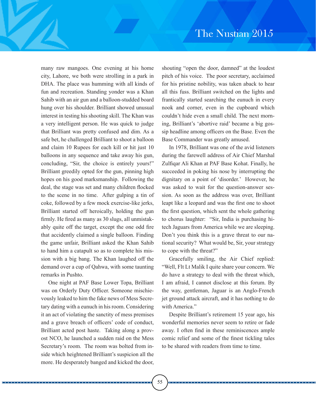many raw mangoes. One evening at his home city, Lahore, we both were strolling in a park in DHA. The place was humming with all kinds of fun and recreation. Standing yonder was a Khan Sahib with an air gun and a balloon-studded board hung over his shoulder. Brilliant showed unusual interest in testing his shooting skill. The Khan was a very intelligent person. He was quick to judge that Brilliant was pretty confused and dim. As a safe bet, he challenged Brilliant to shoot a balloon and claim 10 Rupees for each kill or hit just 10 balloons in any sequence and take away his gun, concluding, "Sir, the choice is entirely yours!" Brilliant greedily opted for the gun, pinning high hopes on his good marksmanship. Following the deal, the stage was set and many children flocked to the scene in no time. After gulping a tin of coke, followed by a few mock exercise-like jerks, Brilliant started off heroically, holding the gun firmly. He fired as many as 30 slugs, all unmistakably quite off the target, except the one odd fire that accidently claimed a single balloon. Finding the game unfair, Brilliant asked the Khan Sahib to hand him a catapult so as to complete his mission with a big bang. The Khan laughed off the demand over a cup of Qahwa, with some taunting remarks in Pushto.

One night at PAF Base Lower Topa, Brilliant was on Orderly Duty Officer. Someone mischievously leaked to him the fake news of Mess Secretary dating with a eunuch in his room. Considering it an act of violating the sanctity of mess premises and a grave breach of officers' code of conduct, Brilliant acted post haste. Taking along a provost NCO, he launched a sudden raid on the Mess Secretary's room. The room was bolted from inside which heightened Brilliant's suspicion all the more. He desperately banged and kicked the door,

shouting "open the door, damned" at the loudest pitch of his voice. The poor secretary, acclaimed for his pristine nobility, was taken aback to hear all this fuss. Brilliant switched on the lights and frantically started searching the eunuch in every nook and corner, even in the cupboard which couldn't hide even a small child. The next morning, Brilliant's 'abortive raid' became a big gossip headline among officers on the Base. Even the Base Commander was greatly amused.

In 1978, Brilliant was one of the avid listeners during the farewell address of Air Chief Marshal Zulfiqar Ali Khan at PAF Base Kohat. Finally, he succeeded in poking his nose by interrupting the dignitary on a point of 'disorder.' However, he was asked to wait for the question-answer session. As soon as the address was over, Brilliant leapt like a leopard and was the first one to shoot the first question, which sent the whole gathering to chorus laughter: "Sir, India is purchasing hitech Jaguars from America while we are sleeping. Don't you think this is a grave threat to our national security? What would be, Sir, your strategy to cope with the threat?"

Gracefully smiling, the Air Chief replied: "Well, Flt Lt Malik I quite share your concern. We do have a strategy to deal with the threat which, I am afraid, I cannot disclose at this forum. By the way, gentleman, Jaguar is an Anglo-French jet ground attack aircraft, and it has nothing to do with America."

Despite Brilliant's retirement 15 year ago, his wonderful memories never seem to retire or fade away. I often find in these reminiscences ample comic relief and some of the finest tickling tales to be shared with readers from time to time.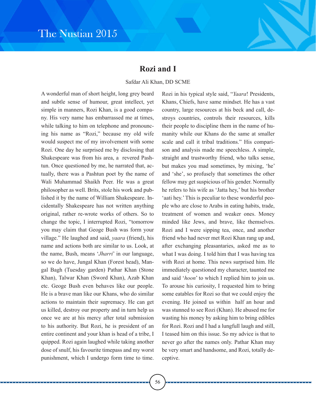# **Rozi and I**

### Safdar Ali Khan, DD SCME

A wonderful man of short height, long grey beard and subtle sense of humour, great intellect, yet simple in manners, Rozi Khan, is a good company. His very name has embarrassed me at times, while talking to him on telephone and pronouncing his name as "Rozi," because my old wife would suspect me of my involvement with some Rozi. One day he surprised me by disclosing that Shakespeare was from his area, a revered Pashtun. Once questioned by me, he narrated that, actually, there was a Pashtun poet by the name of Wali Muhammad Shaikh Peer. He was a great philosopher as well. Brits, stole his work and published it by the name of William Shakespeare. Incidentally Shakespeare has not written anything original, rather re-wrote works of others. So to change the topic, I interrupted Rozi, "tomorrow you may claim that Geoge Bush was form your village." He laughed and said, *yaara* (friend), his name and actions both are similar to us. Look, at the name, Bush, means '*Jharri*' in our language, so we do have, Jungal Khan (Forest head), Mangal Bagh (Tuesday garden) Pathar Khan (Stone Khan), Talwar Khan (Sword Khan), Azab Khan etc. Geoge Bush even behaves like our people. He is a brave man like our Khans, who do similar actions to maintain their supremacy. He can get us killed, destroy our property and in turn help us once we are at his mercy after total submission to his authority. But Rozi, he is president of an entire continent and your khan is head of a tribe, I quipped. Rozi again laughed while taking another dose of snulf, his favourite timepass and my worst punishment, which I undergo form time to time.

Rozi in his typical style said, "*Yaara*! Presidents, Khans, Chiefs, have same mindset. He has a vast country, large resources at his beck and call, destroys countries, controls their resources, kills their people to discipline them in the name of humanity while our Khans do the same at smaller scale and call it tribal traditions." His comparison and analysis made me speechless. A simple, straight and trustworthy friend, who talks sense, but makes you mad sometimes, by mixing, 'he' and 'she', so profusely that sometimes the other fellow may get suspicious of his gender. Normally he refers to his wife as 'Jatta hey,' but his brother 'aati hey.' This is peculiar to these wonderful people who are close to Arabs in eating habits, trade, treatment of women and weaker ones. Money minded like Jews, and brave, like themselves. Rozi and I were sipping tea, once, and another friend who had never met Rozi Khan rang up and, after exchanging pleasantaries, asked me as to what I was doing. I told him that I was having tea with Rozi at home. This news surprised him. He immediately questioned my character, taunted me and said '*hoon*' to which I replied him to join us. To arouse his curiosity, I requested him to bring some eatables for Rozi so that we could enjoy the evening. He joined us within half an hour and was stunned to see Rozi (Khan). He abused me for wasting his money by asking him to bring edibles for Rozi. Rozi and I had a lungfull laugh and still, I teased him on this issue. So my advice is that to never go after the names only. Pathar Khan may be very smart and handsome, and Rozi, totally deceptive.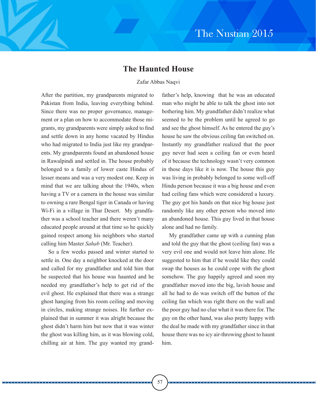## **The Haunted House**

### Zafar Abbas Naqvi

After the partition, my grandparents migrated to Pakistan from India, leaving everything behind. Since there was no proper governance, management or a plan on how to accommodate those migrants, my grandparents were simply asked to find and settle down in any home vacated by Hindus who had migrated to India just like my grandparents. My grandparents found an abandoned house in Rawalpindi and settled in. The house probably belonged to a family of lower caste Hindus of lesser means and was a very modest one. Keep in mind that we are talking about the 1940s, when having a TV or a camera in the house was similar to owning a rare Bengal tiger in Canada or having Wi-Fi in a village in Thar Desert. My grandfather was a school teacher and there weren't many educated people around at that time so he quickly gained respect among his neighbors who started calling him Master *Sahab* (Mr. Teacher).

So a few weeks passed and winter started to settle in. One day a neighbor knocked at the door and called for my grandfather and told him that he suspected that his house was haunted and he needed my grandfather's help to get rid of the evil ghost. He explained that there was a strange ghost hanging from his room ceiling and moving in circles, making strange noises. He further explained that in summer it was alright because the ghost didn't harm him but now that it was winter the ghost was killing him, as it was blowing cold, chilling air at him. The guy wanted my grand-

father's help, knowing that he was an educated man who might be able to talk the ghost into not bothering him. My grandfather didn't realize what seemed to be the problem until he agreed to go and see the ghost himself. As he entered the guy's house he saw the obvious ceiling fan switched on. Instantly my grandfather realized that the poor guy never had seen a ceiling fan or even heard of it because the technology wasn't very common in those days like it is now. The house this guy was living in probably belonged to some well-off Hindu person because it was a big house and even had ceiling fans which were considered a luxury. The guy got his hands on that nice big house just randomly like any other person who moved into an abandoned house. This guy lived in that house alone and had no family.

My grandfather came up with a cunning plan and told the guy that the ghost (ceiling fan) was a very evil one and would not leave him alone. He suggested to him that if he would like they could swap the houses as he could cope with the ghost somehow. The guy happily agreed and soon my grandfather moved into the big, lavish house and all he had to do was switch off the button of the ceiling fan which was right there on the wall and the poor guy had no clue what it was there for. The guy on the other hand, was also pretty happy with the deal he made with my grandfather since in that house there was no icy air-throwing ghost to haunt him.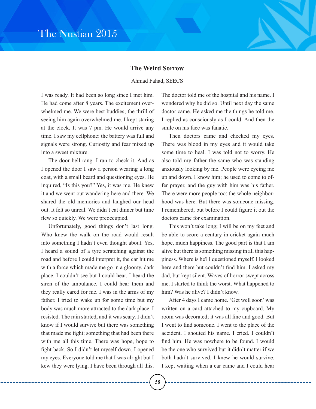### **The Weird Sorrow**

#### Ahmad Fahad, SEECS

I was ready. It had been so long since I met him. He had come after 8 years. The excitement overwhelmed me. We were best buddies; the thrill of seeing him again overwhelmed me. I kept staring at the clock. It was 7 pm. He would arrive any time. I saw my cellphone: the battery was full and signals were strong. Curiosity and fear mixed up into a sweet mixture.

The door bell rang. I ran to check it. And as I opened the door I saw a person wearing a long coat, with a small beard and questioning eyes. He inquired, "Is this you?" Yes, it was me. He knew it and we went out wandering here and there. We shared the old memories and laughed our head out. It felt so unreal. We didn't eat dinner but time flew so quickly. We were preoccupied.

Unfortunately, good things don't last long. Who knew the walk on the road would result into something I hadn't even thought about. Yes, I heard a sound of a tyre scratching against the road and before I could interpret it, the car hit me with a force which made me go in a gloomy, dark place. I couldn't see but I could hear. I heard the siren of the ambulance. I could hear them and they really cared for me. I was in the arms of my father. I tried to wake up for some time but my body was much more attracted to the dark place. I resisted. The rain started, and it was scary. I didn't know if I would survive but there was something that made me fight; something that had been there with me all this time. There was hope, hope to fight back. So I didn't let myself down. I opened my eyes. Everyone told me that I was alright but I kew they were lying. I have been through all this.

The doctor told me of the hospital and his name. I wondered why he did so. Until next day the same doctor came. He asked me the things he told me. I replied as consciously as I could. And then the smile on his face was fanatic.

Then doctors came and checked my eyes. There was blood in my eyes and it would take some time to heal. I was told not to worry. He also told my father the same who was standing anxiously looking by me. People were eyeing me up and down. I know him; he used to come to offer prayer, and the guy with him was his father. There were more people too: the whole neighborhood was here. But there was someone missing. I remembered, but before I could figure it out the doctors came for examination.

This won't take long; I will be on my feet and be able to score a century in cricket again much hope, much happiness. The good part is that I am alive but there is something missing in all this happiness. Where is he? I questioned myself. I looked here and there but couldn't find him. I asked my dad, but kept silent. Waves of horror swept across me. I started to think the worst. What happened to him? Was he alive? I didn't know.

After 4 days I came home. 'Get well soon' was written on a card attached to my cupboard. My room was decorated; it was all fine and good. But I went to find someone. I went to the place of the accident. I shouted his name. I cried. I couldn't find him. He was nowhere to be found. I would be the one who survived but it didn't matter if we both hadn't survived. I knew he would survive. I kept waiting when a car came and I could hear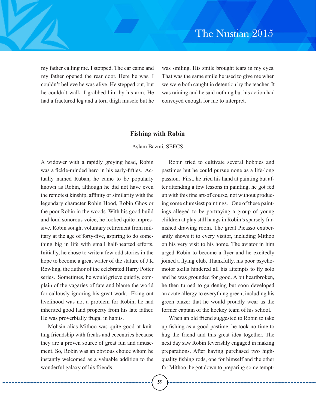my father calling me. I stopped. The car came and my father opened the rear door. Here he was, I couldn't believe he was alive. He stepped out, but he couldn't walk. I grabbed him by his arm. He had a fractured leg and a torn thigh muscle but he was smiling. His smile brought tears in my eyes. That was the same smile he used to give me when we were both caught in detention by the teacher. It was raining and he said nothing but his action had conveyed enough for me to interpret.

#### **Fishing with Robin**

#### Aslam Bazmi, SEECS

A widower with a rapidly greying head, Robin was a fickle-minded hero in his early-fifties. Actually named Ruban, he came to be popularly known as Robin, although he did not have even the remotest kinship, affinity or similarity with the legendary character Robin Hood, Robin Ghos or the poor Robin in the woods. With his good build and loud sonorous voice, he looked quite impressive. Robin sought voluntary retirement from military at the age of forty-five, aspiring to do something big in life with small half-hearted efforts. Initially, he chose to write a few odd stories in the hope to become a great writer of the stature of J K Rowling, the author of the celebrated Harry Potter series. Sometimes, he would grieve quietly, complain of the vagaries of fate and blame the world for callously ignoring his great work. Eking out livelihood was not a problem for Robin; he had inherited good land property from his late father. He was proverbially frugal in habits.

Mohsin alias Mithoo was quite good at knitting friendship with freaks and eccentrics because they are a proven source of great fun and amusement. So, Robin was an obvious choice whom he instantly welcomed as a valuable addition to the wonderful galaxy of his friends.

Robin tried to cultivate several hobbies and pastimes but he could pursue none as a life-long passion. First, he tried his hand at painting but after attending a few lessons in painting, he got fed up with this fine art-of course, not without producing some clumsiest paintings. One of these paintings alleged to be portraying a group of young children at play still hangs in Robin's sparsely furnished drawing room. The great Picasso exuberantly shows it to every visitor, including Mithoo on his very visit to his home. The aviator in him urged Robin to become a flyer and he excitedly joined a flying club. Thankfully, his poor psychomotor skills hindered all his attempts to fly solo and he was grounded for good. A bit heartbroken, he then turned to gardening but soon developed an acute allergy to everything green, including his green blazer that he would proudly wear as the former captain of the hockey team of his school.

When an old friend suggested to Robin to take up fishing as a good pastime, he took no time to hug the friend and this great idea together. The next day saw Robin feverishly engaged in making preparations. After having purchased two highquality fishing rods, one for himself and the other for Mithoo, he got down to preparing some tempt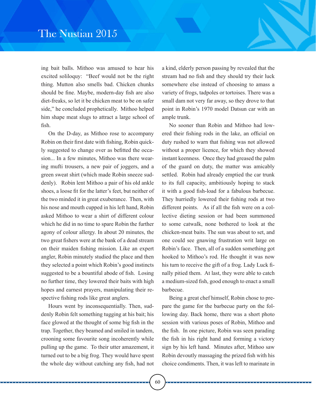ing bait balls. Mithoo was amused to hear his excited soliloquy: "Beef would not be the right thing. Mutton also smells bad. Chicken chunks should be fine. Maybe, modern-day fish are also diet-freaks, so let it be chicken meat to be on safer side," he concluded prophetically. Mithoo helped him shape meat slugs to attract a large school of fish.

On the D-day, as Mithoo rose to accompany Robin on their first date with fishing, Robin quickly suggested to change over as befitted the occasion... In a few minutes, Mithoo was there wearing mufti trousers, a new pair of joggers, and a green sweat shirt (which made Robin sneeze suddenly). Robin lent Mithoo a pair of his old ankle shoes, a loose fit for the latter's feet, but neither of the two minded it in great exuberance. Then, with his nose and mouth cupped in his left hand, Robin asked Mithoo to wear a shirt of different colour which he did in no time to spare Robin the further agony of colour allergy. In about 20 minutes, the two great fishers were at the bank of a dead stream on their maiden fishing mission. Like an expert angler, Robin minutely studied the place and then they selected a point which Robin's good instincts suggested to be a bountiful abode of fish. Losing no further time, they lowered their baits with high hopes and earnest prayers, manipulating their respective fishing rods like great anglers.

Hours went by inconsequentially. Then, suddenly Robin felt something tugging at his bait; his face glowed at the thought of some big fish in the trap. Together, they beamed and smiled in tandem, crooning some favourite song incoherently while pulling up the game. To their utter amazement, it turned out to be a big frog. They would have spent the whole day without catching any fish, had not a kind, elderly person passing by revealed that the stream had no fish and they should try their luck somewhere else instead of choosing to amass a variety of frogs, tadpoles or tortoises. There was a small dam not very far away, so they drove to that point in Robin's 1970 model Datsun car with an ample trunk.

No sooner than Robin and Mithoo had lowered their fishing rods in the lake, an official on duty rushed to warn that fishing was not allowed without a proper licence, for which they showed instant keenness. Once they had greased the palm of the guard on duty, the matter was amicably settled. Robin had already emptied the car trunk to its full capacity, ambitiously hoping to stack it with a good fish-load for a fabulous barbecue. They hurriedly lowered their fishing rods at two different points. As if all the fish were on a collective dieting session or had been summoned to some catwalk, none bothered to look at the chicken-meat baits. The sun was about to set, and one could see gnawing frustration writ large on Robin's face. Then, all of a sudden something got hooked to Mithoo's rod. He thought it was now his turn to receive the gift of a frog. Lady Luck finally pitied them. At last, they were able to catch a medium-sized fish, good enough to enact a small barbecue.

Being a great chef himself, Robin chose to prepare the game for the barbecue party on the following day. Back home, there was a short photo session with various poses of Robin, Mithoo and the fish. In one picture, Robin was seen parading the fish in his right hand and forming a victory sign by his left hand. Minutes after, Mithoo saw Robin devoutly massaging the prized fish with his choice condiments. Then, it was left to marinate in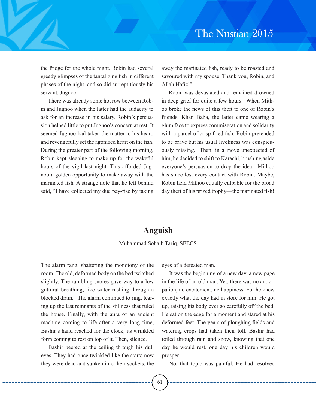the fridge for the whole night. Robin had several greedy glimpses of the tantalizing fish in different phases of the night, and so did surreptitiously his servant, Jugnoo.

There was already some hot row between Robin and Jugnoo when the latter had the audacity to ask for an increase in his salary. Robin's persuasion helped little to put Jugnoo's concern at rest. It seemed Jugnoo had taken the matter to his heart, and revengefully set the agonized heart on the fish. During the greater part of the following morning, Robin kept sleeping to make up for the wakeful hours of the vigil last night. This afforded Jugnoo a golden opportunity to make away with the marinated fish. A strange note that he left behind said, "I have collected my due pay-rise by taking away the marinated fish, ready to be roasted and savoured with my spouse. Thank you, Robin, and Allah Hafiz!"

Robin was devastated and remained drowned in deep grief for quite a few hours. When Mithoo broke the news of this theft to one of Robin's friends, Khan Baba, the latter came wearing a glum face to express commiseration and solidarity with a parcel of crisp fried fish. Robin pretended to be brave but his usual liveliness was conspicuously missing. Then, in a move unexpected of him, he decided to shift to Karachi, brushing aside everyone's persuasion to drop the idea. Mithoo has since lost every contact with Robin. Maybe, Robin held Mithoo equally culpable for the broad day theft of his prized trophy—the marinated fish!

# **Anguish**

#### Muhammad Sohaib Tariq, SEECS

The alarm rang, shattering the monotony of the room. The old, deformed body on the bed twitched slightly. The rumbling snores gave way to a low guttural breathing, like water rushing through a blocked drain. The alarm continued to ring, tearing up the last remnants of the stillness that ruled the house. Finally, with the aura of an ancient machine coming to life after a very long time, Bashir's hand reached for the clock, its wrinkled form coming to rest on top of it. Then, silence.

Bashir peered at the ceiling through his dull eyes. They had once twinkled like the stars; now they were dead and sunken into their sockets, the eyes of a defeated man.

It was the beginning of a new day, a new page in the life of an old man. Yet, there was no anticipation, no excitement, no happiness. For he knew exactly what the day had in store for him. He got up, raising his body ever so carefully off the bed. He sat on the edge for a moment and stared at his deformed feet. The years of ploughing fields and watering crops had taken their toll. Bashir had toiled through rain and snow, knowing that one day he would rest, one day his children would prosper.

No, that topic was painful. He had resolved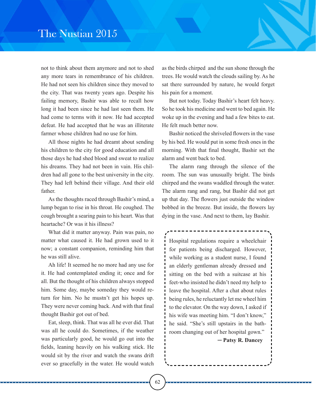not to think about them anymore and not to shed any more tears in remembrance of his children. He had not seen his children since they moved to the city. That was twenty years ago. Despite his failing memory, Bashir was able to recall how long it had been since he had last seen them. He had come to terms with it now. He had accepted defeat. He had accepted that he was an illiterate farmer whose children had no use for him.

All those nights he had dreamt about sending his children to the city for good education and all those days he had shed blood and sweat to realize his dreams. They had not been in vain. His children had all gone to the best university in the city. They had left behind their village. And their old father.

As the thoughts raced through Bashir's mind, a lump began to rise in his throat. He coughed. The cough brought a searing pain to his heart. Was that heartache? Or was it his illness?

What did it matter anyway. Pain was pain, no matter what caused it. He had grown used to it now; a constant companion, reminding him that he was still alive.

Ah life! It seemed he no more had any use for it. He had contemplated ending it; once and for all. But the thought of his children always stopped him. Some day, maybe someday they would return for him. No he mustn't get his hopes up. They were never coming back. And with that final thought Bashir got out of bed.

Eat, sleep, think. That was all he ever did. That was all he could do. Sometimes, if the weather was particularly good, he would go out into the fields, leaning heavily on his walking stick. He would sit by the river and watch the swans drift ever so gracefully in the water. He would watch

as the birds chirped and the sun shone through the trees. He would watch the clouds sailing by. As he sat there surrounded by nature, he would forget his pain for a moment.

But not today. Today Bashir's heart felt heavy. So he took his medicine and went to bed again. He woke up in the evening and had a few bites to eat. He felt much better now.

Bashir noticed the shriveled flowers in the vase by his bed. He would put in some fresh ones in the morning. With that final thought, Bashir set the alarm and went back to bed.

The alarm rang through the silence of the room. The sun was unusually bright. The birds chirped and the swans waddled through the water. The alarm rang and rang, but Bashir did not get up that day. The flowers just outside the window bobbed in the breeze. But inside, the flowers lay dying in the vase. And next to them, lay Bashir.

` Hospital regulations require a wheelchair for patients being discharged. However, while working as a student nurse, I found an elderly gentleman already dressed and sitting on the bed with a suitcase at his feet-who insisted he didn't need my help to leave the hospital. After a chat about rules being rules, he reluctantly let me wheel him to the elevator. On the way down, I asked if his wife was meeting him. "I don't know," he said. "She's still upstairs in the bathroom changing out of her hospital gown."

─ **Patsy R. Dancey**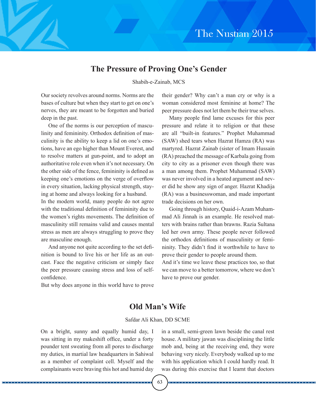# **The Pressure of Proving One's Gender**

Shabih-e-Zainab, MCS

Our society revolves around norms. Norms are the bases of culture but when they start to get on one's nerves, they are meant to be forgotten and buried deep in the past.

One of the norms is our perception of masculinity and femininity. Orthodox definition of masculinity is the ability to keep a lid on one's emotions, have an ego higher than Mount Everest, and to resolve matters at gun-point, and to adopt an authoritative role even when it's not necessary. On the other side of the fence, femininity is defined as keeping one's emotions on the verge of overflow in every situation, lacking physical strength, staying at home and always looking for a husband.

In the modern world, many people do not agree with the traditional definition of femininity due to the women's rights movements. The definition of masculinity still remains valid and causes mental stress as men are always struggling to prove they are masculine enough.

And anyone not quite according to the set definition is bound to live his or her life as an outcast. Face the negative criticism or simply face the peer pressure causing stress and loss of selfconfidence.

But why does anyone in this world have to prove

their gender? Why can't a man cry or why is a woman considered most feminine at home? The peer pressure does not let them be their true selves.

Many people find lame excuses for this peer pressure and relate it to religion or that these are all "built-in features." Prophet Muhammad (SAW) shed tears when Hazrat Hamza (RA) was martyred. Hazrat Zainab (sister of Imam Hussain (RA) preached the message of Karbala going from city to city as a prisoner even though there was a man among them. Prophet Muhammad (SAW) was never involved in a heated argument and never did he show any sign of anger. Hazrat Khadija (RA) was a businesswoman, and made important trade decisions on her own.

Going through history, Quaid-i-Azam Muhammad Ali Jinnah is an example. He resolved matters with brains rather than brawns. Razia Sultana led her own army. These people never followed the orthodox definitions of masculinity or femininity. They didn't find it worthwhile to have to prove their gender to people around them.

And it's time we leave these practices too, so that we can move to a better tomorrow, where we don't have to prove our gender.

### **Old Man's Wife**

#### Safdar Ali Khan, DD SCME

On a bright, sunny and equally humid day, I was sitting in my makeshift office, under a forty pounder tent sweating from all pores to discharge my duties, in martial law headquarters in Sahiwal as a member of complaint cell. Myself and the complainants were braving this hot and humid day in a small, semi-green lawn beside the canal rest house. A military jawan was disciplining the little mob and, being at the receiving end, they were behaving very nicely. Everybody walked up to me with his application which I could hardly read. It was during this exercise that I learnt that doctors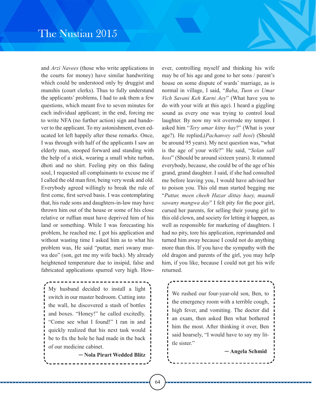and *Arzi Navees* (those who write applications in the courts for money) have similar handwriting which could be understood only by druggist and munshis (court clerks). Thus to fully understand the applicants' problems, I had to ask them a few questions, which meant five to seven minutes for each individual applicant; in the end, forcing me to write NFA (no further action) sign and handover to the applicant. To my astonishment, even educated lot left happily after these remarks. Once, I was through with half of the applicants I saw an elderly man, stooped forward and standing with the help of a stick, wearing a small white turban, dhoti and no shirt. Feeling pity on this fading soul, I requested all complainants to excuse me if I called the old man first, being very weak and old. Everybody agreed willingly to break the rule of first come, first served basis. I was contemplating that, his rude sons and daughters-in-law may have thrown him out of the house or some of his close relative or ruffian must have deprived him of his land or something. While I was forecasting his problem, he reached me. I got his application and without wasting time I asked him as to what his problem was, He said "puttar, meri swany murwa deo" (son, get me my wife back). My already heightened temperature due to insipid, false and fabricated applications spurred very high. How-

` ` My husband decided to install a light switch in our master bedroom. Cutting into the wall, he discovered a stash of bottles and boxes. "Honey!" he called excitedly. "Come see what I found!" I ran in and quickly realized that his next task would be to fix the hole he had made in the back of our medicine cabinet.

─ **Nola Pirart Wedded Blitz**

ever, controlling myself and thinking his wife may be of his age and gone to her sons / parent's house on some dispute of wards' marriage, as is normal in village, I said, "*Baba*, *Tuon es Umar Vich Savani Keh Karni Aey*" (What have you to do with your wife at this age). I heard a giggling sound as every one was trying to control loud laughter. By now my wit overrode my temper. I asked him "*Tery umar kitny hay*?" (What is your age?). He replied,(*Pachanvey sall hosi*) (Should be around 95 years). My next question was, "what is the age of your wife?" He said, "*Solan sall hosi*" (Should be around sixteen years). It stunned everybody, because, she could be of the age of his grand, grand daughter. I said, if she had consulted me before leaving you, I would have advised her to poison you. This old man started begging me "*Puttar, meen cheeh Hazar dittay haey, maandi sawany mangwa day*" I felt pity for the poor girl, cursed her parents, for selling their young girl to this old clown, and society for letting it happen, as well as responsible for marketing of daughters. I had no pity, tore his application, reprimanded and turned him away because I could not do anything more than this. If you have the sympathy with the old dragon and parents of the girl, you may help him, if you like, because I could not get his wife returned.

We rushed our four-year-old son, Ben, to the emergency room with a terrible cough, high fever, and vomiting. The doctor did an exam, then asked Ben what bothered him the most. After thinking it over, Ben said hoarsely, "I would have to say my little sister."

─ **Angela Schmid**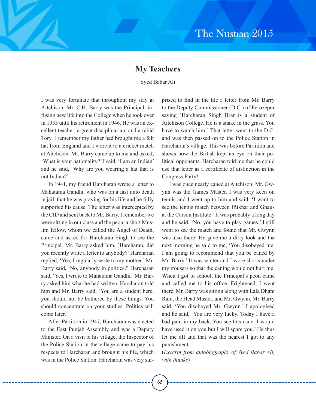# **My Teachers**

### Syed Babar Ali

I was very fortunate that throughout my stay at Aitchison, Mr. C.H. Barry was the Principal, infusing new life into the College when he took over in 1933 until his retirement in 1946. He was an excellent teacher, a great disciplinarian, and a rabid Tory. I remember my father had brought me a felt hat from England and I wore it to a cricket match at Aitchison. Mr. Barry came up to me and asked, 'What is your nationality?' I said, 'I am an Indian' and he said, 'Why are you wearing a hat that is not Indian?'

In 1941, my friend Harcharan wrote a letter to Mahatama Gandhi, who was on a fast unto death in jail, that he was praying for his life and he fully supported his cause. The letter was intercepted by the CID and sent back to Mr. Barry. I remember we were sitting in our class and the peon, a short Muslim fellow, whom we called the Angel of Death, came and asked for Harcharan Singh to see the Principal. Mr. Barry asked him, `Harcharan, did you recently write a letter to anybody?' Harcharan replied, 'Yes, I regularly write to my mother.' Mr. Barry said, 'No, anybody in politics?' Harcharan said, 'Yes, I wrote to Mahatama Gandhi.' Mr. Barry asked him what he had written. Harcharan told him and Mr. Barry said, 'You are a student here, you should not be bothered by these things. You should concentrate on your studies. Politics will come later.'

After Partition in 1947, Harcharan was elected to the East Punjab Assembly and was a Deputy Minister. On a visit to his village, the Inspector of the Police Station in the village came to pay his respects to Harcharan and brought his file, which was in the Police Station. Harcharan was very surprised to find in the file a letter from Mr. Barry to the Deputy Commissioner (D.C.) of Ferozepur saying `Harcharan Singh Brar is a student of Aitchison College. He is a snake in the grass. You have to watch him!' That letter went to the D.C. and was then passed on to the Police Station in Harcharan's village. This was before Partition and shows how the British kept an eye on their political opponents. Harcharan told me that he could use that letter as a certificate of distinction in the Congress Party!

I was once nearly caned at Aitchison. Mr. Gwynn was the Games Master. I was very keen on tennis and I went up to him and said, 'I want to see the tennis match between Iftikhar and Ghaus at the Carson Institute.' It was probably a long day and he said, 'No, you have to play games.' I still went to see the match and found that Mr. Gwynn was also there! He gave me a dirty look and the next morning he said to me, 'You disobeyed me. I am going to recommend that you be caned by Mr. Barry.' It was winter and I wore shorts under my trousers so that the caning would not hurt me. When I got to school, the Principal's peon came and called me to his office. Frightened, I went there. Mr. Barry was sitting along with Lala Dhani Ram, the Head Master, and Mr. Gwynn. Mr. Barry said, 'You disobeyed Mr. Gwynn.' I apologised and he said, 'You are very lucky. Today I have a bad pain in my back. You see this cane: I would have used it on you but I will spare you.' He thus let me off and that was the nearest I got to any punishment.

(*Excerpt from autobiography of Syed Babar Ali, with thanks*)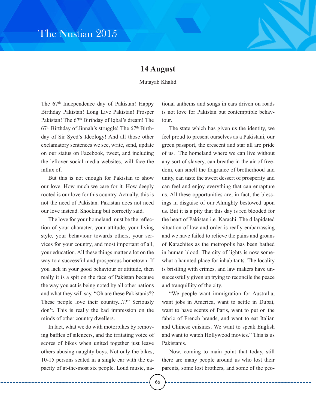# **14 August**

Mutayab Khalid

The  $67<sup>th</sup>$  Independence day of Pakistan! Happy Birthday Pakistan! Long Live Pakistan! Prosper Pakistan! The 67<sup>th</sup> Birthday of Iqbal's dream! The  $67<sup>th</sup>$  Birthday of Jinnah's struggle! The  $67<sup>th</sup>$  Birthday of Sir Syed's Ideology! And all those other exclamatory sentences we see, write, send, update on our status on Facebook, tweet, and including the leftover social media websites, will face the influx of.

But this is not enough for Pakistan to show our love. How much we care for it. How deeply rooted is our love for this country. Actually, this is not the need of Pakistan. Pakistan does not need our love instead. Shocking but correctly said.

The love for your homeland must be the reflection of your character, your attitude, your living style, your behaviour towards others, your services for your country, and most important of all, your education. All these things matter a lot on the way to a successful and prosperous hometown. If you lack in your good behaviour or attitude, then really it is a spit on the face of Pakistan because the way you act is being noted by all other nations and what they will say, "Oh are these Pakistanis?? These people love their country...??" Seriously don't. This is really the bad impression on the minds of other country dwellers.

In fact, what we do with motorbikes by removing baffles of silencers, and the irritating voice of scores of bikes when united together just leave others abusing naughty boys. Not only the bikes, 10-15 persons seated in a single car with the capacity of at-the-most six people. Loud music, national anthems and songs in cars driven on roads is not love for Pakistan but contemptible behaviour.

The state which has given us the identity, we feel proud to present ourselves as a Pakistani, our green passport, the crescent and star all are pride of us. The homeland where we can live without any sort of slavery, can breathe in the air of freedom, can smell the fragrance of brotherhood and unity, can taste the sweet dessert of prosperity and can feel and enjoy everything that can enrapture us. All these opportunities are, in fact, the blessings in disguise of our Almighty bestowed upon us. But it is a pity that this day is red blooded for the heart of Pakistan i.e. Karachi. The dilapidated situation of law and order is really embarrassing and we have failed to relieve the pains and groans of Karachites as the metropolis has been bathed in human blood. The city of lights is now somewhat a haunted place for inhabitants. The locality is bristling with crimes, and law makers have unsuccessfully given up trying to reconcile the peace and tranquillity of the city.

"We people want immigration for Australia, want jobs in America, want to settle in Dubai, want to have scents of Paris, want to put on the fabric of French brands, and want to eat Italian and Chinese cuisines. We want to speak English and want to watch Hollywood movies." This is us Pakistanis.

Now, coming to main point that today, still there are many people around us who lost their parents, some lost brothers, and some of the peo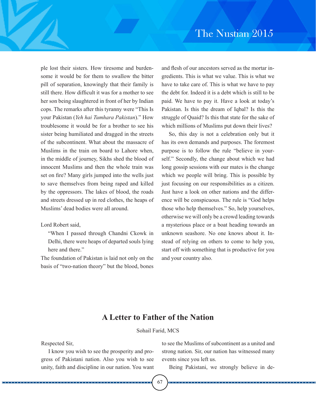ple lost their sisters. How tiresome and burdensome it would be for them to swallow the bitter pill of separation, knowingly that their family is still there. How difficult it was for a mother to see her son being slaughtered in front of her by Indian cops. The remarks after this tyranny were "This Is your Pakistan (*Yeh hai Tumhara Pakistan*)." How troublesome it would be for a brother to see his sister being humiliated and dragged in the streets of the subcontinent. What about the massacre of Muslims in the train on board to Lahore when, in the middle of journey, Sikhs shed the blood of innocent Muslims and then the whole train was set on fire? Many girls jumped into the wells just to save themselves from being raped and killed by the oppressors. The lakes of blood, the roads and streets dressed up in red clothes, the heaps of Muslims' dead bodies were all around.

### Lord Robert said,

"When I passed through Chandni Ckowk in Delhi, there were heaps of departed souls lying here and there."

The foundation of Pakistan is laid not only on the basis of "two-nation theory" but the blood, bones and flesh of our ancestors served as the mortar ingredients. This is what we value. This is what we have to take care of. This is what we have to pay the debt for. Indeed it is a debt which is still to be paid. We have to pay it. Have a look at today's Pakistan. Is this the dream of Iqbal? Is this the struggle of Quaid? Is this that state for the sake of which millions of Muslims put down their lives?

So, this day is not a celebration only but it has its own demands and purposes. The foremost purpose is to follow the rule "believe in yourself." Secondly, the change about which we had long gossip sessions with our mates is the change which we people will bring. This is possible by just focusing on our responsibilities as a citizen. Just have a look on other nations and the difference will be conspicuous. The rule is "God helps those who help themselves." So, help yourselves, otherwise we will only be a crowd leading towards a mysterious place or a boat heading towards an unknown seashore. No one knows about it. Instead of relying on others to come to help you, start off with something that is productive for you and your country also.

# **A Letter to Father of the Nation**

Sohail Farid, MCS

Respected Sir,

I know you wish to see the prosperity and progress of Pakistani nation. Also you wish to see unity, faith and discipline in our nation. You want to see the Muslims of subcontinent as a united and strong nation. Sir, our nation has witnessed many events since you left us.

Being Pakistani, we strongly believe in de-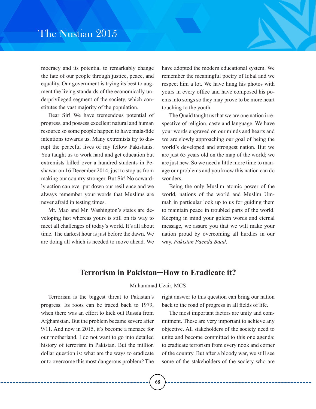mocracy and its potential to remarkably change the fate of our people through justice, peace, and equality. Our government is trying its best to augment the living standards of the economically underprivileged segment of the society, which constitutes the vast majority of the population.

Dear Sir! We have tremendous potential of progress, and possess excellent natural and human resource so some people happen to have mala-fide intentions towards us. Many extremists try to disrupt the peaceful lives of my fellow Pakistanis. You taught us to work hard and get education but extremists killed over a hundred students in Peshawar on 16 December 2014, just to stop us from making our country stronger. But Sir! No cowardly action can ever put down our resilience and we always remember your words that Muslims are never afraid in testing times.

Mr. Mao and Mr. Washington's states are developing fast whereas yours is still on its way to meet all challenges of today's world. It's all about time. The darkest hour is just before the dawn. We are doing all which is needed to move ahead. We

have adopted the modern educational system. We remember the meaningful poetry of Iqbal and we respect him a lot. We have hung his photos with yours in every office and have composed his poems into songs so they may prove to be more heart touching to the youth.

The Quaid taught us that we are one nation irrespective of religion, caste and language. We have your words engraved on our minds and hearts and we are slowly approaching our goal of being the world's developed and strongest nation. But we are just 65 years old on the map of the world; we are just new. So we need a little more time to manage our problems and you know this nation can do wonders.

Being the only Muslim atomic power of the world, nations of the world and Muslim Ummah in particular look up to us for guiding them to maintain peace in troubled parts of the world. Keeping in mind your golden words and eternal message, we assure you that we will make your nation proud by overcoming all hurdles in our way. *Pakistan Paenda Baad*.

### **Terrorism in Pakistan─How to Eradicate it?**

#### Muhammad Uzair, MCS

Terrorism is the biggest threat to Pakistan's progress. Its roots can be traced back to 1979, when there was an effort to kick out Russia from Afghanistan. But the problem became severe after 9/11. And now in 2015, it's become a menace for our motherland. I do not want to go into detailed history of terrorism in Pakistan. But the million dollar question is: what are the ways to eradicate or to overcome this most dangerous problem? The

right answer to this question can bring our nation back to the road of progress in all fields of life.

The most important factors are unity and commitment. These are very important to achieve any objective. All stakeholders of the society need to unite and become committed to this one agenda: to eradicate terrorism from every nook and corner of the country. But after a bloody war, we still see some of the stakeholders of the society who are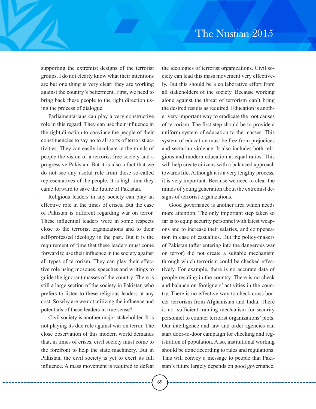supporting the extremist designs of the terrorist groups. I do not clearly know what their intentions are but one thing is very clear: they are working against the country's betterment. First, we need to bring back these people to the right direction using the process of dialogue.

Parliamentarians can play a very constructive role in this regard. They can use their influence in the right direction to convince the people of their constituencies to say no to all sorts of terrorist activities. They can easily inculcate in the minds of people the vision of a terrorist-free society and a progressive Pakistan. But it is also a fact that we do not see any useful role from these so-called representatives of the people. It is high time they came forward to save the future of Pakistan.

Religious leaders in any society can play an effective role in the times of crises. But the case of Pakistan is different regarding war on terror. These influential leaders were in some respects close to the terrorist organizations and to their self-professed ideology in the past. But it is the requirement of time that these leaders must come forward to use their influence in the society against all types of terrorism. They can play their effective role using mosques, speeches and writings to guide the ignorant masses of the country. There is still a large section of the society in Pakistan who prefers to listen to these religious leaders at any cost. So why are we not utilizing the influence and potentials of these leaders in true sense?

Civil society is another major stakeholder. It is not playing its due role against war on terror. The close observation of this modern world demands that, in times of crises, civil society must come to the forefront to help the state machinery. But in Pakistan, the civil society is yet to exert its full influence. A mass movement is required to defeat

. . . . . . . . . . . .

the ideologies of terrorist organizations. Civil society can lead this mass movement very effectively. But this should be a collaborative effort from all stakeholders of the society. Because working alone against the threat of terrorism can't bring the desired results as required. Education is another very important way to eradicate the root causes of terrorism. The first step should be to provide a uniform system of education to the masses. This system of education must be free from prejudices and sectarian violence. It also includes both religious and modern education at equal ratios. This will help create citizens with a balanced approach towards life. Although it is a very lengthy process, it is very important. Because we need to clear the minds of young generation about the extremist designs of terrorist organizations.

Good governance is another area which needs more attention. The only important step taken so far is to equip security personnel with latest weapons and to increase their salaries, and compensation in case of casualties. But the policy-makers of Pakistan (after entering into the dangerous war on terror) did not create a suitable mechanism through which terrorism could be checked effectively. For example, there is no accurate data of people residing in the country. There is no check and balance on foreigners' activities in the country. There is no effective way to check cross border terrorism from Afghanistan and India. There is not sufficient training mechanism for security personnel to counter terrorist organizations' plots. Our intelligence and law and order agencies can start door-to-door campaign for checking and registration of population. Also, institutional working should be done according to rules and regulations. This will convey a message to people that Pakistan's future largely depends on good governance,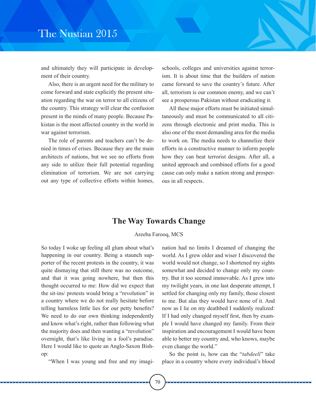and ultimately they will participate in development of their country.

Also, there is an urgent need for the military to come forward and state explicitly the present situation regarding the war on terror to all citizens of the country. This strategy will clear the confusion present in the minds of many people. Because Pakistan is the most affected country in the world in war against terrorism.

The role of parents and teachers can't be denied in times of crises. Because they are the main architects of nations, but we see no efforts from any side to utilize their full potential regarding elimination of terrorism. We are not carrying out any type of collective efforts within homes, schools, colleges and universities against terrorism. It is about time that the builders of nation came forward to save the country's future. After all, terrorism is our common enemy, and we can't see a prosperous Pakistan without eradicating it.

All these major efforts must be initiated simultaneously and must be communicated to all citizens through electronic and print media. This is also one of the most demanding area for the media to work on. The media needs to channelize their efforts in a constructive manner to inform people how they can beat terrorist designs. After all, a united approach and combined efforts for a good cause can only make a nation strong and prosperous in all respects.

### **The Way Towards Change**

#### Areeba Farooq, MCS

So today I woke up feeling all glum about what's happening in our country. Being a staunch supporter of the recent protests in the country, it was quite dismaying that still there was no outcome, and that it was going nowhere, but then this thought occurred to me: How did we expect that the sit-ins/ protests would bring a "revolution" in a country where we do not really hesitate before telling harmless little lies for our petty benefits? We need to do our own thinking independently and know what's right, rather than following what the majority does and then wanting a "revolution" overnight, that's like living in a fool's paradise. Here I would like to quote an Anglo-Saxon Bishop:

"When I was young and free and my imagi-

nation had no limits I dreamed of changing the world. As I grew older and wiser I discovered the world would not change, so I shortened my sights somewhat and decided to change only my country. But it too seemed immovable. As I grew into my twilight years, in one last desperate attempt, I settled for changing only my family, those closest to me. But alas they would have none of it. And now as I lie on my deathbed I suddenly realized: If I had only changed myself first, then by example I would have changed my family. From their inspiration and encouragement I would have been able to better my country and, who knows, maybe even change the world."

So the point is, how can the "*tabdeeli*" take place in a country where every individual's blood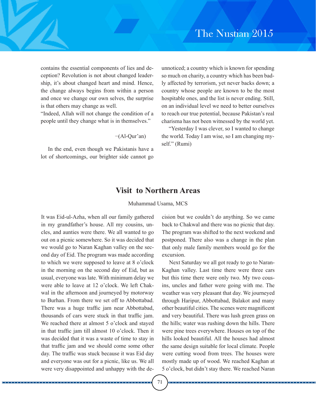contains the essential components of lies and deception? Revolution is not about changed leadership, it's about changed heart and mind. Hence, the change always begins from within a person and once we change our own selves, the surprise is that others may change as well.

"Indeed, Allah will not change the condition of a people until they change what is in themselves."

−(Al-Qur'an)

In the end, even though we Pakistanis have a lot of shortcomings, our brighter side cannot go

unnoticed; a country which is known for spending so much on charity, a country which has been badly affected by terrorism, yet never backs down; a country whose people are known to be the most hospitable ones, and the list is never ending. Still, on an individual level we need to better ourselves to reach our true potential, because Pakistan's real charisma has not been witnessed by the world yet.

"Yesterday I was clever, so I wanted to change the world. Today I am wise, so I am changing myself." (Rumi)

### **Visit to Northern Areas**

Muhammad Usama, MCS

It was Eid-ul-Azha, when all our family gathered in my grandfather's house. All my cousins, uncles, and aunties were there. We all wanted to go out on a picnic somewhere. So it was decided that we would go to Naran Kaghan valley on the second day of Eid. The program was made according to which we were supposed to leave at 8 o'clock in the morning on the second day of Eid, but as usual, everyone was late. With minimum delay we were able to leave at 12 o'clock. We left Chakwal in the afternoon and journeyed by motorway to Burhan. From there we set off to Abbottabad. There was a huge traffic jam near Abbottabad, thousands of cars were stuck in that traffic jam. We reached there at almost 5 o'clock and stayed in that traffic jam till almost 10 o'clock. Then it was decided that it was a waste of time to stay in that traffic jam and we should come some other day. The traffic was stuck because it was Eid day and everyone was out for a picnic, like us. We all were very disappointed and unhappy with the decision but we couldn't do anything. So we came back to Chakwal and there was no picnic that day. The program was shifted to the next weekend and postponed. There also was a change in the plan that only male family members would go for the excursion.

Next Saturday we all got ready to go to Naran-Kaghan valley. Last time there were three cars but this time there were only two. My two cousins, uncles and father were going with me. The weather was very pleasant that day. We journeyed through Haripur, Abbottabad, Balakot and many other beautiful cities. The scenes were magnificent and very beautiful. There was lush green grass on the hills; water was rushing down the hills. There were pine trees everywhere. Houses on top of the hills looked beautiful. All the houses had almost the same design suitable for local climate. People were cutting wood from trees. The houses were mostly made up of wood. We reached Kaghan at 5 o'clock, but didn't stay there. We reached Naran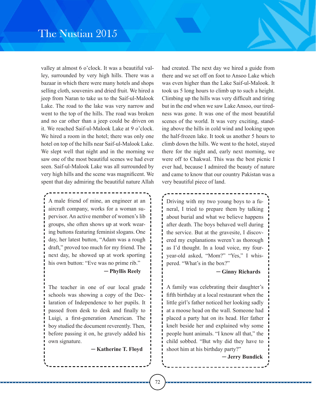valley at almost 6 o'clock. It was a beautiful valley, surrounded by very high hills. There was a bazaar in which there were many hotels and shops selling cloth, souvenirs and dried fruit. We hired a jeep from Naran to take us to the Saif-ul-Malook Lake. The road to the lake was very narrow and went to the top of the hills. The road was broken and no car other than a jeep could be driven on it. We reached Saif-ul-Malook Lake at 9 o'clock. We hired a room in the hotel; there was only one hotel on top of the hills near Saif-ul-Malook Lake. We slept well that night and in the morning we saw one of the most beautiful scenes we had ever seen. Saif-ul-Malook Lake was all surrounded by very high hills and the scene was magnificent. We spent that day admiring the beautiful nature Allah

` ` A male friend of mine, an engineer at an aircraft company, works for a woman supervisor. An active member of women's lib groups, she often shows up at work wearing buttons featuring feminist slogans. One day, her latest button, "Adam was a rough draft," proved too much for my friend. The next day, he showed up at work sporting his own button: "Eve was no prime rib."

#### ─ **Phyllis Reely**

The teacher in one of our local grade schools was showing a copy of the Declaration of Independence to her pupils. It passed from desk to desk and finally to Luigi, a first-generation American. The boy studied the document reverently. Then, before passing it on, he gravely added his own signature.

─ **Katherine T. Floyd**

had created. The next day we hired a guide from there and we set off on foot to Ansoo Lake which was even higher than the Lake Saif-ul-Malook. It took us 5 long hours to climb up to such a height. Climbing up the hills was very difficult and tiring but in the end when we saw Lake Ansoo, our tiredness was gone. It was one of the most beautiful scenes of the world. It was very exciting, standing above the hills in cold wind and looking upon the half-frozen lake. It took us another 5 hours to climb down the hills. We went to the hotel, stayed there for the night and, early next morning, we were off to Chakwal. This was the best picnic I ever had, because I admired the beauty of nature and came to know that our country Pakistan was a very beautiful piece of land.

Driving with my two young boys to a funeral, I tried to prepare them by talking about burial and what we believe happens after death. The boys behaved well during the service. But at the gravesite, I discovered my explanations weren't as thorough as I'd thought. In a loud voice, my fouryear-old asked, "Mom?" "Yes," I whispered. "What's in the box?"

#### ─ **Ginny Richards**

A family was celebrating their daughter's fifth birthday at a local restaurant when the little girl's father noticed her looking sadly at a moose head on the wall. Someone had placed a party hat on its head. Her father knelt beside her and explained why some people hunt animals. "I know all that," the child sobbed. "But why did they have to shoot him at his birthday party?"

─ **Jerry Bundick**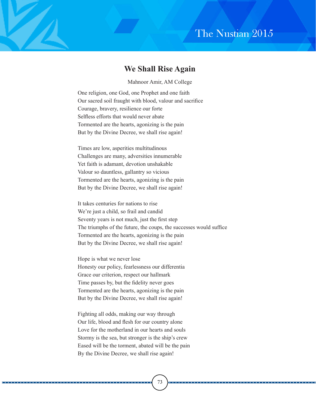#### **We Shall Rise Again**

Mahnoor Amir, AM College

One religion, one God, one Prophet and one faith Our sacred soil fraught with blood, valour and sacrifice Courage, bravery, resilience our forte Selfless efforts that would never abate Tormented are the hearts, agonizing is the pain But by the Divine Decree, we shall rise again!

Times are low, asperities multitudinous Challenges are many, adversities innumerable Yet faith is adamant, devotion unshakable Valour so dauntless, gallantry so vicious Tormented are the hearts, agonizing is the pain But by the Divine Decree, we shall rise again!

It takes centuries for nations to rise We're just a child, so frail and candid Seventy years is not much, just the first step The triumphs of the future, the coups, the successes would suffice Tormented are the hearts, agonizing is the pain But by the Divine Decree, we shall rise again!

Hope is what we never lose Honesty our policy, fearlessness our differentia Grace our criterion, respect our hallmark Time passes by, but the fidelity never goes Tormented are the hearts, agonizing is the pain But by the Divine Decree, we shall rise again!

Fighting all odds, making our way through Our life, blood and flesh for our country alone Love for the motherland in our hearts and souls Stormy is the sea, but stronger is the ship's crew Eased will be the torment, abated will be the pain By the Divine Decree, we shall rise again!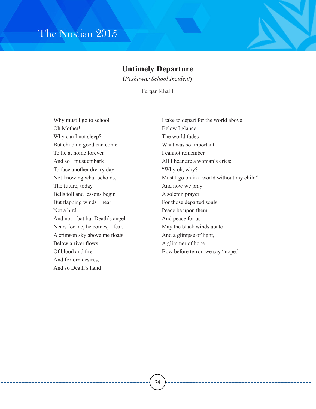#### **Untimely Departure**

**(***Peshawar School Incident***)**

Furqan Khalil

Why must I go to school Oh Mother! Why can I not sleep? But child no good can come To lie at home forever And so I must embark To face another dreary day Not knowing what beholds, The future, today Bells toll and lessons begin But flapping winds I hear Not a bird And not a bat but Death's angel Nears for me, he comes, I fear. A crimson sky above me floats Below a river flows Of blood and fire And forlorn desires, And so Death's hand

I take to depart for the world above Below I glance; The world fades What was so important I cannot remember All I hear are a woman's cries: "Why oh, why? Must I go on in a world without my child" And now we pray A solemn prayer For those departed souls Peace be upon them And peace for us May the black winds abate And a glimpse of light, A glimmer of hope Bow before terror, we say "nope."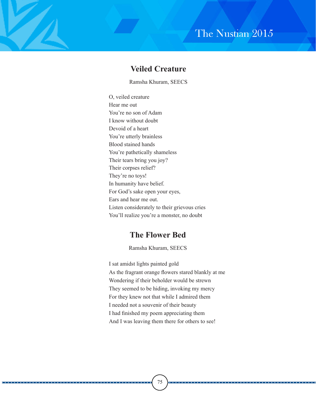### **Veiled Creature**

Ramsha Khuram, SEECS

O, veiled creature Hear me out You're no son of Adam I know without doubt Devoid of a heart You're utterly brainless Blood stained hands You're pathetically shameless Their tears bring you joy? Their corpses relief? They're no toys! In humanity have belief. For God's sake open your eyes, Ears and hear me out. Listen considerately to their grievous cries You'll realize you're a monster, no doubt

### **The Flower Bed**

Ramsha Khuram, SEECS

I sat amidst lights painted gold As the fragrant orange flowers stared blankly at me Wondering if their beholder would be strewn They seemed to be hiding, invoking my mercy For they knew not that while I admired them I needed not a souvenir of their beauty I had finished my poem appreciating them And I was leaving them there for others to see!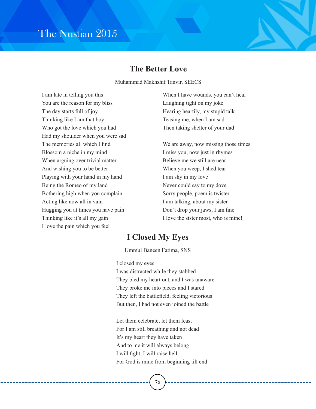#### **The Better Love**

Muhammad Makhshif Tanvir, SEECS

I am late in telling you this You are the reason for my bliss The day starts full of joy Thinking like I am that boy Who got the love which you had Had my shoulder when you were sad The memories all which I find Blossom a niche in my mind When arguing over trivial matter And wishing you to be better Playing with your hand in my hand Being the Romeo of my land Bothering high when you complain Acting like now all in vain Hugging you at times you have pain Thinking like it's all my gain I love the pain which you feel

When I have wounds, you can't heal Laughing tight on my joke Hearing heartily, my stupid talk Teasing me, when I am sad Then taking shelter of your dad

We are away, now missing those times I miss you, now just in rhymes Believe me we still are near When you weep, I shed tear I am shy in my love Never could say to my dove Sorry people, poem is twister I am talking, about my sister Don't drop your jaws, I am fine I love the sister most, who is mine!

#### **I Closed My Eyes**

Ummul Baneen Fatima, SNS

I closed my eyes

I was distracted while they stabbed They bled my heart out, and I was unaware They broke me into pieces and I stared They left the battlefield, feeling victorious But then, I had not even joined the battle

Let them celebrate, let them feast For I am still breathing and not dead It's my heart they have taken And to me it will always belong I will fight, I will raise hell For God is mine from beginning till end

76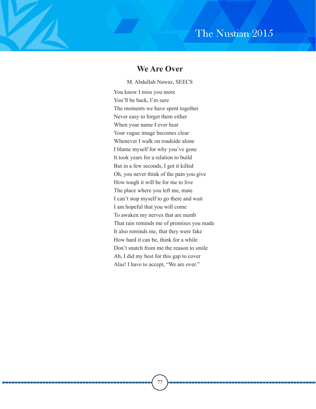#### **We Are Over**

You know I miss you more You'll be back, I'm sure The moments we have spent together Never easy to forget them either When your name I ever hear Your vague image becomes clear Whenever I walk on roadside alone I blame myself for why you've gone It took years for a relation to build But in a few seconds, I got it killed Oh, you never think of the pain you give How tough it will be for me to live The place where you left me, mate I can't stop myself to go there and wait I am hopeful that you will come To awaken my nerves that are numb That rain reminds me of promises you made It also reminds me, that they were fake How hard it can be, think for a while Don't snatch from me the reason to smile Ah, I did my best for this gap to cover Alas! I have to accept, "We are over." M. Abdullah Nawaz, SEECS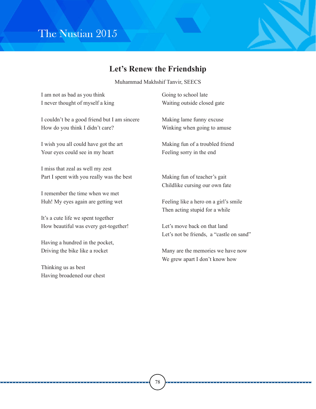

### **Let's Renew the Friendship**

Muhammad Makhshif Tanvir, SEECS

I am not as bad as you think I never thought of myself a king I couldn't be a good friend but I am sincere How do you think I didn't care? I wish you all could have got the art Your eyes could see in my heart I miss that zeal as well my zest Part I spent with you really was the best Going to school late

I remember the time when we met Huh! My eyes again are getting wet

It's a cute life we spent together How beautiful was every get-together!

Having a hundred in the pocket, Driving the bike like a rocket

Thinking us as best Having broadened our chest Waiting outside closed gate

Making lame funny excuse Winking when going to amuse

Making fun of a troubled friend Feeling sorry in the end

Making fun of teacher's gait Childlike cursing our own fate

Feeling like a hero on a girl's smile Then acting stupid for a while

Let's move back on that land Let's not be friends, a "castle on sand"

Many are the memories we have now We grew apart I don't know how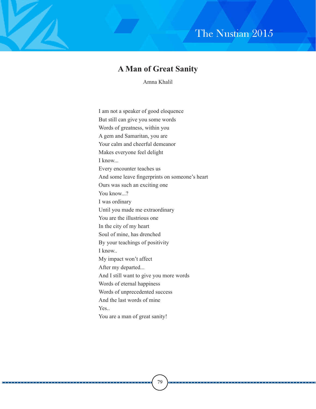### **A Man of Great Sanity**

Amna Khalil

I am not a speaker of good eloquence But still can give you some words Words of greatness, within you A gem and Samaritan, you are Your calm and cheerful demeanor Makes everyone feel delight I know... Every encounter teaches us And some leave fingerprints on someone's heart Ours was such an exciting one You know...? I was ordinary Until you made me extraordinary You are the illustrious one In the city of my heart Soul of mine, has drenched By your teachings of positivity I know.. My impact won't affect After my departed... And I still want to give you more words Words of eternal happiness Words of unprecedented success And the last words of mine Yes You are a man of great sanity!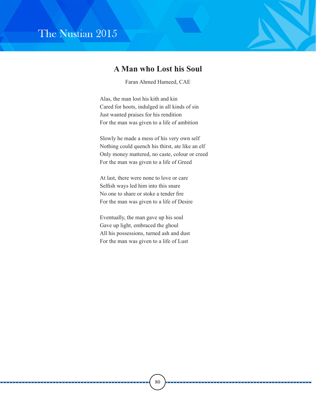#### **A Man who Lost his Soul**

Faran Ahmed Hameed, CAE

Alas, the man lost his kith and kin Cared for hoots, indulged in all kinds of sin Just wanted praises for his rendition For the man was given to a life of ambition

Slowly he made a mess of his very own self Nothing could quench his thirst, ate like an elf Only money mattered, no caste, colour or creed For the man was given to a life of Greed

At last, there were none to love or care Selfish ways led him into this snare No one to share or stoke a tender fire For the man was given to a life of Desire

Eventually, the man gave up his soul Gave up light, embraced the ghoul All his possessions, turned ash and dust For the man was given to a life of Lust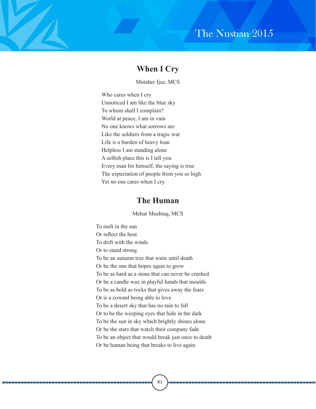#### **When I Cry**

Mutaher Ijaz, MCS

Who cares when I cry Unnoticed I am like the blue sky To whom shall I complain? World at peace, I am in vain No one knows what sorrows are Like the soldiers from a tragic war Life is a burden of heavy loan Helpless I am standing alone A selfish place this is I tell you Every man for himself, the saying is true The expectation of people from you so high Yet no one cares when I cry.

#### **The Human**

Mehar Mushtaq, MCS

To melt in the sun Or reflect the heat To drift with the winds Or to stand strong To be an autumn tree that waits until death Or be the one that hopes again to grow To be as hard as a stone that can never be crushed Or be a candle wax in playful hands that moulds To be as bold as rocks that gives away the fears Or is a coward being able to love To be a desert sky that has no rain to fall Or to be the weeping eyes that hide in the dark To be the sun in sky which brightly shines alone Or be the stars that watch their company fade To be an object that would break just once to death Or be human being that breaks to live again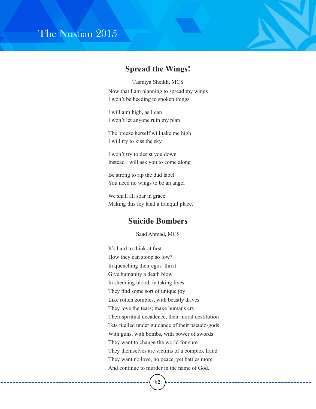#### **Spread the Wings!**

Now that I am planning to spread my wings I won't be heeding to spoken things Tasmiya Sheikh, MCS

I will aim high, as I can I won't let anyone ruin my plan

The breeze herself will take me high I will try to kiss the sky

I won't try to desist you down Instead I will ask you to come along

Be strong to rip the dud label You need no wings to be an angel

We shall all soar in grace Making this fey land a tranquil place.

#### **Suicide Bombers**

Saad Ahmad, MCS

It's hard to think at first How they can stoop so low? In quenching their egos' thirst Give humanity a death blow In shedding blood, in taking lives They find some sort of unique joy Like rotten zombies, with beastly drives They love the tears; make humans cry Their spiritual decadence, their moral destitution Tets fuelled under guidance of their pseudo-gods With guns, with bombs, with power of swords They want to change the world for sure They themselves are victims of a complex fraud They want no love, no peace, yet battles more And continue to murder in the name of God.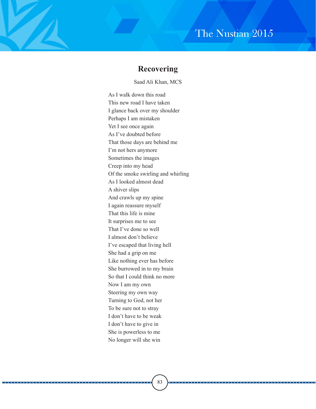#### **Recovering**

Saad Ali Khan, MCS

As I walk down this road This new road I have taken I glance back over my shoulder Perhaps I am mistaken Yet I see once again As I've doubted before That those days are behind me I'm not hers anymore Sometimes the images Creep into my head Of the smoke swirling and whirling As I looked almost dead A shiver slips And crawls up my spine I again reassure myself That this life is mine It surprises me to see That I've done so well I almost don't believe I've escaped that living hell She had a grip on me Like nothing ever has before She burrowed in to my brain So that I could think no more Now I am my own Steering my own way Turning to God, not her To be sure not to stray I don't have to be weak I don't have to give in She is powerless to me No longer will she win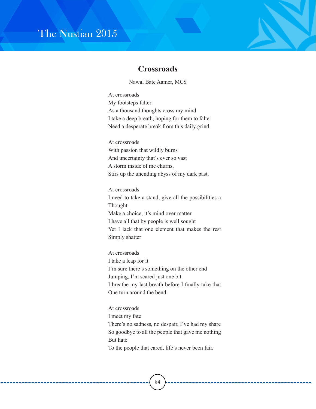#### **Crossroads**

Nawal Bate Aamer, MCS

At crossroads My footsteps falter As a thousand thoughts cross my mind I take a deep breath, hoping for them to falter Need a desperate break from this daily grind.

At crossroads With passion that wildly burns And uncertainty that's ever so vast A storm inside of me churns, Stirs up the unending abyss of my dark past.

At crossroads I need to take a stand, give all the possibilities a Thought Make a choice, it's mind over matter I have all that by people is well sought Yet I lack that one element that makes the rest Simply shatter

At crossroads I take a leap for it I'm sure there's something on the other end Jumping, I'm scared just one bit I breathe my last breath before I finally take that One turn around the bend

At crossroads I meet my fate There's no sadness, no despair, I've had my share So goodbye to all the people that gave me nothing But hate To the people that cared, life's never been fair.

84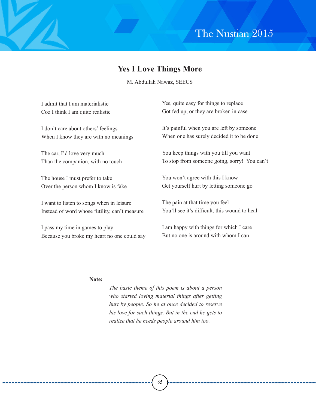### **Yes I Love Things More**

M. Abdullah Nawaz, SEECS

| I admit that I am materialistic               | Yes, quite easy for things to replace         |
|-----------------------------------------------|-----------------------------------------------|
| Coz I think I am quite realistic              | Got fed up, or they are broken in case        |
| I don't care about others' feelings           | It's painful when you are left by someone     |
| When I know they are with no meanings         | When one has surely decided it to be done     |
| The car, I'd love very much                   | You keep things with you till you want        |
| Than the companion, with no touch             | To stop from someone going, sorry! You can't  |
| The house I must prefer to take               | You won't agree with this I know              |
| Over the person whom I know is fake           | Get yourself hurt by letting someone go       |
| I want to listen to songs when in leisure     | The pain at that time you feel                |
| Instead of word whose futility, can't measure | You'll see it's difficult, this wound to heal |
|                                               |                                               |

I pass my time in games to play Because you broke my heart no one could say I am happy with things for which I care But no one is around with whom I can

#### **Note:**

*The basic theme of this poem is about a person who started loving material things after getting hurt by people. So he at once decided to reserve his love for such things. But in the end he gets to realize that he needs people around him too.*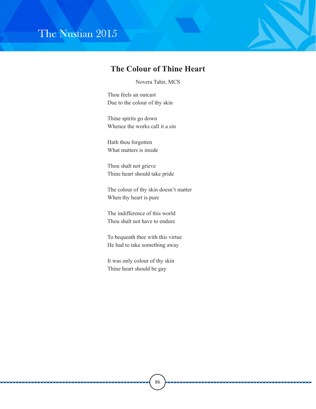. . . . . . . . .

### **The Colour of Thine Heart**

Novera Tahir, MCS

Thou feels an outcast Due to the colour of thy skin

Thine spirits go down Whence the works call it a sin

Hath thou forgotten What matters is inside

Thou shalt not grieve Thine heart should take pride

The colour of thy skin doesn't matter When thy heart is pure

The indifference of this world Thou shalt not have to endure

To bequeath thee with this virtue He had to take something away

It was only colour of thy skin Thine heart should be gay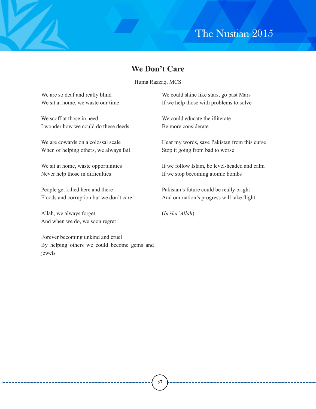#### **We Don't Care**

Huma Razzaq, MCS

We are so deaf and really blind We sit at home, we waste our time

We scoff at those in need I wonder how we could do these deeds

We are cowards on a colossal scale When of helping others, we always fail

We sit at home, waste opportunities Never help those in difficulties

People get killed here and there Floods and corruption but we don't care!

Allah, we always forget And when we do, we soon regret

Forever becoming unkind and cruel By helping others we could become gems and jewels

We could shine like stars, go past Mars If we help those with problems to solve

We could educate the illiterate Be more considerate

Hear my words, save Pakistan from this curse Stop it going from bad to worse

If we follow Islam, be level-headed and calm If we stop becoming atomic bombs

Pakistan's future could be really bright And our nation's progress will take flight.

(*In'sha' Allah*)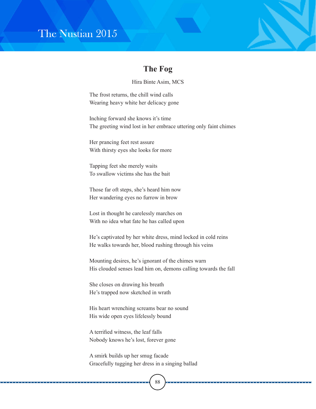### **The Fog**

Hira Binte Asim, MCS

The frost returns, the chill wind calls Wearing heavy white her delicacy gone

Inching forward she knows it's time The greeting wind lost in her embrace uttering only faint chimes

Her prancing feet rest assure With thirsty eyes she looks for more

Tapping feet she merely waits To swallow victims she has the bait

Those far oft steps, she's heard him now Her wandering eyes no furrow in brow

Lost in thought he carelessly marches on With no idea what fate he has called upon

He's captivated by her white dress, mind locked in cold reins He walks towards her, blood rushing through his veins

Mounting desires, he's ignorant of the chimes warn His clouded senses lead him on, demons calling towards the fall

She closes on drawing his breath He's trapped now sketched in wrath

His heart wrenching screams bear no sound His wide open eyes lifelessly bound

A terrified witness, the leaf falls Nobody knows he's lost, forever gone

A smirk builds up her smug facade Gracefully tugging her dress in a singing ballad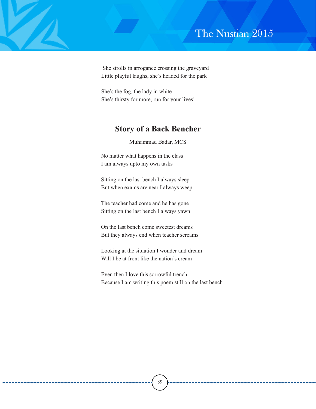She strolls in arrogance crossing the graveyard Little playful laughs, she's headed for the park

She's the fog, the lady in white She's thirsty for more, run for your lives!

### **Story of a Back Bencher**

Muhammad Badar, MCS

No matter what happens in the class I am always upto my own tasks

Sitting on the last bench I always sleep But when exams are near I always weep

The teacher had come and he has gone Sitting on the last bench I always yawn

On the last bench come sweetest dreams But they always end when teacher screams

Looking at the situation I wonder and dream Will I be at front like the nation's cream

Even then I love this sorrowful trench Because I am writing this poem still on the last bench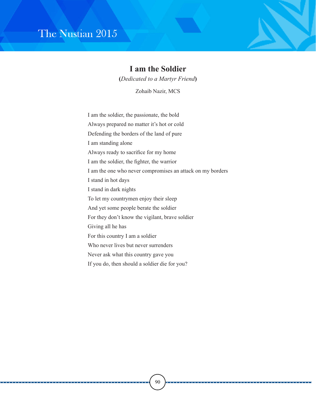#### **I am the Soldier**

**(***Dedicated to a Martyr Friend***)** 

Zohaib Nazir, MCS

I am the soldier, the passionate, the bold

Always prepared no matter it's hot or cold

Defending the borders of the land of pure

I am standing alone

Always ready to sacrifice for my home

I am the soldier, the fighter, the warrior

I am the one who never compromises an attack on my borders

I stand in hot days

I stand in dark nights

To let my countrymen enjoy their sleep

And yet some people berate the soldier

For they don't know the vigilant, brave soldier

Giving all he has

For this country I am a soldier

Who never lives but never surrenders

Never ask what this country gave you

If you do, then should a soldier die for you?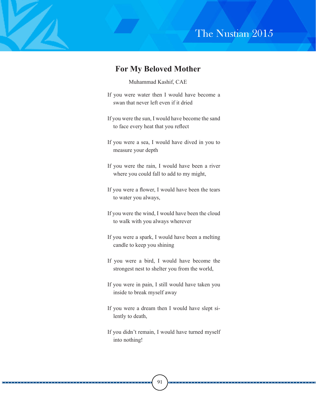#### **For My Beloved Mother**

#### Muhammad Kashif, CAE

- If you were water then I would have become a swan that never left even if it dried
- If you were the sun, I would have become the sand to face every heat that you reflect
- If you were a sea, I would have dived in you to measure your depth
- If you were the rain, I would have been a river where you could fall to add to my might,
- If you were a flower, I would have been the tears to water you always,
- If you were the wind, I would have been the cloud to walk with you always wherever
- If you were a spark, I would have been a melting candle to keep you shining
- If you were a bird, I would have become the strongest nest to shelter you from the world,
- If you were in pain, I still would have taken you inside to break myself away
- If you were a dream then I would have slept silently to death,
- If you didn't remain, I would have turned myself into nothing!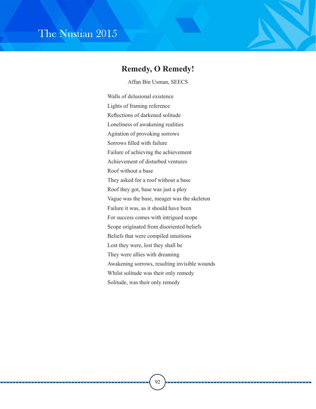#### **Remedy, O Remedy!**

Affan Bin Usman, SEECS

Walls of delusional existence Lights of framing reference Reflections of darkened solitude Loneliness of awakening realities Agitation of provoking sorrows Sorrows filled with failure Failure of achieving the achievement Achievement of disturbed ventures Roof without a base They asked for a roof without a base Roof they got, base was just a ploy Vague was the base, meager was the skeleton Failure it was, as it should have been For success comes with intrigued scope Scope originated from disoriented beliefs Beliefs that were compiled intuitions Lost they were, lost they shall be They were allies with dreaming Awakening sorrows, resulting invisible wounds Whilst solitude was their only remedy Solitude, was their only remedy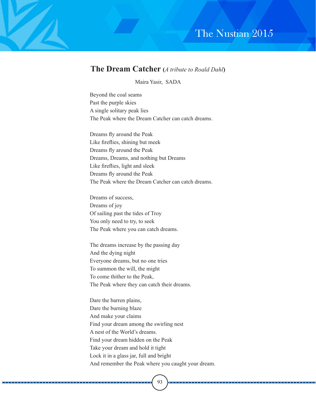#### **The Dream Catcher (***A tribute to Roald Dahl***)**

Maira Yasir, SADA

Beyond the coal seams Past the purple skies A single solitary peak lies The Peak where the Dream Catcher can catch dreams.

Dreams fly around the Peak Like fireflies, shining but meek Dreams fly around the Peak Dreams, Dreams, and nothing but Dreams Like fireflies, light and sleek Dreams fly around the Peak The Peak where the Dream Catcher can catch dreams.

Dreams of success, Dreams of joy Of sailing past the tides of Troy You only need to try, to seek The Peak where you can catch dreams.

The dreams increase by the passing day And the dying night Everyone dreams, but no one tries To summon the will, the might To come thither to the Peak, The Peak where they can catch their dreams.

Dare the barren plains, Dare the burning blaze And make your claims Find your dream among the swirling nest A nest of the World's dreams. Find your dream hidden on the Peak Take your dream and hold it tight Lock it in a glass jar, full and bright And remember the Peak where you caught your dream.

93